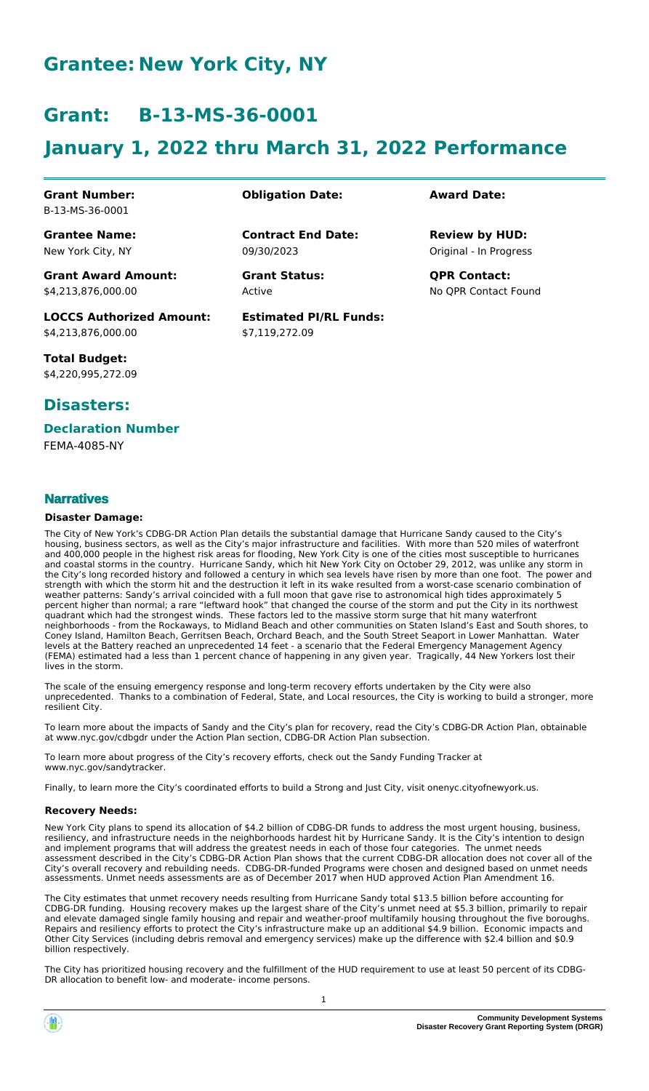# **Grantee: New York City, NY**

# **Grant: B-13-MS-36-0001**

# **January 1, 2022 thru March 31, 2022 Performance**

**Contract End Date:**

**Estimated PI/RL Funds:**

\$7,119,272.09

09/30/2023

Active

#### **Grant Number:** B-13-MS-36-0001

**Grantee Name:** New York City, NY

**Grant Award Amount:** \$4,213,876,000.00

**LOCCS Authorized Amount:** \$4,213,876,000.00

**Total Budget:** \$4,220,995,272.09

# **Disasters:**

#### **Declaration Number**

FEMA-4085-NY

### **Narratives**

#### **Disaster Damage:**

The City of New York's CDBG-DR Action Plan details the substantial damage that Hurricane Sandy caused to the City's housing, business sectors, as well as the City's major infrastructure and facilities. With more than 520 miles of waterfront and 400,000 people in the highest risk areas for flooding, New York City is one of the cities most susceptible to hurricanes and coastal storms in the country. Hurricane Sandy, which hit New York City on October 29, 2012, was unlike any storm in the City's long recorded history and followed a century in which sea levels have risen by more than one foot. The power and strength with which the storm hit and the destruction it left in its wake resulted from a worst-case scenario combination of weather patterns: Sandy's arrival coincided with a full moon that gave rise to astronomical high tides approximately 5 percent higher than normal; a rare "leftward hook" that changed the course of the storm and put the City in its northwest quadrant which had the strongest winds. These factors led to the massive storm surge that hit many waterfront neighborhoods - from the Rockaways, to Midland Beach and other communities on Staten Island's East and South shores, to Coney Island, Hamilton Beach, Gerritsen Beach, Orchard Beach, and the South Street Seaport in Lower Manhattan. Water levels at the Battery reached an unprecedented 14 feet - a scenario that the Federal Emergency Management Agency (FEMA) estimated had a less than 1 percent chance of happening in any given year. Tragically, 44 New Yorkers lost their lives in the storm.

The scale of the ensuing emergency response and long-term recovery efforts undertaken by the City were also unprecedented. Thanks to a combination of Federal, State, and Local resources, the City is working to build a stronger, more resilient City.

To learn more about the impacts of Sandy and the City's plan for recovery, read the City's CDBG-DR Action Plan, obtainable at www.nyc.gov/cdbgdr under the Action Plan section, CDBG-DR Action Plan subsection.

To learn more about progress of the City's recovery efforts, check out the Sandy Funding Tracker at www.nyc.gov/sandytracker.

Finally, to learn more the City's coordinated efforts to build a Strong and Just City, visit onenyc.cityofnewyork.us.

#### **Recovery Needs:**

New York City plans to spend its allocation of \$4.2 billion of CDBG-DR funds to address the most urgent housing, business, resiliency, and infrastructure needs in the neighborhoods hardest hit by Hurricane Sandy. It is the City's intention to design and implement programs that will address the greatest needs in each of those four categories. The unmet needs assessment described in the City's CDBG-DR Action Plan shows that the current CDBG-DR allocation does not cover all of the City's overall recovery and rebuilding needs. CDBG-DR-funded Programs were chosen and designed based on unmet needs assessments. Unmet needs assessments are as of December 2017 when HUD approved Action Plan Amendment 16.

The City estimates that unmet recovery needs resulting from Hurricane Sandy total \$13.5 billion before accounting for CDBG-DR funding. Housing recovery makes up the largest share of the City's unmet need at \$5.3 billion, primarily to repair and elevate damaged single family housing and repair and weather-proof multifamily housing throughout the five boroughs. Repairs and resiliency efforts to protect the City's infrastructure make up an additional \$4.9 billion. Economic impacts and Other City Services (including debris removal and emergency services) make up the difference with \$2.4 billion and \$0.9 billion respectively.

The City has prioritized housing recovery and the fulfillment of the HUD requirement to use at least 50 percent of its CDBG-DR allocation to benefit low- and moderate- income persons.

#### **Obligation Date: Award Date:**

Original - In Progress **Review by HUD:**

**Grant Status: QPR Contact:** No QPR Contact Found

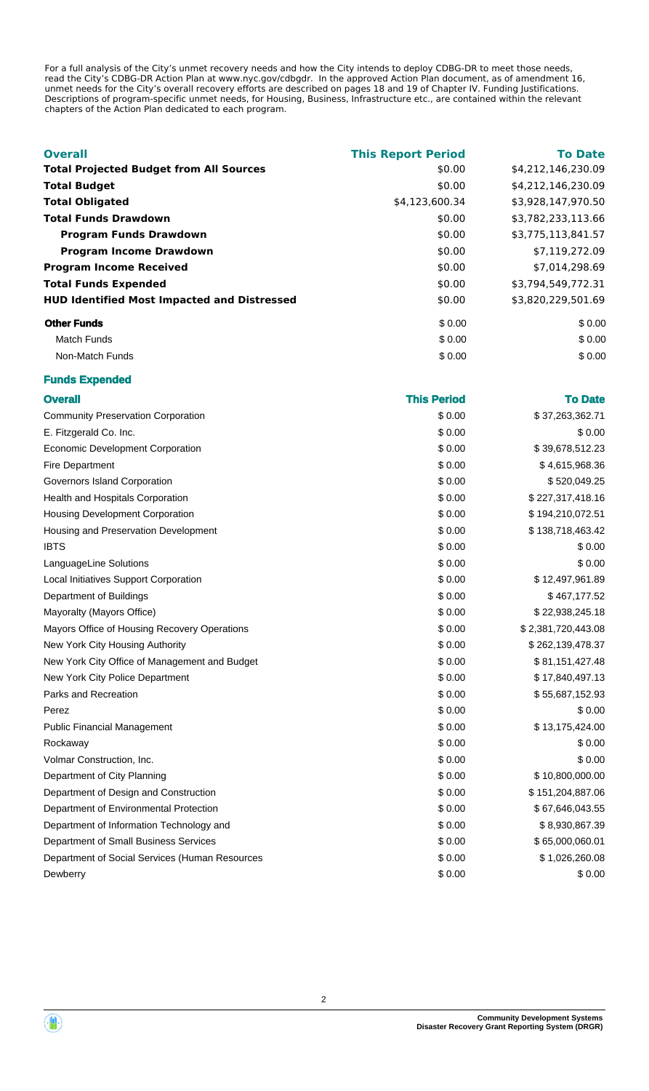For a full analysis of the City's unmet recovery needs and how the City intends to deploy CDBG-DR to meet those needs, read the City's CDBG-DR Action Plan at www.nyc.gov/cdbgdr. In the approved Action Plan document, as of amendment 16, unmet needs for the City's overall recovery efforts are described on pages 18 and 19 of Chapter IV. Funding Justifications. Descriptions of program-specific unmet needs, for Housing, Business, Infrastructure etc., are contained within the relevant chapters of the Action Plan dedicated to each program.

| <b>Overall</b>                                     | <b>This Report Period</b> | <b>To Date</b>     |
|----------------------------------------------------|---------------------------|--------------------|
| <b>Total Projected Budget from All Sources</b>     | \$0.00                    | \$4,212,146,230.09 |
| <b>Total Budget</b>                                | \$0.00                    | \$4,212,146,230.09 |
| <b>Total Obligated</b>                             | \$4,123,600.34            | \$3,928,147,970.50 |
| <b>Total Funds Drawdown</b>                        | \$0.00                    | \$3,782,233,113.66 |
| <b>Program Funds Drawdown</b>                      | \$0.00                    | \$3,775,113,841.57 |
| <b>Program Income Drawdown</b>                     | \$0.00                    | \$7,119,272.09     |
| <b>Program Income Received</b>                     | \$0.00                    | \$7,014,298.69     |
| <b>Total Funds Expended</b>                        | \$0.00                    | \$3,794,549,772.31 |
| <b>HUD Identified Most Impacted and Distressed</b> | \$0.00                    | \$3,820,229,501.69 |
| <b>Other Funds</b>                                 | \$0.00                    | \$0.00             |
| Match Funds                                        | \$0.00                    | \$0.00             |
| Non-Match Funds                                    | \$0.00                    | \$0.00             |

#### **Funds Expended**

| <b>Overall</b>                                 | <b>This Period</b> | <b>To Date</b>     |
|------------------------------------------------|--------------------|--------------------|
| <b>Community Preservation Corporation</b>      | \$0.00             | \$37,263,362.71    |
| E. Fitzgerald Co. Inc.                         | \$0.00             | \$0.00             |
| <b>Economic Development Corporation</b>        | \$0.00             | \$39,678,512.23    |
| <b>Fire Department</b>                         | \$0.00             | \$4,615,968.36     |
| Governors Island Corporation                   | \$0.00             | \$520,049.25       |
| Health and Hospitals Corporation               | \$0.00             | \$227,317,418.16   |
| <b>Housing Development Corporation</b>         | \$0.00             | \$194,210,072.51   |
| Housing and Preservation Development           | \$0.00             | \$138,718,463.42   |
| IBTS                                           | \$0.00             | \$0.00             |
| LanguageLine Solutions                         | \$0.00             | \$0.00             |
| Local Initiatives Support Corporation          | \$0.00             | \$12,497,961.89    |
| Department of Buildings                        | \$0.00             | \$467,177.52       |
| Mayoralty (Mayors Office)                      | \$0.00             | \$22,938,245.18    |
| Mayors Office of Housing Recovery Operations   | \$0.00             | \$2,381,720,443.08 |
| New York City Housing Authority                | \$0.00             | \$262,139,478.37   |
| New York City Office of Management and Budget  | \$0.00             | \$81,151,427.48    |
| New York City Police Department                | \$0.00             | \$17,840,497.13    |
| Parks and Recreation                           | \$0.00             | \$55,687,152.93    |
| Perez                                          | \$0.00             | \$0.00             |
| <b>Public Financial Management</b>             | \$0.00             | \$13,175,424.00    |
| Rockaway                                       | \$0.00             | \$0.00             |
| Volmar Construction, Inc.                      | \$0.00             | \$0.00             |
| Department of City Planning                    | \$0.00             | \$10,800,000.00    |
| Department of Design and Construction          | \$0.00             | \$151,204,887.06   |
| Department of Environmental Protection         | \$0.00             | \$67,646,043.55    |
| Department of Information Technology and       | \$0.00             | \$8,930,867.39     |
| Department of Small Business Services          | \$0.00             | \$65,000,060.01    |
| Department of Social Services (Human Resources | \$0.00             | \$1,026,260.08     |
| Dewberry                                       | \$0.00             | \$0.00             |

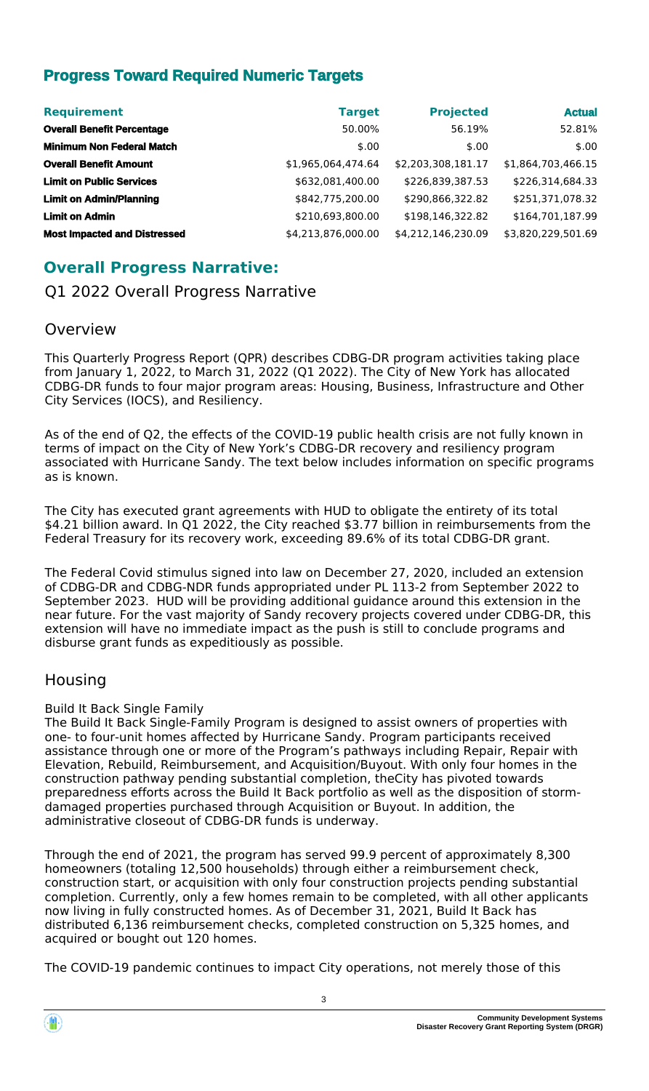# **Progress Toward Required Numeric Targets**

| <b>Requirement</b>                  | <b>Target</b>      | <b>Projected</b>   | <b>Actual</b>      |
|-------------------------------------|--------------------|--------------------|--------------------|
| <b>Overall Benefit Percentage</b>   | 50.00%             | 56.19%             | 52.81%             |
| <b>Minimum Non Federal Match</b>    | \$.00              | \$.00              | \$.00              |
| <b>Overall Benefit Amount</b>       | \$1,965,064,474.64 | \$2,203,308,181.17 | \$1,864,703,466.15 |
| <b>Limit on Public Services</b>     | \$632,081,400.00   | \$226,839,387.53   | \$226,314,684.33   |
| <b>Limit on Admin/Planning</b>      | \$842,775,200.00   | \$290,866,322.82   | \$251,371,078.32   |
| <b>Limit on Admin</b>               | \$210,693,800.00   | \$198,146,322.82   | \$164,701,187.99   |
| <b>Most Impacted and Distressed</b> | \$4,213,876,000.00 | \$4,212,146,230.09 | \$3,820,229,501.69 |

# **Overall Progress Narrative:**

Q1 2022 Overall Progress Narrative

# Overview

This Quarterly Progress Report (QPR) describes CDBG-DR program activities taking place from January 1, 2022, to March 31, 2022 (Q1 2022). The City of New York has allocated CDBG-DR funds to four major program areas: Housing, Business, Infrastructure and Other City Services (IOCS), and Resiliency.

As of the end of Q2, the effects of the COVID-19 public health crisis are not fully known in terms of impact on the City of New York's CDBG-DR recovery and resiliency program associated with Hurricane Sandy. The text below includes information on specific programs as is known.

The City has executed grant agreements with HUD to obligate the entirety of its total \$4.21 billion award. In Q1 2022, the City reached \$3.77 billion in reimbursements from the Federal Treasury for its recovery work, exceeding 89.6% of its total CDBG-DR grant.

The Federal Covid stimulus signed into law on December 27, 2020, included an extension of CDBG-DR and CDBG-NDR funds appropriated under PL 113-2 from September 2022 to September 2023. HUD will be providing additional guidance around this extension in the near future. For the vast majority of Sandy recovery projects covered under CDBG-DR, this extension will have no immediate impact as the push is still to conclude programs and disburse grant funds as expeditiously as possible.

# Housing

Build It Back Single Family

The Build It Back Single-Family Program is designed to assist owners of properties with one- to four-unit homes affected by Hurricane Sandy. Program participants received assistance through one or more of the Program's pathways including Repair, Repair with Elevation, Rebuild, Reimbursement, and Acquisition/Buyout. With only four homes in the construction pathway pending substantial completion, theCity has pivoted towards preparedness efforts across the Build It Back portfolio as well as the disposition of stormdamaged properties purchased through Acquisition or Buyout. In addition, the administrative closeout of CDBG-DR funds is underway.

Through the end of 2021, the program has served 99.9 percent of approximately 8,300 homeowners (totaling 12,500 households) through either a reimbursement check, construction start, or acquisition with only four construction projects pending substantial completion. Currently, only a few homes remain to be completed, with all other applicants now living in fully constructed homes. As of December 31, 2021, Build It Back has distributed 6,136 reimbursement checks, completed construction on 5,325 homes, and acquired or bought out 120 homes.

The COVID-19 pandemic continues to impact City operations, not merely those of this

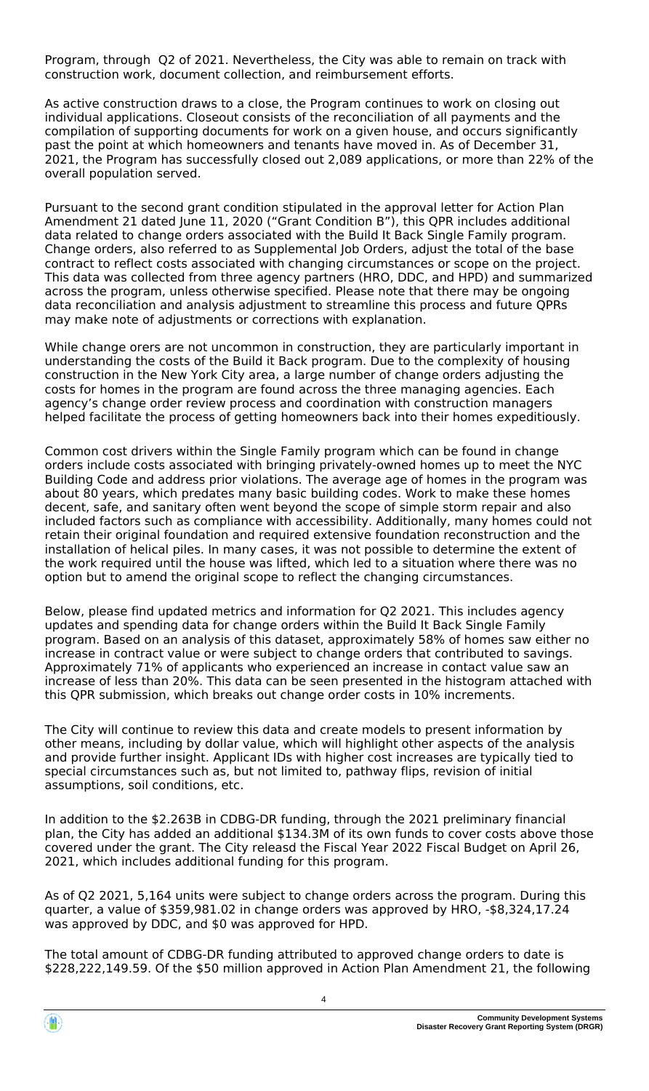Program, through Q2 of 2021. Nevertheless, the City was able to remain on track with construction work, document collection, and reimbursement efforts.

As active construction draws to a close, the Program continues to work on closing out individual applications. Closeout consists of the reconciliation of all payments and the compilation of supporting documents for work on a given house, and occurs significantly past the point at which homeowners and tenants have moved in. As of December 31, 2021, the Program has successfully closed out 2,089 applications, or more than 22% of the overall population served.

Pursuant to the second grant condition stipulated in the approval letter for Action Plan Amendment 21 dated June 11, 2020 ("Grant Condition B"), this QPR includes additional data related to change orders associated with the Build It Back Single Family program. Change orders, also referred to as Supplemental Job Orders, adjust the total of the base contract to reflect costs associated with changing circumstances or scope on the project. This data was collected from three agency partners (HRO, DDC, and HPD) and summarized across the program, unless otherwise specified. Please note that there may be ongoing data reconciliation and analysis adjustment to streamline this process and future QPRs may make note of adjustments or corrections with explanation.

While change orers are not uncommon in construction, they are particularly important in understanding the costs of the Build it Back program. Due to the complexity of housing construction in the New York City area, a large number of change orders adjusting the costs for homes in the program are found across the three managing agencies. Each agency's change order review process and coordination with construction managers helped facilitate the process of getting homeowners back into their homes expeditiously.

Common cost drivers within the Single Family program which can be found in change orders include costs associated with bringing privately-owned homes up to meet the NYC Building Code and address prior violations. The average age of homes in the program was about 80 years, which predates many basic building codes. Work to make these homes decent, safe, and sanitary often went beyond the scope of simple storm repair and also included factors such as compliance with accessibility. Additionally, many homes could not retain their original foundation and required extensive foundation reconstruction and the installation of helical piles. In many cases, it was not possible to determine the extent of the work required until the house was lifted, which led to a situation where there was no option but to amend the original scope to reflect the changing circumstances.

Below, please find updated metrics and information for Q2 2021. This includes agency updates and spending data for change orders within the Build It Back Single Family program. Based on an analysis of this dataset, approximately 58% of homes saw either no increase in contract value or were subject to change orders that contributed to savings. Approximately 71% of applicants who experienced an increase in contact value saw an increase of less than 20%. This data can be seen presented in the histogram attached with this QPR submission, which breaks out change order costs in 10% increments.

The City will continue to review this data and create models to present information by other means, including by dollar value, which will highlight other aspects of the analysis and provide further insight. Applicant IDs with higher cost increases are typically tied to special circumstances such as, but not limited to, pathway flips, revision of initial assumptions, soil conditions, etc.

In addition to the \$2.263B in CDBG-DR funding, through the 2021 preliminary financial plan, the City has added an additional \$134.3M of its own funds to cover costs above those covered under the grant. The City releasd the Fiscal Year 2022 Fiscal Budget on April 26, 2021, which includes additional funding for this program.

As of Q2 2021, 5,164 units were subject to change orders across the program. During this quarter, a value of \$359,981.02 in change orders was approved by HRO, -\$8,324,17.24 was approved by DDC, and \$0 was approved for HPD.

The total amount of CDBG-DR funding attributed to approved change orders to date is \$228,222,149.59. Of the \$50 million approved in Action Plan Amendment 21, the following

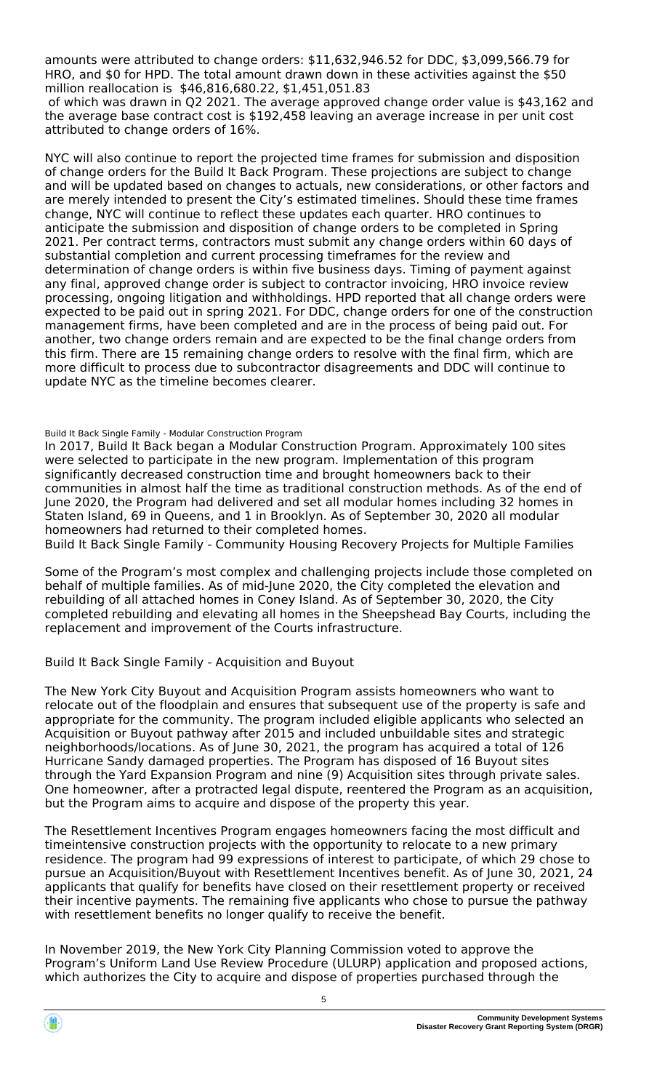amounts were attributed to change orders: \$11,632,946.52 for DDC, \$3,099,566.79 for HRO, and \$0 for HPD. The total amount drawn down in these activities against the \$50 million reallocation is \$46,816,680.22, \$1,451,051.83

 of which was drawn in Q2 2021. The average approved change order value is \$43,162 and the average base contract cost is \$192,458 leaving an average increase in per unit cost attributed to change orders of 16%.

NYC will also continue to report the projected time frames for submission and disposition of change orders for the Build It Back Program. These projections are subject to change and will be updated based on changes to actuals, new considerations, or other factors and are merely intended to present the City's estimated timelines. Should these time frames change, NYC will continue to reflect these updates each quarter. HRO continues to anticipate the submission and disposition of change orders to be completed in Spring 2021. Per contract terms, contractors must submit any change orders within 60 days of substantial completion and current processing timeframes for the review and determination of change orders is within five business days. Timing of payment against any final, approved change order is subject to contractor invoicing, HRO invoice review processing, ongoing litigation and withholdings. HPD reported that all change orders were expected to be paid out in spring 2021. For DDC, change orders for one of the construction management firms, have been completed and are in the process of being paid out. For another, two change orders remain and are expected to be the final change orders from this firm. There are 15 remaining change orders to resolve with the final firm, which are more difficult to process due to subcontractor disagreements and DDC will continue to update NYC as the timeline becomes clearer.

#### Build It Back Single Family - Modular Construction Program

In 2017, Build It Back began a Modular Construction Program. Approximately 100 sites were selected to participate in the new program. Implementation of this program significantly decreased construction time and brought homeowners back to their communities in almost half the time as traditional construction methods. As of the end of June 2020, the Program had delivered and set all modular homes including 32 homes in Staten Island, 69 in Queens, and 1 in Brooklyn. As of September 30, 2020 all modular homeowners had returned to their completed homes.

Build It Back Single Family - Community Housing Recovery Projects for Multiple Families

Some of the Program's most complex and challenging projects include those completed on behalf of multiple families. As of mid-June 2020, the City completed the elevation and rebuilding of all attached homes in Coney Island. As of September 30, 2020, the City completed rebuilding and elevating all homes in the Sheepshead Bay Courts, including the replacement and improvement of the Courts infrastructure.

### Build It Back Single Family - Acquisition and Buyout

The New York City Buyout and Acquisition Program assists homeowners who want to relocate out of the floodplain and ensures that subsequent use of the property is safe and appropriate for the community. The program included eligible applicants who selected an Acquisition or Buyout pathway after 2015 and included unbuildable sites and strategic neighborhoods/locations. As of June 30, 2021, the program has acquired a total of 126 Hurricane Sandy damaged properties. The Program has disposed of 16 Buyout sites through the Yard Expansion Program and nine (9) Acquisition sites through private sales. One homeowner, after a protracted legal dispute, reentered the Program as an acquisition, but the Program aims to acquire and dispose of the property this year.

The Resettlement Incentives Program engages homeowners facing the most difficult and timeintensive construction projects with the opportunity to relocate to a new primary residence. The program had 99 expressions of interest to participate, of which 29 chose to pursue an Acquisition/Buyout with Resettlement Incentives benefit. As of June 30, 2021, 24 applicants that qualify for benefits have closed on their resettlement property or received their incentive payments. The remaining five applicants who chose to pursue the pathway with resettlement benefits no longer qualify to receive the benefit.

In November 2019, the New York City Planning Commission voted to approve the Program's Uniform Land Use Review Procedure (ULURP) application and proposed actions, which authorizes the City to acquire and dispose of properties purchased through the

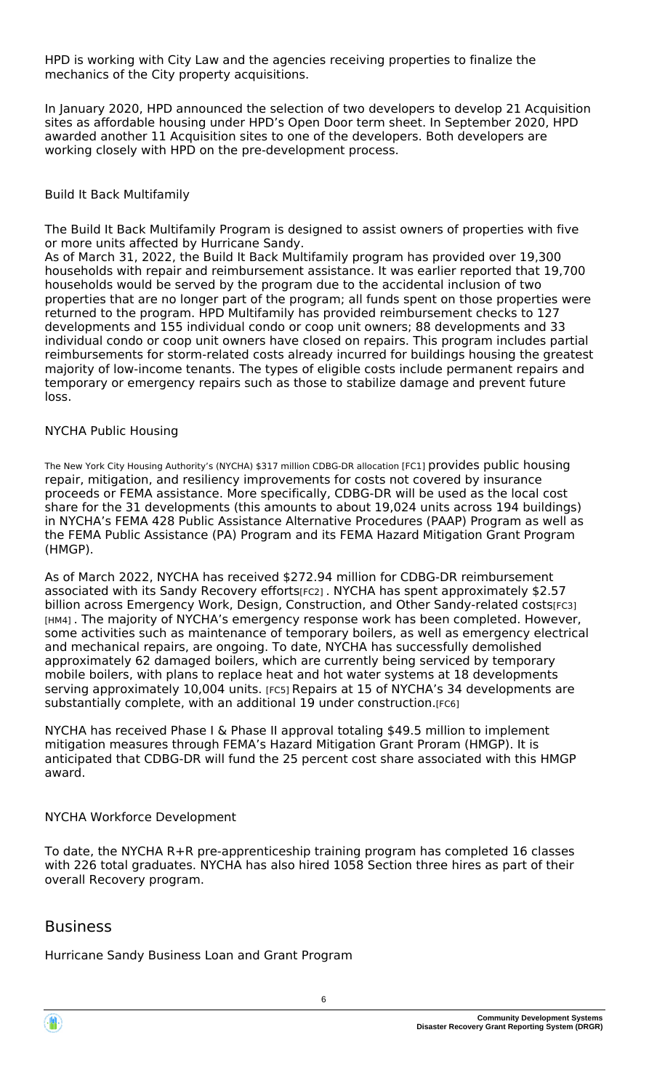HPD is working with City Law and the agencies receiving properties to finalize the mechanics of the City property acquisitions.

In January 2020, HPD announced the selection of two developers to develop 21 Acquisition sites as affordable housing under HPD's Open Door term sheet. In September 2020, HPD awarded another 11 Acquisition sites to one of the developers. Both developers are working closely with HPD on the pre-development process.

#### Build It Back Multifamily

The Build It Back Multifamily Program is designed to assist owners of properties with five or more units affected by Hurricane Sandy.

As of March 31, 2022, the Build It Back Multifamily program has provided over 19,300 households with repair and reimbursement assistance. It was earlier reported that 19,700 households would be served by the program due to the accidental inclusion of two properties that are no longer part of the program; all funds spent on those properties were returned to the program. HPD Multifamily has provided reimbursement checks to 127 developments and 155 individual condo or coop unit owners; 88 developments and 33 individual condo or coop unit owners have closed on repairs. This program includes partial reimbursements for storm-related costs already incurred for buildings housing the greatest majority of low-income tenants. The types of eligible costs include permanent repairs and temporary or emergency repairs such as those to stabilize damage and prevent future loss.

#### NYCHA Public Housing

The New York City Housing Authority's (NYCHA) \$317 million CDBG-DR allocation [FC1] provides public housing repair, mitigation, and resiliency improvements for costs not covered by insurance proceeds or FEMA assistance. More specifically, CDBG-DR will be used as the local cost share for the 31 developments (this amounts to about 19,024 units across 194 buildings) in NYCHA's FEMA 428 Public Assistance Alternative Procedures (PAAP) Program as well as the FEMA Public Assistance (PA) Program and its FEMA Hazard Mitigation Grant Program (HMGP).

As of March 2022, NYCHA has received \$272.94 million for CDBG-DR reimbursement associated with its Sandy Recovery efforts[FC2] . NYCHA has spent approximately \$2.57 billion across Emergency Work, Design, Construction, and Other Sandy-related costs[FC3] [HM4]. The majority of NYCHA's emergency response work has been completed. However, some activities such as maintenance of temporary boilers, as well as emergency electrical and mechanical repairs, are ongoing. To date, NYCHA has successfully demolished approximately 62 damaged boilers, which are currently being serviced by temporary mobile boilers, with plans to replace heat and hot water systems at 18 developments serving approximately 10,004 units. [FC5] Repairs at 15 of NYCHA's 34 developments are substantially complete, with an additional 19 under construction.[FC6]

NYCHA has received Phase I & Phase II approval totaling \$49.5 million to implement mitigation measures through FEMA's Hazard Mitigation Grant Proram (HMGP). It is anticipated that CDBG-DR will fund the 25 percent cost share associated with this HMGP award.

### NYCHA Workforce Development

To date, the NYCHA R+R pre-apprenticeship training program has completed 16 classes with 226 total graduates. NYCHA has also hired 1058 Section three hires as part of their overall Recovery program.

# Business

Hurricane Sandy Business Loan and Grant Program

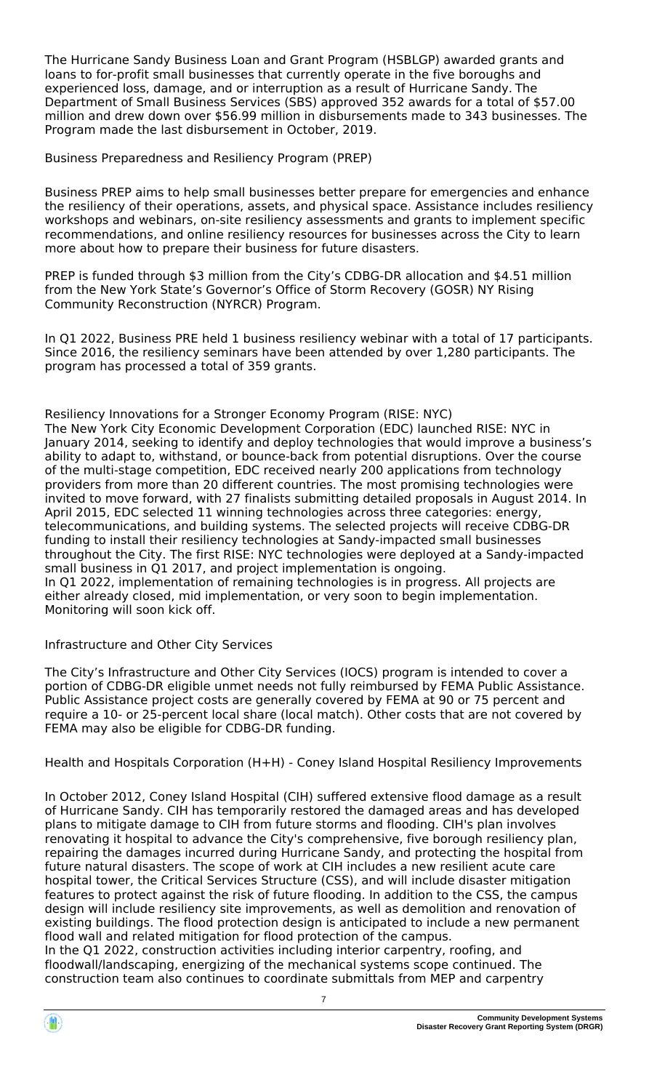The Hurricane Sandy Business Loan and Grant Program (HSBLGP) awarded grants and loans to for-profit small businesses that currently operate in the five boroughs and experienced loss, damage, and or interruption as a result of Hurricane Sandy. The Department of Small Business Services (SBS) approved 352 awards for a total of \$57.00 million and drew down over \$56.99 million in disbursements made to 343 businesses. The Program made the last disbursement in October, 2019.

Business Preparedness and Resiliency Program (PREP)

Business PREP aims to help small businesses better prepare for emergencies and enhance the resiliency of their operations, assets, and physical space. Assistance includes resiliency workshops and webinars, on-site resiliency assessments and grants to implement specific recommendations, and online resiliency resources for businesses across the City to learn more about how to prepare their business for future disasters.

PREP is funded through \$3 million from the City's CDBG-DR allocation and \$4.51 million from the New York State's Governor's Office of Storm Recovery (GOSR) NY Rising Community Reconstruction (NYRCR) Program.

In Q1 2022, Business PRE held 1 business resiliency webinar with a total of 17 participants. Since 2016, the resiliency seminars have been attended by over 1,280 participants. The program has processed a total of 359 grants.

Resiliency Innovations for a Stronger Economy Program (RISE: NYC) The New York City Economic Development Corporation (EDC) launched RISE: NYC in January 2014, seeking to identify and deploy technologies that would improve a business's ability to adapt to, withstand, or bounce-back from potential disruptions. Over the course of the multi-stage competition, EDC received nearly 200 applications from technology providers from more than 20 different countries. The most promising technologies were invited to move forward, with 27 finalists submitting detailed proposals in August 2014. In April 2015, EDC selected 11 winning technologies across three categories: energy, telecommunications, and building systems. The selected projects will receive CDBG-DR funding to install their resiliency technologies at Sandy-impacted small businesses throughout the City. The first RISE: NYC technologies were deployed at a Sandy-impacted small business in Q1 2017, and project implementation is ongoing. In Q1 2022, implementation of remaining technologies is in progress. All projects are either already closed, mid implementation, or very soon to begin implementation. Monitoring will soon kick off.

# Infrastructure and Other City Services

The City's Infrastructure and Other City Services (IOCS) program is intended to cover a portion of CDBG-DR eligible unmet needs not fully reimbursed by FEMA Public Assistance. Public Assistance project costs are generally covered by FEMA at 90 or 75 percent and require a 10- or 25-percent local share (local match). Other costs that are not covered by FEMA may also be eligible for CDBG-DR funding.

Health and Hospitals Corporation (H+H) - Coney Island Hospital Resiliency Improvements

In October 2012, Coney Island Hospital (CIH) suffered extensive flood damage as a result of Hurricane Sandy. CIH has temporarily restored the damaged areas and has developed plans to mitigate damage to CIH from future storms and flooding. CIH's plan involves renovating it hospital to advance the City's comprehensive, five borough resiliency plan, repairing the damages incurred during Hurricane Sandy, and protecting the hospital from future natural disasters. The scope of work at CIH includes a new resilient acute care hospital tower, the Critical Services Structure (CSS), and will include disaster mitigation features to protect against the risk of future flooding. In addition to the CSS, the campus design will include resiliency site improvements, as well as demolition and renovation of existing buildings. The flood protection design is anticipated to include a new permanent flood wall and related mitigation for flood protection of the campus.

In the Q1 2022, construction activities including interior carpentry, roofing, and floodwall/landscaping, energizing of the mechanical systems scope continued. The construction team also continues to coordinate submittals from MEP and carpentry

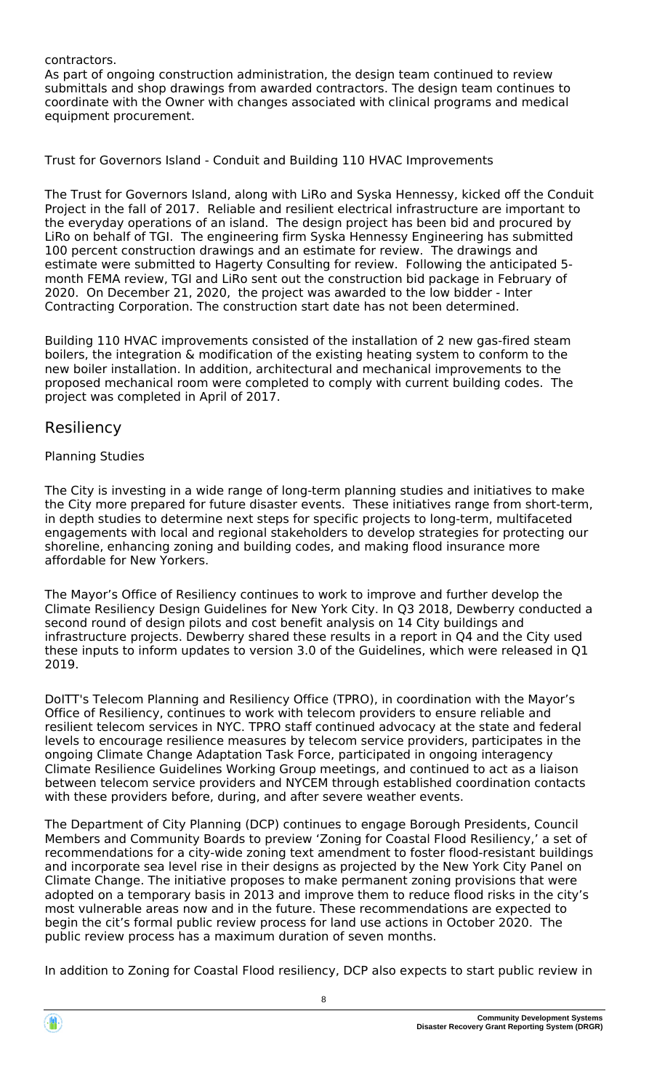#### contractors.

As part of ongoing construction administration, the design team continued to review submittals and shop drawings from awarded contractors. The design team continues to coordinate with the Owner with changes associated with clinical programs and medical equipment procurement.

Trust for Governors Island - Conduit and Building 110 HVAC Improvements

The Trust for Governors Island, along with LiRo and Syska Hennessy, kicked off the Conduit Project in the fall of 2017. Reliable and resilient electrical infrastructure are important to the everyday operations of an island. The design project has been bid and procured by LiRo on behalf of TGI. The engineering firm Syska Hennessy Engineering has submitted 100 percent construction drawings and an estimate for review. The drawings and estimate were submitted to Hagerty Consulting for review. Following the anticipated 5 month FEMA review, TGI and LiRo sent out the construction bid package in February of 2020. On December 21, 2020, the project was awarded to the low bidder - Inter Contracting Corporation. The construction start date has not been determined.

Building 110 HVAC improvements consisted of the installation of 2 new gas-fired steam boilers, the integration & modification of the existing heating system to conform to the new boiler installation. In addition, architectural and mechanical improvements to the proposed mechanical room were completed to comply with current building codes. The project was completed in April of 2017.

# Resiliency

# Planning Studies

The City is investing in a wide range of long-term planning studies and initiatives to make the City more prepared for future disaster events. These initiatives range from short-term, in depth studies to determine next steps for specific projects to long-term, multifaceted engagements with local and regional stakeholders to develop strategies for protecting our shoreline, enhancing zoning and building codes, and making flood insurance more affordable for New Yorkers.

The Mayor's Office of Resiliency continues to work to improve and further develop the Climate Resiliency Design Guidelines for New York City. In Q3 2018, Dewberry conducted a second round of design pilots and cost benefit analysis on 14 City buildings and infrastructure projects. Dewberry shared these results in a report in Q4 and the City used these inputs to inform updates to version 3.0 of the Guidelines, which were released in Q1 2019.

DoITT's Telecom Planning and Resiliency Office (TPRO), in coordination with the Mayor's Office of Resiliency, continues to work with telecom providers to ensure reliable and resilient telecom services in NYC. TPRO staff continued advocacy at the state and federal levels to encourage resilience measures by telecom service providers, participates in the ongoing Climate Change Adaptation Task Force, participated in ongoing interagency Climate Resilience Guidelines Working Group meetings, and continued to act as a liaison between telecom service providers and NYCEM through established coordination contacts with these providers before, during, and after severe weather events.

The Department of City Planning (DCP) continues to engage Borough Presidents, Council Members and Community Boards to preview 'Zoning for Coastal Flood Resiliency,' a set of recommendations for a city-wide zoning text amendment to foster flood-resistant buildings and incorporate sea level rise in their designs as projected by the New York City Panel on Climate Change. The initiative proposes to make permanent zoning provisions that were adopted on a temporary basis in 2013 and improve them to reduce flood risks in the city's most vulnerable areas now and in the future. These recommendations are expected to begin the cit's formal public review process for land use actions in October 2020. The public review process has a maximum duration of seven months.

In addition to Zoning for Coastal Flood resiliency, DCP also expects to start public review in

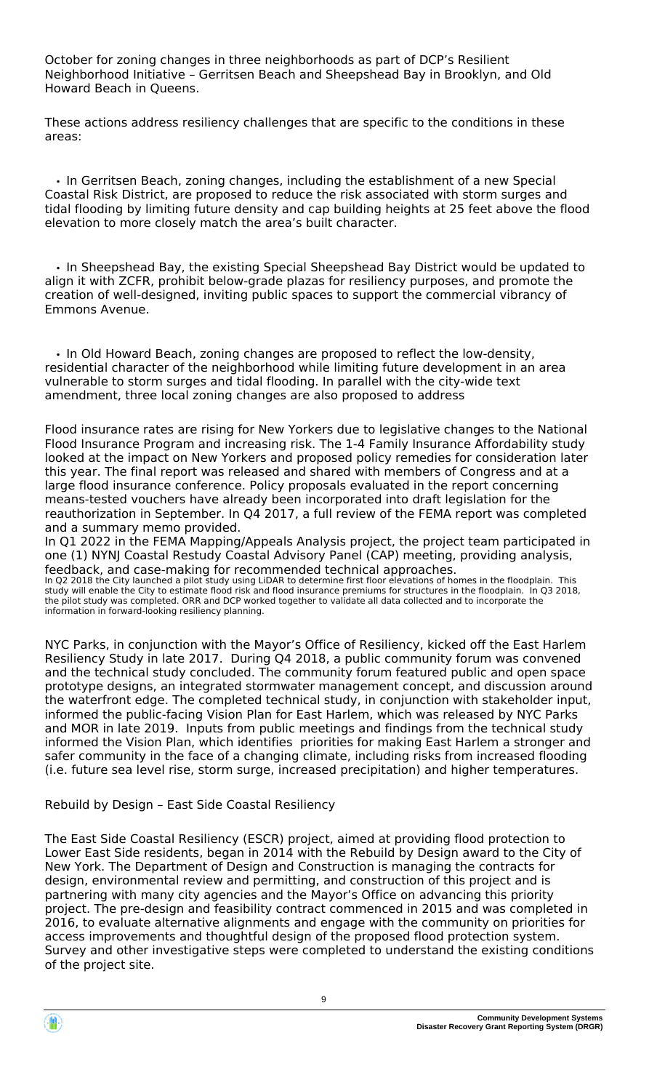October for zoning changes in three neighborhoods as part of DCP's Resilient Neighborhood Initiative – Gerritsen Beach and Sheepshead Bay in Brooklyn, and Old Howard Beach in Queens.

These actions address resiliency challenges that are specific to the conditions in these areas:

 • In Gerritsen Beach, zoning changes, including the establishment of a new Special Coastal Risk District, are proposed to reduce the risk associated with storm surges and tidal flooding by limiting future density and cap building heights at 25 feet above the flood elevation to more closely match the area's built character.

 • In Sheepshead Bay, the existing Special Sheepshead Bay District would be updated to align it with ZCFR, prohibit below-grade plazas for resiliency purposes, and promote the creation of well-designed, inviting public spaces to support the commercial vibrancy of Emmons Avenue.

 • In Old Howard Beach, zoning changes are proposed to reflect the low-density, residential character of the neighborhood while limiting future development in an area vulnerable to storm surges and tidal flooding. In parallel with the city-wide text amendment, three local zoning changes are also proposed to address

Flood insurance rates are rising for New Yorkers due to legislative changes to the National Flood Insurance Program and increasing risk. The 1-4 Family Insurance Affordability study looked at the impact on New Yorkers and proposed policy remedies for consideration later this year. The final report was released and shared with members of Congress and at a large flood insurance conference. Policy proposals evaluated in the report concerning means-tested vouchers have already been incorporated into draft legislation for the reauthorization in September. In Q4 2017, a full review of the FEMA report was completed and a summary memo provided.

In Q1 2022 in the FEMA Mapping/Appeals Analysis project, the project team participated in one (1) NYNJ Coastal Restudy Coastal Advisory Panel (CAP) meeting, providing analysis, feedback, and case-making for recommended technical approaches. In Q2 2018 the City launched a pilot study using LiDAR to determine first floor elevations of homes in the floodplain. This study will enable the City to estimate flood risk and flood insurance premiums for structures in the floodplain. In Q3 2018,

the pilot study was completed. ORR and DCP worked together to validate all data collected and to incorporate the information in forward-looking resiliency planning.

NYC Parks, in conjunction with the Mayor's Office of Resiliency, kicked off the East Harlem Resiliency Study in late 2017. During Q4 2018, a public community forum was convened and the technical study concluded. The community forum featured public and open space prototype designs, an integrated stormwater management concept, and discussion around the waterfront edge. The completed technical study, in conjunction with stakeholder input, informed the public-facing Vision Plan for East Harlem, which was released by NYC Parks and MOR in late 2019. Inputs from public meetings and findings from the technical study informed the Vision Plan, which identifies priorities for making East Harlem a stronger and safer community in the face of a changing climate, including risks from increased flooding (i.e. future sea level rise, storm surge, increased precipitation) and higher temperatures.

Rebuild by Design – East Side Coastal Resiliency

The East Side Coastal Resiliency (ESCR) project, aimed at providing flood protection to Lower East Side residents, began in 2014 with the Rebuild by Design award to the City of New York. The Department of Design and Construction is managing the contracts for design, environmental review and permitting, and construction of this project and is partnering with many city agencies and the Mayor's Office on advancing this priority project. The pre-design and feasibility contract commenced in 2015 and was completed in 2016, to evaluate alternative alignments and engage with the community on priorities for access improvements and thoughtful design of the proposed flood protection system. Survey and other investigative steps were completed to understand the existing conditions of the project site.

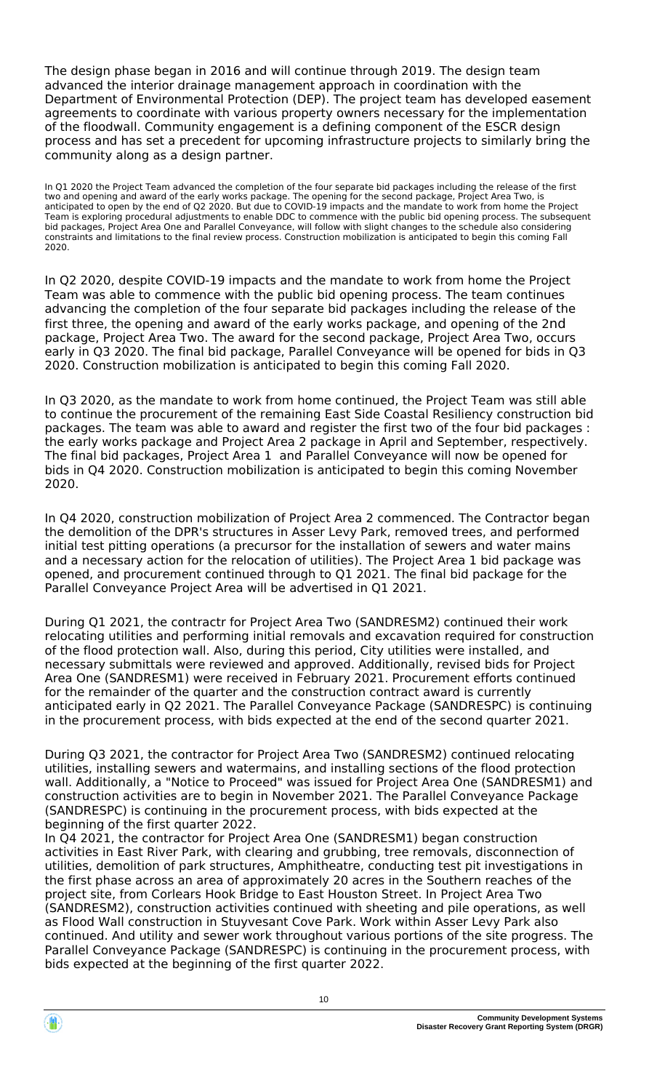The design phase began in 2016 and will continue through 2019. The design team advanced the interior drainage management approach in coordination with the Department of Environmental Protection (DEP). The project team has developed easement agreements to coordinate with various property owners necessary for the implementation of the floodwall. Community engagement is a defining component of the ESCR design process and has set a precedent for upcoming infrastructure projects to similarly bring the community along as a design partner.

In Q1 2020 the Project Team advanced the completion of the four separate bid packages including the release of the first two and opening and award of the early works package. The opening for the second package, Project Area Two, is anticipated to open by the end of Q2 2020. But due to COVID-19 impacts and the mandate to work from home the Project Team is exploring procedural adjustments to enable DDC to commence with the public bid opening process. The subsequent bid packages, Project Area One and Parallel Conveyance, will follow with slight changes to the schedule also considering constraints and limitations to the final review process. Construction mobilization is anticipated to begin this coming Fall 2020.

In Q2 2020, despite COVID-19 impacts and the mandate to work from home the Project Team was able to commence with the public bid opening process. The team continues advancing the completion of the four separate bid packages including the release of the first three, the opening and award of the early works package, and opening of the 2nd package, Project Area Two. The award for the second package, Project Area Two, occurs early in Q3 2020. The final bid package, Parallel Conveyance will be opened for bids in Q3 2020. Construction mobilization is anticipated to begin this coming Fall 2020.

In Q3 2020, as the mandate to work from home continued, the Project Team was still able to continue the procurement of the remaining East Side Coastal Resiliency construction bid packages. The team was able to award and register the first two of the four bid packages : the early works package and Project Area 2 package in April and September, respectively. The final bid packages, Project Area 1 and Parallel Conveyance will now be opened for bids in Q4 2020. Construction mobilization is anticipated to begin this coming November 2020.

In Q4 2020, construction mobilization of Project Area 2 commenced. The Contractor began the demolition of the DPR's structures in Asser Levy Park, removed trees, and performed initial test pitting operations (a precursor for the installation of sewers and water mains and a necessary action for the relocation of utilities). The Project Area 1 bid package was opened, and procurement continued through to Q1 2021. The final bid package for the Parallel Conveyance Project Area will be advertised in Q1 2021.

During Q1 2021, the contractr for Project Area Two (SANDRESM2) continued their work relocating utilities and performing initial removals and excavation required for construction of the flood protection wall. Also, during this period, City utilities were installed, and necessary submittals were reviewed and approved. Additionally, revised bids for Project Area One (SANDRESM1) were received in February 2021. Procurement efforts continued for the remainder of the quarter and the construction contract award is currently anticipated early in Q2 2021. The Parallel Conveyance Package (SANDRESPC) is continuing in the procurement process, with bids expected at the end of the second quarter 2021.

During Q3 2021, the contractor for Project Area Two (SANDRESM2) continued relocating utilities, installing sewers and watermains, and installing sections of the flood protection wall. Additionally, a "Notice to Proceed" was issued for Project Area One (SANDRESM1) and construction activities are to begin in November 2021. The Parallel Conveyance Package (SANDRESPC) is continuing in the procurement process, with bids expected at the beginning of the first quarter 2022.

In Q4 2021, the contractor for Project Area One (SANDRESM1) began construction activities in East River Park, with clearing and grubbing, tree removals, disconnection of utilities, demolition of park structures, Amphitheatre, conducting test pit investigations in the first phase across an area of approximately 20 acres in the Southern reaches of the project site, from Corlears Hook Bridge to East Houston Street. In Project Area Two (SANDRESM2), construction activities continued with sheeting and pile operations, as well as Flood Wall construction in Stuyvesant Cove Park. Work within Asser Levy Park also continued. And utility and sewer work throughout various portions of the site progress. The Parallel Conveyance Package (SANDRESPC) is continuing in the procurement process, with bids expected at the beginning of the first quarter 2022.

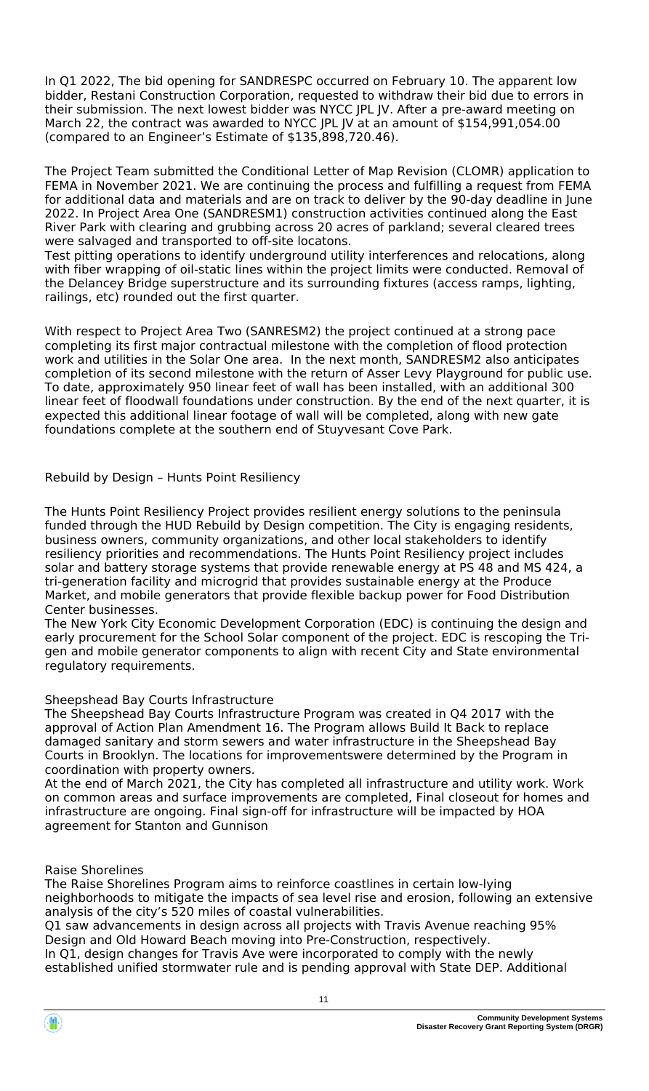In Q1 2022, The bid opening for SANDRESPC occurred on February 10. The apparent low bidder, Restani Construction Corporation, requested to withdraw their bid due to errors in their submission. The next lowest bidder was NYCC JPL JV. After a pre-award meeting on March 22, the contract was awarded to NYCC JPL JV at an amount of \$154,991,054.00 (compared to an Engineer's Estimate of \$135,898,720.46).

The Project Team submitted the Conditional Letter of Map Revision (CLOMR) application to FEMA in November 2021. We are continuing the process and fulfilling a request from FEMA for additional data and materials and are on track to deliver by the 90-day deadline in June 2022. In Project Area One (SANDRESM1) construction activities continued along the East River Park with clearing and grubbing across 20 acres of parkland; several cleared trees were salvaged and transported to off-site locatons.

Test pitting operations to identify underground utility interferences and relocations, along with fiber wrapping of oil-static lines within the project limits were conducted. Removal of the Delancey Bridge superstructure and its surrounding fixtures (access ramps, lighting, railings, etc) rounded out the first quarter.

With respect to Project Area Two (SANRESM2) the project continued at a strong pace completing its first major contractual milestone with the completion of flood protection work and utilities in the Solar One area. In the next month, SANDRESM2 also anticipates completion of its second milestone with the return of Asser Levy Playground for public use. To date, approximately 950 linear feet of wall has been installed, with an additional 300 linear feet of floodwall foundations under construction. By the end of the next quarter, it is expected this additional linear footage of wall will be completed, along with new gate foundations complete at the southern end of Stuyvesant Cove Park.

# Rebuild by Design – Hunts Point Resiliency

The Hunts Point Resiliency Project provides resilient energy solutions to the peninsula funded through the HUD Rebuild by Design competition. The City is engaging residents, business owners, community organizations, and other local stakeholders to identify resiliency priorities and recommendations. The Hunts Point Resiliency project includes solar and battery storage systems that provide renewable energy at PS 48 and MS 424, a tri-generation facility and microgrid that provides sustainable energy at the Produce Market, and mobile generators that provide flexible backup power for Food Distribution Center businesses.

The New York City Economic Development Corporation (EDC) is continuing the design and early procurement for the School Solar component of the project. EDC is rescoping the Trigen and mobile generator components to align with recent City and State environmental regulatory requirements.

### Sheepshead Bay Courts Infrastructure

The Sheepshead Bay Courts Infrastructure Program was created in Q4 2017 with the approval of Action Plan Amendment 16. The Program allows Build It Back to replace damaged sanitary and storm sewers and water infrastructure in the Sheepshead Bay Courts in Brooklyn. The locations for improvementswere determined by the Program in coordination with property owners.

At the end of March 2021, the City has completed all infrastructure and utility work. Work on common areas and surface improvements are completed, Final closeout for homes and infrastructure are ongoing. Final sign-off for infrastructure will be impacted by HOA agreement for Stanton and Gunnison

### Raise Shorelines

The Raise Shorelines Program aims to reinforce coastlines in certain low-lying neighborhoods to mitigate the impacts of sea level rise and erosion, following an extensive analysis of the city's 520 miles of coastal vulnerabilities.

Q1 saw advancements in design across all projects with Travis Avenue reaching 95% Design and Old Howard Beach moving into Pre-Construction, respectively. In Q1, design changes for Travis Ave were incorporated to comply with the newly established unified stormwater rule and is pending approval with State DEP. Additional

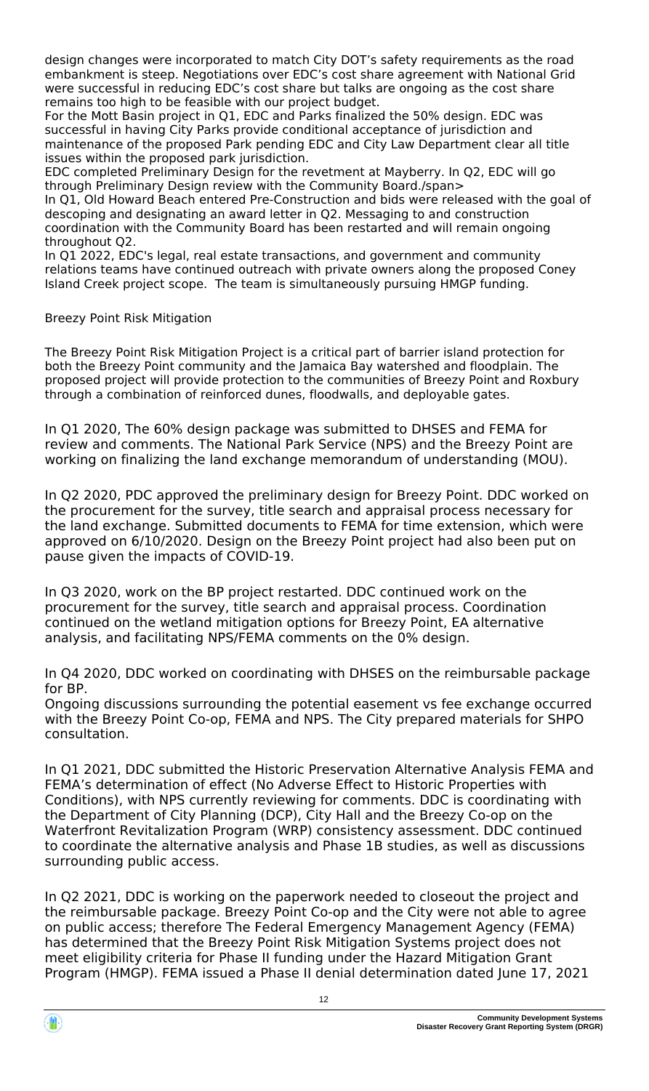design changes were incorporated to match City DOT's safety requirements as the road embankment is steep. Negotiations over EDC's cost share agreement with National Grid were successful in reducing EDC's cost share but talks are ongoing as the cost share remains too high to be feasible with our project budget.

For the Mott Basin project in Q1, EDC and Parks finalized the 50% design. EDC was successful in having City Parks provide conditional acceptance of jurisdiction and maintenance of the proposed Park pending EDC and City Law Department clear all title issues within the proposed park jurisdiction.

EDC completed Preliminary Design for the revetment at Mayberry. In Q2, EDC will go through Preliminary Design review with the Community Board./span>

In Q1, Old Howard Beach entered Pre-Construction and bids were released with the goal of descoping and designating an award letter in Q2. Messaging to and construction coordination with the Community Board has been restarted and will remain ongoing throughout Q2.

In Q1 2022, EDC's legal, real estate transactions, and government and community relations teams have continued outreach with private owners along the proposed Coney Island Creek project scope. The team is simultaneously pursuing HMGP funding.

Breezy Point Risk Mitigation

The Breezy Point Risk Mitigation Project is a critical part of barrier island protection for both the Breezy Point community and the Jamaica Bay watershed and floodplain. The proposed project will provide protection to the communities of Breezy Point and Roxbury through a combination of reinforced dunes, floodwalls, and deployable gates.

In Q1 2020, The 60% design package was submitted to DHSES and FEMA for review and comments. The National Park Service (NPS) and the Breezy Point are working on finalizing the land exchange memorandum of understanding (MOU).

In Q2 2020, PDC approved the preliminary design for Breezy Point. DDC worked on the procurement for the survey, title search and appraisal process necessary for the land exchange. Submitted documents to FEMA for time extension, which were approved on 6/10/2020. Design on the Breezy Point project had also been put on pause given the impacts of COVID-19.

In Q3 2020, work on the BP project restarted. DDC continued work on the procurement for the survey, title search and appraisal process. Coordination continued on the wetland mitigation options for Breezy Point, EA alternative analysis, and facilitating NPS/FEMA comments on the 0% design.

In Q4 2020, DDC worked on coordinating with DHSES on the reimbursable package for BP.

Ongoing discussions surrounding the potential easement vs fee exchange occurred with the Breezy Point Co-op, FEMA and NPS. The City prepared materials for SHPO consultation.

In Q1 2021, DDC submitted the Historic Preservation Alternative Analysis FEMA and FEMA's determination of effect (No Adverse Effect to Historic Properties with Conditions), with NPS currently reviewing for comments. DDC is coordinating with the Department of City Planning (DCP), City Hall and the Breezy Co-op on the Waterfront Revitalization Program (WRP) consistency assessment. DDC continued to coordinate the alternative analysis and Phase 1B studies, as well as discussions surrounding public access.

In Q2 2021, DDC is working on the paperwork needed to closeout the project and the reimbursable package. Breezy Point Co-op and the City were not able to agree on public access; therefore The Federal Emergency Management Agency (FEMA) has determined that the Breezy Point Risk Mitigation Systems project does not meet eligibility criteria for Phase II funding under the Hazard Mitigation Grant Program (HMGP). FEMA issued a Phase II denial determination dated June 17, 2021

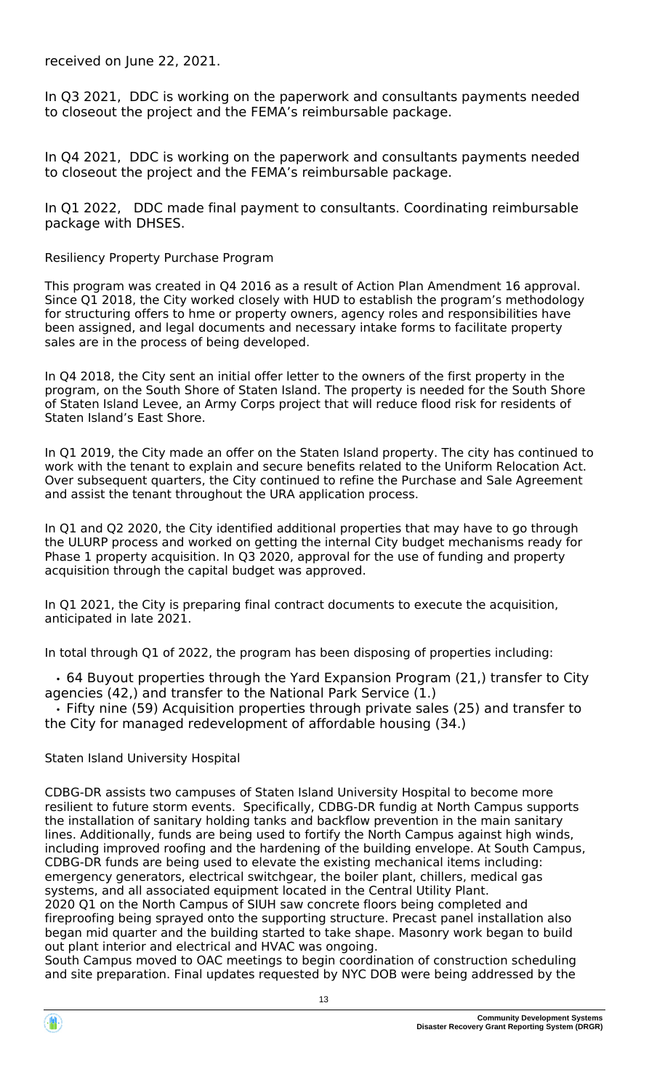received on June 22, 2021.

In Q3 2021, DDC is working on the paperwork and consultants payments needed to closeout the project and the FEMA's reimbursable package.

In Q4 2021, DDC is working on the paperwork and consultants payments needed to closeout the project and the FEMA's reimbursable package.

In Q1 2022, DDC made final payment to consultants. Coordinating reimbursable package with DHSES.

Resiliency Property Purchase Program

This program was created in Q4 2016 as a result of Action Plan Amendment 16 approval. Since Q1 2018, the City worked closely with HUD to establish the program's methodology for structuring offers to hme or property owners, agency roles and responsibilities have been assigned, and legal documents and necessary intake forms to facilitate property sales are in the process of being developed.

In Q4 2018, the City sent an initial offer letter to the owners of the first property in the program, on the South Shore of Staten Island. The property is needed for the South Shore of Staten Island Levee, an Army Corps project that will reduce flood risk for residents of Staten Island's East Shore.

In Q1 2019, the City made an offer on the Staten Island property. The city has continued to work with the tenant to explain and secure benefits related to the Uniform Relocation Act. Over subsequent quarters, the City continued to refine the Purchase and Sale Agreement and assist the tenant throughout the URA application process.

In Q1 and Q2 2020, the City identified additional properties that may have to go through the ULURP process and worked on getting the internal City budget mechanisms ready for Phase 1 property acquisition. In Q3 2020, approval for the use of funding and property acquisition through the capital budget was approved.

In Q1 2021, the City is preparing final contract documents to execute the acquisition, anticipated in late 2021.

In total through Q1 of 2022, the program has been disposing of properties including:

 • 64 Buyout properties through the Yard Expansion Program (21,) transfer to City agencies (42,) and transfer to the National Park Service (1.)

 • Fifty nine (59) Acquisition properties through private sales (25) and transfer to the City for managed redevelopment of affordable housing (34.)

#### Staten Island University Hospital

CDBG-DR assists two campuses of Staten Island University Hospital to become more resilient to future storm events. Specifically, CDBG-DR fundig at North Campus supports the installation of sanitary holding tanks and backflow prevention in the main sanitary lines. Additionally, funds are being used to fortify the North Campus against high winds, including improved roofing and the hardening of the building envelope. At South Campus, CDBG-DR funds are being used to elevate the existing mechanical items including: emergency generators, electrical switchgear, the boiler plant, chillers, medical gas systems, and all associated equipment located in the Central Utility Plant. 2020 Q1 on the North Campus of SIUH saw concrete floors being completed and fireproofing being sprayed onto the supporting structure. Precast panel installation also began mid quarter and the building started to take shape. Masonry work began to build out plant interior and electrical and HVAC was ongoing.

South Campus moved to OAC meetings to begin coordination of construction scheduling and site preparation. Final updates requested by NYC DOB were being addressed by the

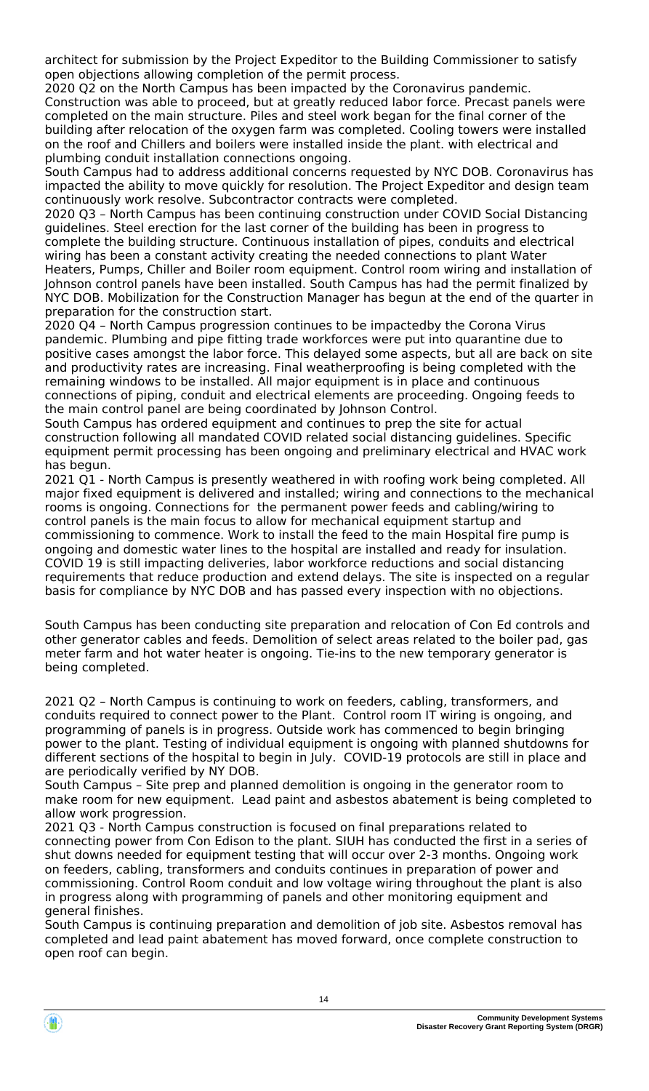architect for submission by the Project Expeditor to the Building Commissioner to satisfy open objections allowing completion of the permit process.

2020 Q2 on the North Campus has been impacted by the Coronavirus pandemic. Construction was able to proceed, but at greatly reduced labor force. Precast panels were completed on the main structure. Piles and steel work began for the final corner of the building after relocation of the oxygen farm was completed. Cooling towers were installed on the roof and Chillers and boilers were installed inside the plant. with electrical and plumbing conduit installation connections ongoing.

South Campus had to address additional concerns requested by NYC DOB. Coronavirus has impacted the ability to move quickly for resolution. The Project Expeditor and design team continuously work resolve. Subcontractor contracts were completed.

2020 Q3 – North Campus has been continuing construction under COVID Social Distancing guidelines. Steel erection for the last corner of the building has been in progress to complete the building structure. Continuous installation of pipes, conduits and electrical wiring has been a constant activity creating the needed connections to plant Water Heaters, Pumps, Chiller and Boiler room equipment. Control room wiring and installation of Johnson control panels have been installed. South Campus has had the permit finalized by NYC DOB. Mobilization for the Construction Manager has begun at the end of the quarter in preparation for the construction start.

2020 Q4 – North Campus progression continues to be impactedby the Corona Virus pandemic. Plumbing and pipe fitting trade workforces were put into quarantine due to positive cases amongst the labor force. This delayed some aspects, but all are back on site and productivity rates are increasing. Final weatherproofing is being completed with the remaining windows to be installed. All major equipment is in place and continuous connections of piping, conduit and electrical elements are proceeding. Ongoing feeds to the main control panel are being coordinated by Johnson Control.

South Campus has ordered equipment and continues to prep the site for actual construction following all mandated COVID related social distancing guidelines. Specific equipment permit processing has been ongoing and preliminary electrical and HVAC work has begun.

2021 Q1 - North Campus is presently weathered in with roofing work being completed. All major fixed equipment is delivered and installed; wiring and connections to the mechanical rooms is ongoing. Connections for the permanent power feeds and cabling/wiring to control panels is the main focus to allow for mechanical equipment startup and commissioning to commence. Work to install the feed to the main Hospital fire pump is ongoing and domestic water lines to the hospital are installed and ready for insulation. COVID 19 is still impacting deliveries, labor workforce reductions and social distancing requirements that reduce production and extend delays. The site is inspected on a regular basis for compliance by NYC DOB and has passed every inspection with no objections.

South Campus has been conducting site preparation and relocation of Con Ed controls and other generator cables and feeds. Demolition of select areas related to the boiler pad, gas meter farm and hot water heater is ongoing. Tie-ins to the new temporary generator is being completed.

2021 Q2 – North Campus is continuing to work on feeders, cabling, transformers, and conduits required to connect power to the Plant. Control room IT wiring is ongoing, and programming of panels is in progress. Outside work has commenced to begin bringing power to the plant. Testing of individual equipment is ongoing with planned shutdowns for different sections of the hospital to begin in July. COVID-19 protocols are still in place and are periodically verified by NY DOB.

South Campus – Site prep and planned demolition is ongoing in the generator room to make room for new equipment. Lead paint and asbestos abatement is being completed to allow work progression.

2021 Q3 - North Campus construction is focused on final preparations related to connecting power from Con Edison to the plant. SIUH has conducted the first in a series of shut downs needed for equipment testing that will occur over 2-3 months. Ongoing work on feeders, cabling, transformers and conduits continues in preparation of power and commissioning. Control Room conduit and low voltage wiring throughout the plant is also in progress along with programming of panels and other monitoring equipment and general finishes.

South Campus is continuing preparation and demolition of job site. Asbestos removal has completed and lead paint abatement has moved forward, once complete construction to open roof can begin.

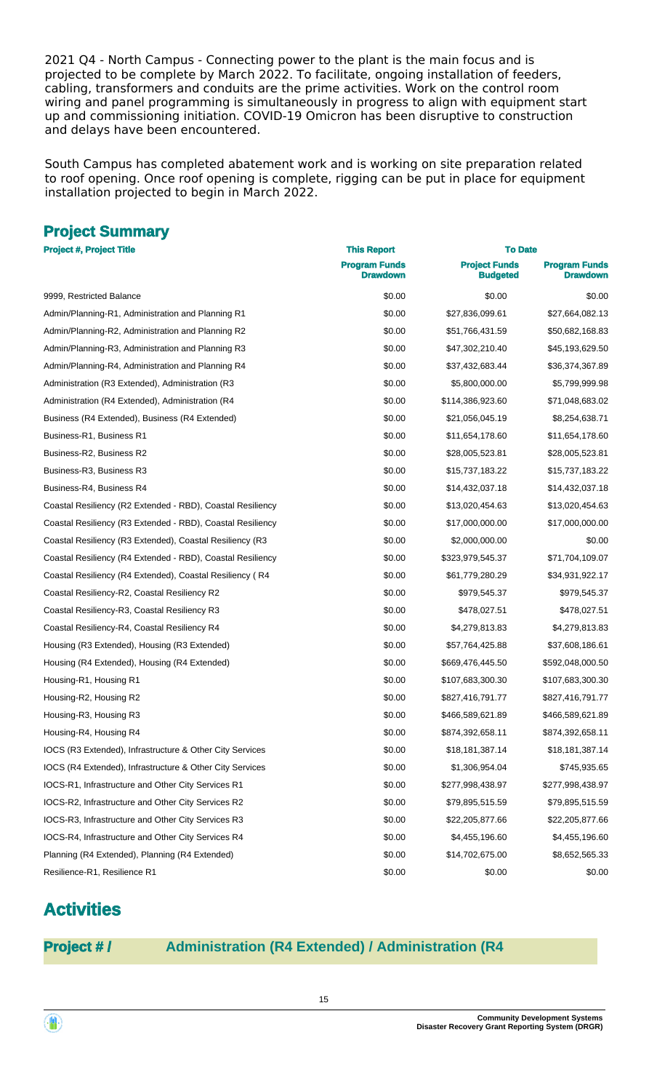2021 Q4 - North Campus - Connecting power to the plant is the main focus and is projected to be complete by March 2022. To facilitate, ongoing installation of feeders, cabling, transformers and conduits are the prime activities. Work on the control room wiring and panel programming is simultaneously in progress to align with equipment start up and commissioning initiation. COVID-19 Omicron has been disruptive to construction and delays have been encountered.

South Campus has completed abatement work and is working on site preparation related to roof opening. Once roof opening is complete, rigging can be put in place for equipment installation projected to begin in March 2022.

# **Project Summary**

| <b>Project #, Project Title</b>                            | <b>This Report</b>               | <b>To Date</b>                          |                                  |  |
|------------------------------------------------------------|----------------------------------|-----------------------------------------|----------------------------------|--|
|                                                            | <b>Program Funds</b><br>Drawdown | <b>Project Funds</b><br><b>Budgeted</b> | <b>Program Funds</b><br>Drawdown |  |
| 9999, Restricted Balance                                   | \$0.00                           | \$0.00                                  | \$0.00                           |  |
| Admin/Planning-R1, Administration and Planning R1          | \$0.00                           | \$27,836,099.61                         | \$27,664,082.13                  |  |
| Admin/Planning-R2, Administration and Planning R2          | \$0.00                           | \$51,766,431.59                         | \$50,682,168.83                  |  |
| Admin/Planning-R3, Administration and Planning R3          | \$0.00                           | \$47,302,210.40                         | \$45,193,629.50                  |  |
| Admin/Planning-R4, Administration and Planning R4          | \$0.00                           | \$37,432,683.44                         | \$36,374,367.89                  |  |
| Administration (R3 Extended), Administration (R3           | \$0.00                           | \$5,800,000.00                          | \$5,799,999.98                   |  |
| Administration (R4 Extended), Administration (R4           | \$0.00                           | \$114,386,923.60                        | \$71,048,683.02                  |  |
| Business (R4 Extended), Business (R4 Extended)             | \$0.00                           | \$21,056,045.19                         | \$8,254,638.71                   |  |
| Business-R1, Business R1                                   | \$0.00                           | \$11,654,178.60                         | \$11,654,178.60                  |  |
| Business-R2, Business R2                                   | \$0.00                           | \$28,005,523.81                         | \$28,005,523.81                  |  |
| Business-R3, Business R3                                   | \$0.00                           | \$15,737,183.22                         | \$15,737,183.22                  |  |
| Business-R4, Business R4                                   | \$0.00                           | \$14,432,037.18                         | \$14,432,037.18                  |  |
| Coastal Resiliency (R2 Extended - RBD), Coastal Resiliency | \$0.00                           | \$13,020,454.63                         | \$13,020,454.63                  |  |
| Coastal Resiliency (R3 Extended - RBD), Coastal Resiliency | \$0.00                           | \$17,000,000.00                         | \$17,000,000.00                  |  |
| Coastal Resiliency (R3 Extended), Coastal Resiliency (R3   | \$0.00                           | \$2,000,000.00                          | \$0.00                           |  |
| Coastal Resiliency (R4 Extended - RBD), Coastal Resiliency | \$0.00                           | \$323,979,545.37                        | \$71,704,109.07                  |  |
| Coastal Resiliency (R4 Extended), Coastal Resiliency (R4   | \$0.00                           | \$61,779,280.29                         | \$34,931,922.17                  |  |
| Coastal Resiliency-R2, Coastal Resiliency R2               | \$0.00                           | \$979,545.37                            | \$979,545.37                     |  |
| Coastal Resiliency-R3, Coastal Resiliency R3               | \$0.00                           | \$478,027.51                            | \$478,027.51                     |  |
| Coastal Resiliency-R4, Coastal Resiliency R4               | \$0.00                           | \$4,279,813.83                          | \$4,279,813.83                   |  |
| Housing (R3 Extended), Housing (R3 Extended)               | \$0.00                           | \$57,764,425.88                         | \$37,608,186.61                  |  |
| Housing (R4 Extended), Housing (R4 Extended)               | \$0.00                           | \$669,476,445.50                        | \$592,048,000.50                 |  |
| Housing-R1, Housing R1                                     | \$0.00                           | \$107,683,300.30                        | \$107,683,300.30                 |  |
| Housing-R2, Housing R2                                     | \$0.00                           | \$827,416,791.77                        | \$827,416,791.77                 |  |
| Housing-R3, Housing R3                                     | \$0.00                           | \$466,589,621.89                        | \$466,589,621.89                 |  |
| Housing-R4, Housing R4                                     | \$0.00                           | \$874,392,658.11                        | \$874,392,658.11                 |  |
| IOCS (R3 Extended), Infrastructure & Other City Services   | \$0.00                           | \$18,181,387.14                         | \$18,181,387.14                  |  |
| IOCS (R4 Extended), Infrastructure & Other City Services   | \$0.00                           | \$1,306,954.04                          | \$745,935.65                     |  |
| IOCS-R1, Infrastructure and Other City Services R1         | \$0.00                           | \$277,998,438.97                        | \$277,998,438.97                 |  |
| IOCS-R2, Infrastructure and Other City Services R2         | \$0.00                           | \$79,895,515.59                         | \$79,895,515.59                  |  |
| IOCS-R3, Infrastructure and Other City Services R3         | \$0.00                           | \$22,205,877.66                         | \$22,205,877.66                  |  |
| IOCS-R4, Infrastructure and Other City Services R4         | \$0.00                           | \$4,455,196.60                          | \$4,455,196.60                   |  |
| Planning (R4 Extended), Planning (R4 Extended)             | \$0.00                           | \$14,702,675.00                         | \$8,652,565.33                   |  |
| Resilience-R1, Resilience R1                               | \$0.00                           | \$0.00                                  | \$0.00                           |  |

# **Activities**

# **Project # / Administration (R4 Extended) / Administration (R4**

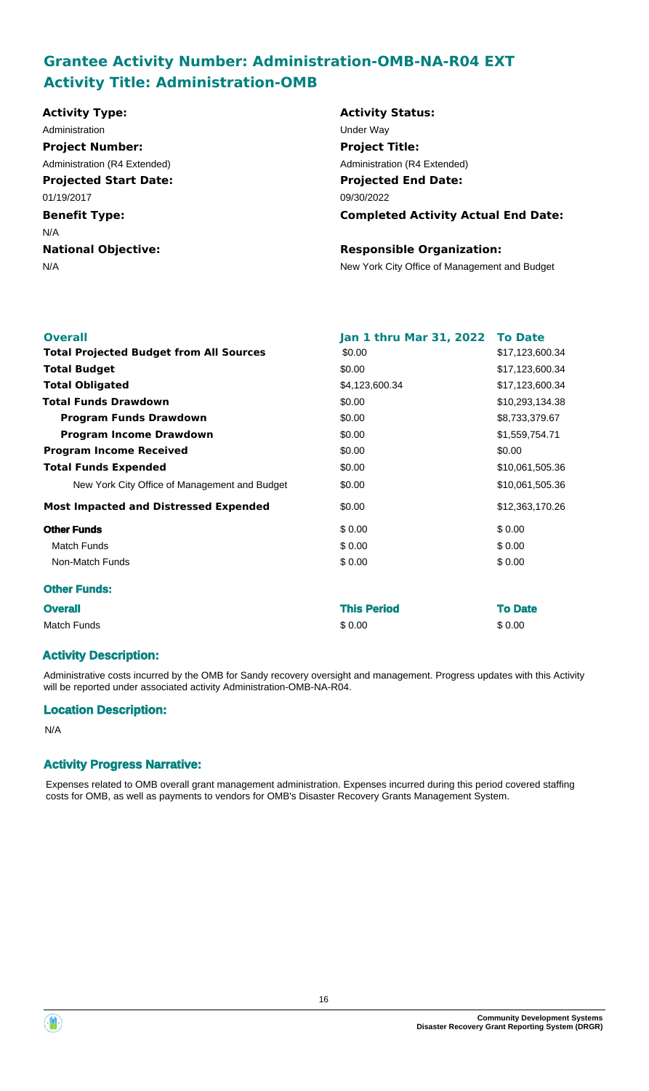# **Grantee Activity Number: Administration-OMB-NA-R04 EXT Activity Title: Administration-OMB**

| <b>Activity Type:</b>        | <b>Activity Status:</b>                       |
|------------------------------|-----------------------------------------------|
| Administration               | Under Way                                     |
| <b>Project Number:</b>       | <b>Project Title:</b>                         |
| Administration (R4 Extended) | Administration (R4 Extended)                  |
| <b>Projected Start Date:</b> | <b>Projected End Date:</b>                    |
| 01/19/2017                   | 09/30/2022                                    |
| <b>Benefit Type:</b>         | <b>Completed Activity Actual End Date:</b>    |
| N/A                          |                                               |
| <b>National Objective:</b>   | <b>Responsible Organization:</b>              |
| N/A                          | New York City Office of Management and Budget |
|                              |                                               |
|                              |                                               |

| <b>Overall</b>                                 | Jan 1 thru Mar 31, 2022 To Date |                 |
|------------------------------------------------|---------------------------------|-----------------|
| <b>Total Projected Budget from All Sources</b> | \$0.00                          | \$17,123,600.34 |
| <b>Total Budget</b>                            | \$0.00                          | \$17,123,600.34 |
| <b>Total Obligated</b>                         | \$4,123,600.34                  | \$17,123,600.34 |
| <b>Total Funds Drawdown</b>                    | \$0.00                          | \$10,293,134.38 |
| <b>Program Funds Drawdown</b>                  | \$0.00                          | \$8,733,379.67  |
| <b>Program Income Drawdown</b>                 | \$0.00                          | \$1,559,754.71  |
| <b>Program Income Received</b>                 | \$0.00                          | \$0.00          |
| <b>Total Funds Expended</b>                    | \$0.00                          | \$10,061,505.36 |
| New York City Office of Management and Budget  | \$0.00                          | \$10,061,505.36 |
| <b>Most Impacted and Distressed Expended</b>   | \$0.00                          | \$12,363,170.26 |
| <b>Other Funds</b>                             | \$0.00                          | \$0.00          |
| <b>Match Funds</b>                             | \$0.00                          | \$0.00          |
| Non-Match Funds                                | \$0.00                          | \$0.00          |
| <b>Other Funds:</b>                            |                                 |                 |
| <b>Overall</b>                                 | <b>This Period</b>              | <b>To Date</b>  |
| Match Funds                                    | \$0.00                          | \$0.00          |

### **Activity Description:**

Administrative costs incurred by the OMB for Sandy recovery oversight and management. Progress updates with this Activity will be reported under associated activity Administration-OMB-NA-R04.

#### **Location Description:**

N/A

### **Activity Progress Narrative:**

Expenses related to OMB overall grant management administration. Expenses incurred during this period covered staffing costs for OMB, as well as payments to vendors for OMB's Disaster Recovery Grants Management System.

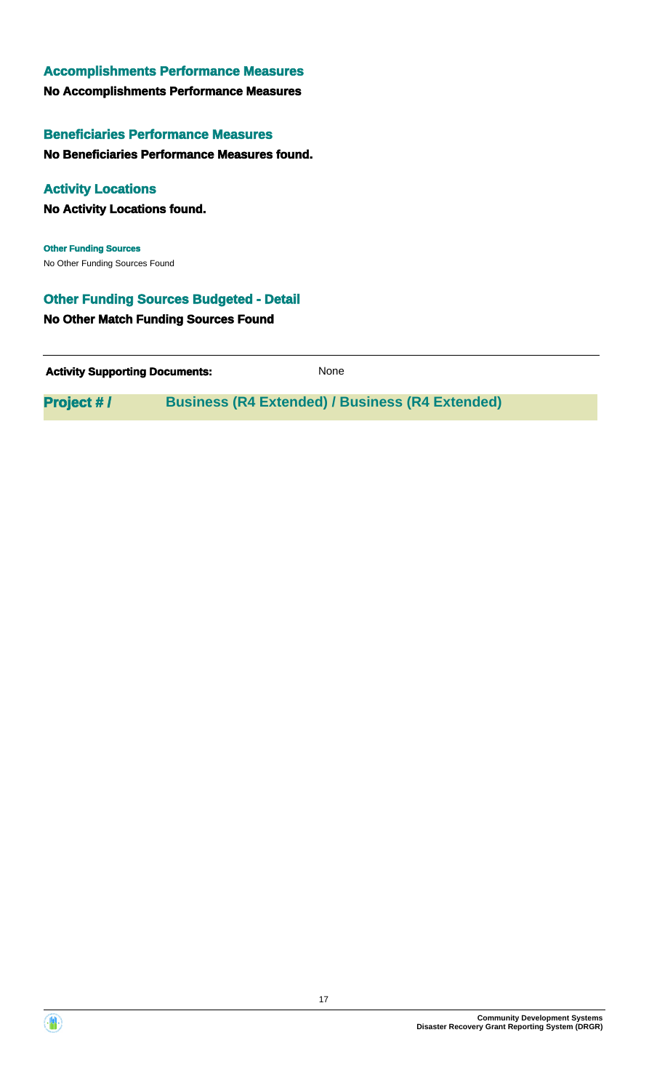# **No Accomplishments Performance Measures Accomplishments Performance Measures**

**No Beneficiaries Performance Measures found. Beneficiaries Performance Measures**

# **Activity Locations**

**No Activity Locations found.**

No Other Funding Sources Found **Other Funding Sources**

# **Other Funding Sources Budgeted - Detail**

**No Other Match Funding Sources Found**

**Activity Supporting Documents:** None

**Project #/ Business (R4 Extended) / Business (R4 Extended)** 



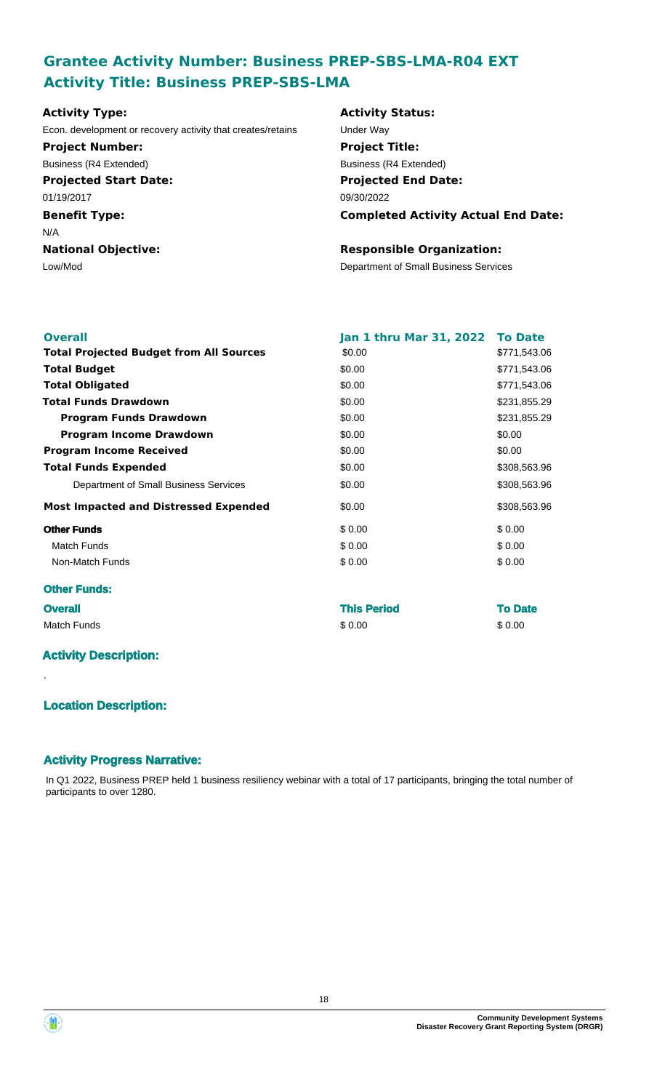# **Grantee Activity Number: Business PREP-SBS-LMA-R04 EXT Activity Title: Business PREP-SBS-LMA**

# **Activity Type:**

Econ. development or recovery activity that creates/retains Under Way **Project Number:**

**Projected Start Date:** 01/19/2017 Business (R4 Extended)

# **Benefit Type:**

N/A

**National Objective:**

# **Activity Status: Projected End Date: Completed Activity Actual End Date:** 09/30/2022 **Project Title:** Business (R4 Extended)

### **Responsible Organization:**

Low/Mod Department of Small Business Services

| <b>Overall</b>                                 | <b>Jan 1 thru Mar 31, 2022</b> | <b>To Date</b> |
|------------------------------------------------|--------------------------------|----------------|
| <b>Total Projected Budget from All Sources</b> | \$0.00                         | \$771,543.06   |
| <b>Total Budget</b>                            | \$0.00                         | \$771,543.06   |
| <b>Total Obligated</b>                         | \$0.00                         | \$771,543.06   |
| <b>Total Funds Drawdown</b>                    | \$0.00                         | \$231,855.29   |
| <b>Program Funds Drawdown</b>                  | \$0.00                         | \$231,855.29   |
| <b>Program Income Drawdown</b>                 | \$0.00                         | \$0.00         |
| <b>Program Income Received</b>                 | \$0.00                         | \$0.00         |
| <b>Total Funds Expended</b>                    | \$0.00                         | \$308,563.96   |
| Department of Small Business Services          | \$0.00                         | \$308,563.96   |
| <b>Most Impacted and Distressed Expended</b>   | \$0.00                         | \$308,563.96   |
| <b>Other Funds</b>                             | \$0.00                         | \$0.00         |
| <b>Match Funds</b>                             | \$0.00                         | \$0.00         |
| Non-Match Funds                                | \$0.00                         | \$0.00         |
| <b>Other Funds:</b>                            |                                |                |
| <b>Overall</b>                                 | <b>This Period</b>             | <b>To Date</b> |
| <b>Match Funds</b>                             | \$0.00                         | \$0.00         |

# **Activity Description:**

.

# **Location Description:**

### **Activity Progress Narrative:**

In Q1 2022, Business PREP held 1 business resiliency webinar with a total of 17 participants, bringing the total number of participants to over 1280.



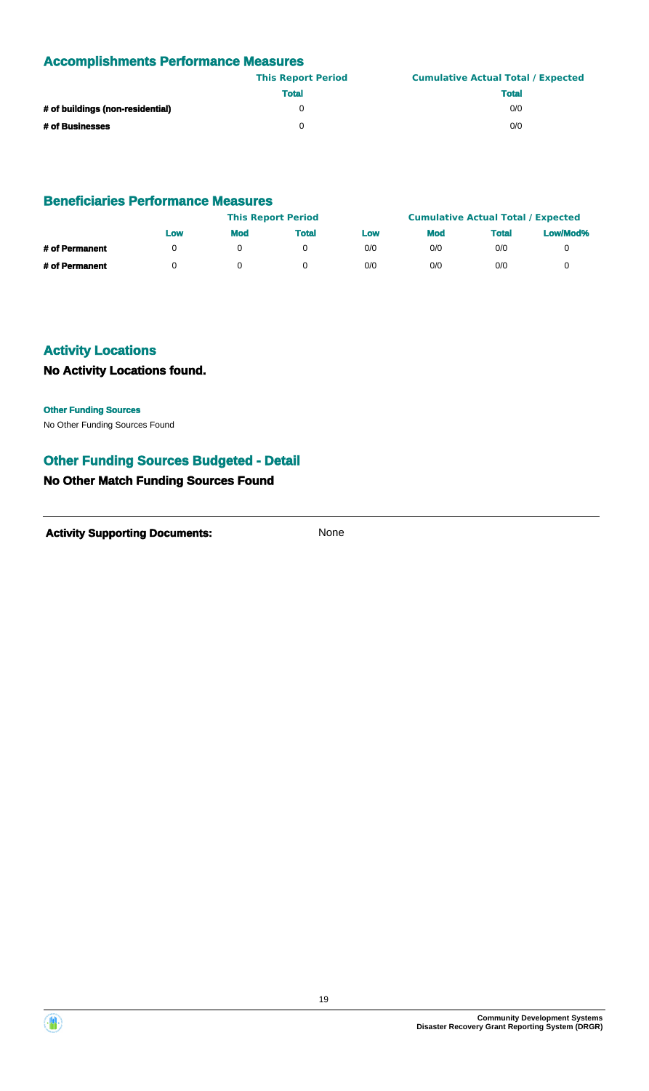# **Accomplishments Performance Measures**

|                                  | <b>This Report Period</b> | <b>Cumulative Actual Total / Expected</b> |
|----------------------------------|---------------------------|-------------------------------------------|
|                                  | <b>Total</b>              | <b>Total</b>                              |
| # of buildings (non-residential) |                           | 0/0                                       |
| # of Businesses                  |                           | 0/0                                       |

#### **Beneficiaries Performance Measures**

|                | <b>This Report Period</b> |            |       |     | <b>Cumulative Actual Total / Expected</b> |              |          |
|----------------|---------------------------|------------|-------|-----|-------------------------------------------|--------------|----------|
|                | Low                       | <b>Mod</b> | Total | Low | <b>Mod</b>                                | <b>Total</b> | Low/Mod% |
| # of Permanent |                           |            |       | 0/0 | 0/0                                       | 0/0          |          |
| # of Permanent |                           |            |       | 0/0 | 0/0                                       | 0/0          |          |

# **Activity Locations**

### **No Activity Locations found.**

#### **Other Funding Sources**

No Other Funding Sources Found

### **Other Funding Sources Budgeted - Detail**

### **No Other Match Funding Sources Found**



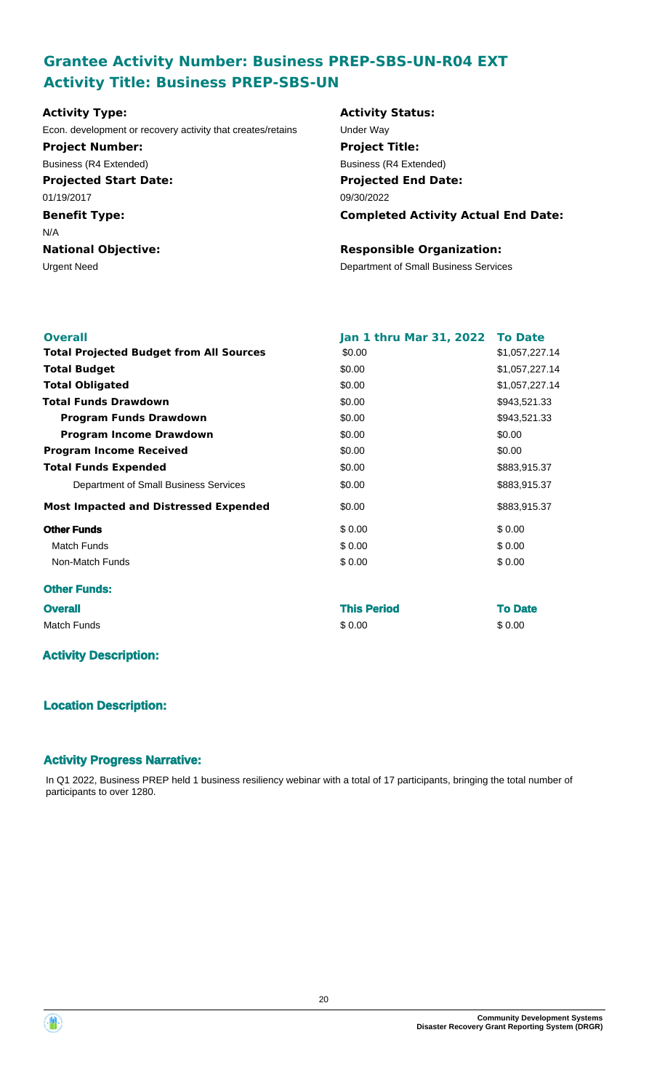# **Grantee Activity Number: Business PREP-SBS-UN-R04 EXT Activity Title: Business PREP-SBS-UN**

# **Projected Start Date: Benefit Type:** Urgent Need **Department of Small Business Services National Objective: Activity Type:** 01/19/2017 N/A Econ. development or recovery activity that creates/retains Under Way **Project Number:** Business (R4 Extended)

# **Activity Status: Projected End Date: Completed Activity Actual End Date:** 09/30/2022 **Project Title:** Business (R4 Extended)

#### **Responsible Organization:**

| <b>Overall</b>                                 | Jan 1 thru Mar 31, 2022 | <b>To Date</b> |
|------------------------------------------------|-------------------------|----------------|
| <b>Total Projected Budget from All Sources</b> | \$0.00                  | \$1,057,227.14 |
| <b>Total Budget</b>                            | \$0.00                  | \$1,057,227.14 |
| <b>Total Obligated</b>                         | \$0.00                  | \$1,057,227.14 |
| <b>Total Funds Drawdown</b>                    | \$0.00                  | \$943,521.33   |
| <b>Program Funds Drawdown</b>                  | \$0.00                  | \$943,521.33   |
| <b>Program Income Drawdown</b>                 | \$0.00                  | \$0.00         |
| <b>Program Income Received</b>                 | \$0.00                  | \$0.00         |
| <b>Total Funds Expended</b>                    | \$0.00                  | \$883,915.37   |
| Department of Small Business Services          | \$0.00                  | \$883,915.37   |
| <b>Most Impacted and Distressed Expended</b>   | \$0.00                  | \$883,915.37   |
| <b>Other Funds</b>                             | \$0.00                  | \$0.00         |
| <b>Match Funds</b>                             | \$0.00                  | \$0.00         |
| Non-Match Funds                                | \$0.00                  | \$0.00         |
| <b>Other Funds:</b>                            |                         |                |
| <b>Overall</b>                                 | <b>This Period</b>      | <b>To Date</b> |
| <b>Match Funds</b>                             | \$0.00                  | \$0.00         |
|                                                |                         |                |

# **Activity Description:**

# **Location Description:**

### **Activity Progress Narrative:**

In Q1 2022, Business PREP held 1 business resiliency webinar with a total of 17 participants, bringing the total number of participants to over 1280.

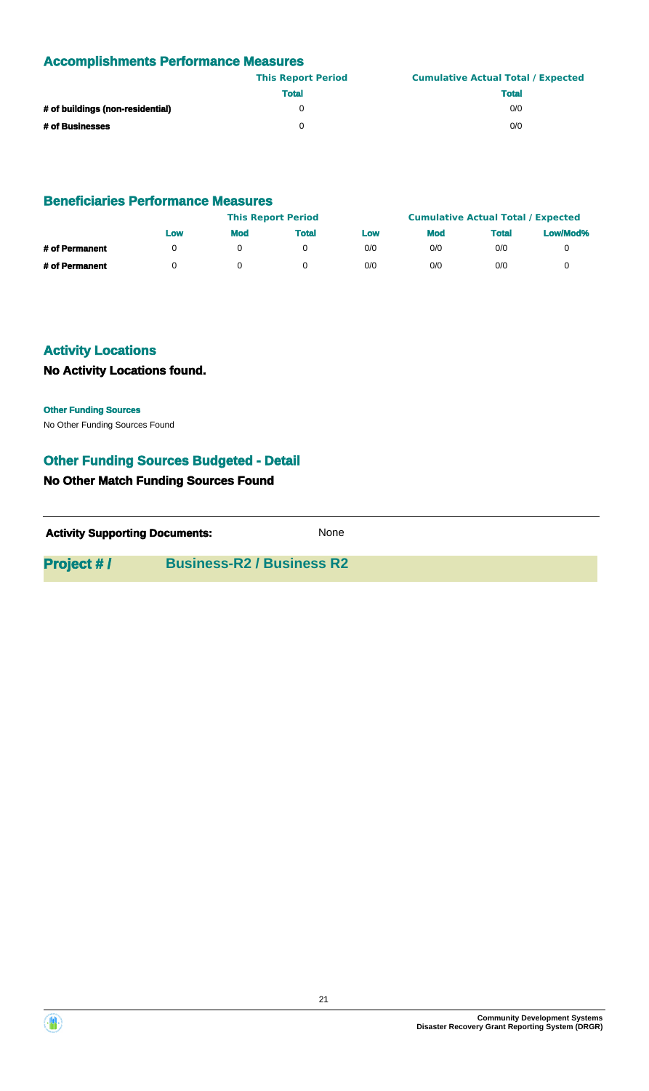# **Accomplishments Performance Measures**

|                                  | <b>This Report Period</b> | <b>Cumulative Actual Total / Expected</b> |
|----------------------------------|---------------------------|-------------------------------------------|
|                                  | <b>Total</b>              | <b>Total</b>                              |
| # of buildings (non-residential) |                           | 0/0                                       |
| # of Businesses                  |                           | 0/0                                       |

#### **Beneficiaries Performance Measures**

|                |     | <b>This Report Period</b> |       |     | <b>Cumulative Actual Total / Expected</b> |              |          |
|----------------|-----|---------------------------|-------|-----|-------------------------------------------|--------------|----------|
|                | Low | <b>Mod</b>                | Total | Low | <b>Mod</b>                                | <b>Total</b> | Low/Mod% |
| # of Permanent |     |                           |       | 0/0 | 0/0                                       | 0/0          |          |
| # of Permanent |     |                           |       | 0/0 | 0/0                                       | 0/0          |          |

# **Activity Locations**

# **No Activity Locations found.**

#### **Other Funding Sources**

No Other Funding Sources Found

### **Other Funding Sources Budgeted - Detail**

### **No Other Match Funding Sources Found**

| <b>Activity Supporting Documents:</b> |                                  | None |  |
|---------------------------------------|----------------------------------|------|--|
| <b>Project #/</b>                     | <b>Business-R2 / Business R2</b> |      |  |

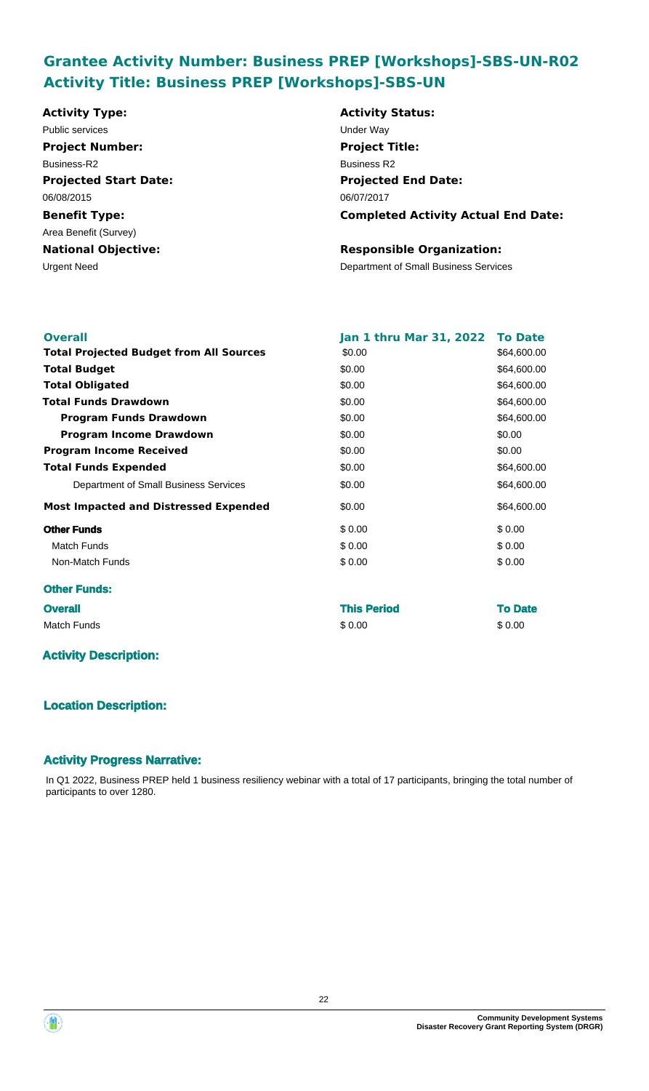# **Grantee Activity Number: Business PREP [Workshops]-SBS-UN-R02 Activity Title: Business PREP [Workshops]-SBS-UN**

| <b>Activity Type:</b>        | <b>Activity Status:</b>                    |
|------------------------------|--------------------------------------------|
| Public services              | Under Way                                  |
| <b>Project Number:</b>       | <b>Project Title:</b>                      |
| Business-R2                  | <b>Business R2</b>                         |
| <b>Projected Start Date:</b> | <b>Projected End Date:</b>                 |
| 06/08/2015                   | 06/07/2017                                 |
| <b>Benefit Type:</b>         | <b>Completed Activity Actual End Date:</b> |
| Area Benefit (Survey)        |                                            |
| <b>National Objective:</b>   | <b>Responsible Organization:</b>           |
| Urgent Need                  | Department of Small Business Services      |
|                              |                                            |
|                              |                                            |

| <b>Overall</b>                                 | <b>Jan 1 thru Mar 31, 2022</b> | <b>To Date</b> |
|------------------------------------------------|--------------------------------|----------------|
| <b>Total Projected Budget from All Sources</b> | \$0.00                         | \$64,600.00    |
| <b>Total Budget</b>                            | \$0.00                         | \$64,600.00    |
| <b>Total Obligated</b>                         | \$0.00                         | \$64,600.00    |
| <b>Total Funds Drawdown</b>                    | \$0.00                         | \$64,600.00    |
| <b>Program Funds Drawdown</b>                  | \$0.00                         | \$64,600.00    |
| <b>Program Income Drawdown</b>                 | \$0.00                         | \$0.00         |
| <b>Program Income Received</b>                 | \$0.00                         | \$0.00         |
| <b>Total Funds Expended</b>                    | \$0.00                         | \$64,600.00    |
| Department of Small Business Services          | \$0.00                         | \$64,600.00    |
| <b>Most Impacted and Distressed Expended</b>   | \$0.00                         | \$64,600.00    |
| <b>Other Funds</b>                             | \$0.00                         | \$0.00         |
| <b>Match Funds</b>                             | \$0.00                         | \$0.00         |
| Non-Match Funds                                | \$0.00                         | \$0.00         |
| <b>Other Funds:</b>                            |                                |                |
| <b>Overall</b>                                 | <b>This Period</b>             | <b>To Date</b> |
| <b>Match Funds</b>                             | \$0.00                         | \$0.00         |

### **Activity Description:**

### **Location Description:**

#### **Activity Progress Narrative:**

In Q1 2022, Business PREP held 1 business resiliency webinar with a total of 17 participants, bringing the total number of participants to over 1280.

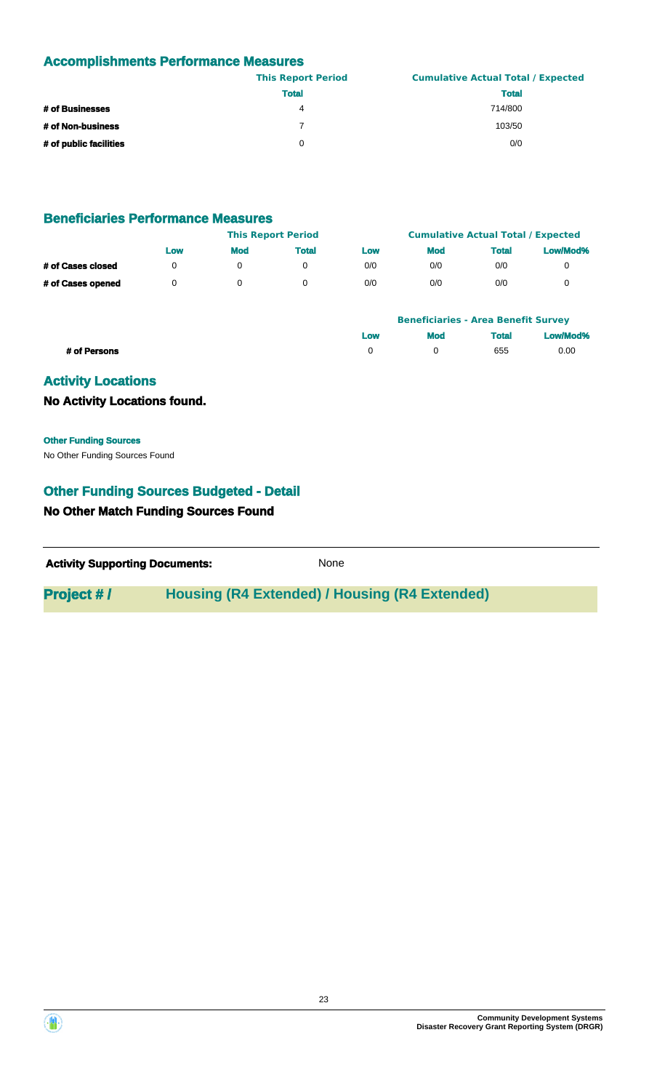# **Accomplishments Performance Measures**

|                        | <b>This Report Period</b> | <b>Cumulative Actual Total / Expected</b> |
|------------------------|---------------------------|-------------------------------------------|
|                        | <b>Total</b>              | <b>Total</b>                              |
| # of Businesses        | 4                         | 714/800                                   |
| # of Non-business      |                           | 103/50                                    |
| # of public facilities | 0                         | 0/0                                       |

### **Beneficiaries Performance Measures**

|                   | <b>This Report Period</b> |            |              |     | <b>Cumulative Actual Total / Expected</b> |              |          |
|-------------------|---------------------------|------------|--------------|-----|-------------------------------------------|--------------|----------|
|                   | Low                       | <b>Mod</b> | <b>Total</b> | Low | <b>Mod</b>                                | <b>Total</b> | Low/Mod% |
| # of Cases closed | 0                         |            |              | 0/0 | 0/0                                       | 0/0          |          |
| # of Cases opened |                           |            |              | 0/0 | 0/0                                       | 0/0          |          |

|              |     | <b>Beneficiaries - Area Benefit Survey</b> |              |          |
|--------------|-----|--------------------------------------------|--------------|----------|
|              | Low | <b>Mod</b>                                 | <b>Total</b> | Low/Mod% |
| # of Persons |     |                                            | 655          | 0.00     |

# **Activity Locations**

#### **No Activity Locations found.**

No Other Funding Sources Found **Other Funding Sources**

# **Other Funding Sources Budgeted - Detail**

### **No Other Match Funding Sources Found**

| <b>Activity Supporting Documents:</b> | None |
|---------------------------------------|------|
|                                       |      |

# **Project #/ Housing (R4 Extended) / Housing (R4 Extended)**



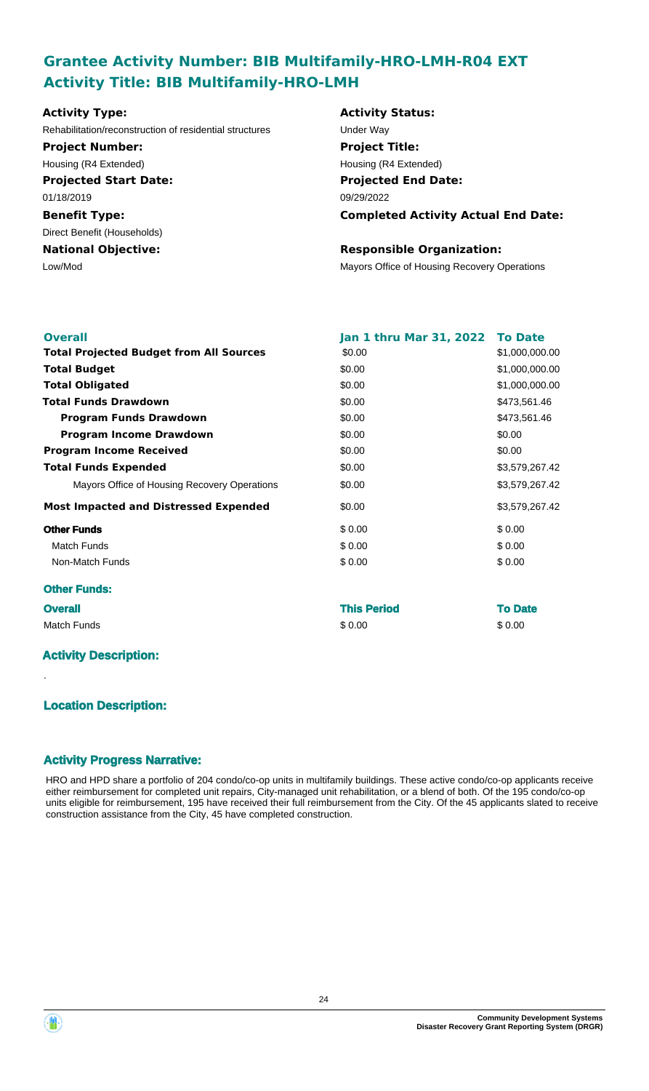# **Grantee Activity Number: BIB Multifamily-HRO-LMH-R04 EXT Activity Title: BIB Multifamily-HRO-LMH**

| <b>Activity Type:</b>                                   | <b>Activity Status:</b>                      |
|---------------------------------------------------------|----------------------------------------------|
| Rehabilitation/reconstruction of residential structures | Under Way                                    |
| <b>Project Number:</b>                                  | <b>Project Title:</b>                        |
| Housing (R4 Extended)                                   | Housing (R4 Extended)                        |
| <b>Projected Start Date:</b>                            | <b>Projected End Date:</b>                   |
| 01/18/2019                                              | 09/29/2022                                   |
| <b>Benefit Type:</b>                                    | <b>Completed Activity Actual End Date:</b>   |
| Direct Benefit (Households)                             |                                              |
| <b>National Objective:</b>                              | <b>Responsible Organization:</b>             |
| Low/Mod                                                 | Mayors Office of Housing Recovery Operations |

| <b>Overall</b>                                 | Jan 1 thru Mar 31, 2022 To Date |                |
|------------------------------------------------|---------------------------------|----------------|
| <b>Total Projected Budget from All Sources</b> | \$0.00                          | \$1,000,000.00 |
| <b>Total Budget</b>                            | \$0.00                          | \$1,000,000.00 |
| <b>Total Obligated</b>                         | \$0.00                          | \$1,000,000.00 |
| <b>Total Funds Drawdown</b>                    | \$0.00                          | \$473,561.46   |
| <b>Program Funds Drawdown</b>                  | \$0.00                          | \$473,561.46   |
| <b>Program Income Drawdown</b>                 | \$0.00                          | \$0.00         |
| <b>Program Income Received</b>                 | \$0.00                          | \$0.00         |
| <b>Total Funds Expended</b>                    | \$0.00                          | \$3,579,267.42 |
| Mayors Office of Housing Recovery Operations   | \$0.00                          | \$3,579,267.42 |
| <b>Most Impacted and Distressed Expended</b>   | \$0.00                          | \$3,579,267.42 |
| <b>Other Funds</b>                             | \$0.00                          | \$0.00         |
| <b>Match Funds</b>                             | \$0.00                          | \$0.00         |
| Non-Match Funds                                | \$0.00                          | \$0.00         |
| <b>Other Funds:</b>                            |                                 |                |
| <b>Overall</b>                                 | <b>This Period</b>              | <b>To Date</b> |
| <b>Match Funds</b>                             | \$0.00                          | \$0.00         |
| <b>Activity Description:</b>                   |                                 |                |

# **Location Description:**

.

### **Activity Progress Narrative:**

HRO and HPD share a portfolio of 204 condo/co-op units in multifamily buildings. These active condo/co-op applicants receive either reimbursement for completed unit repairs, City-managed unit rehabilitation, or a blend of both. Of the 195 condo/co-op units eligible for reimbursement, 195 have received their full reimbursement from the City. Of the 45 applicants slated to receive construction assistance from the City, 45 have completed construction.

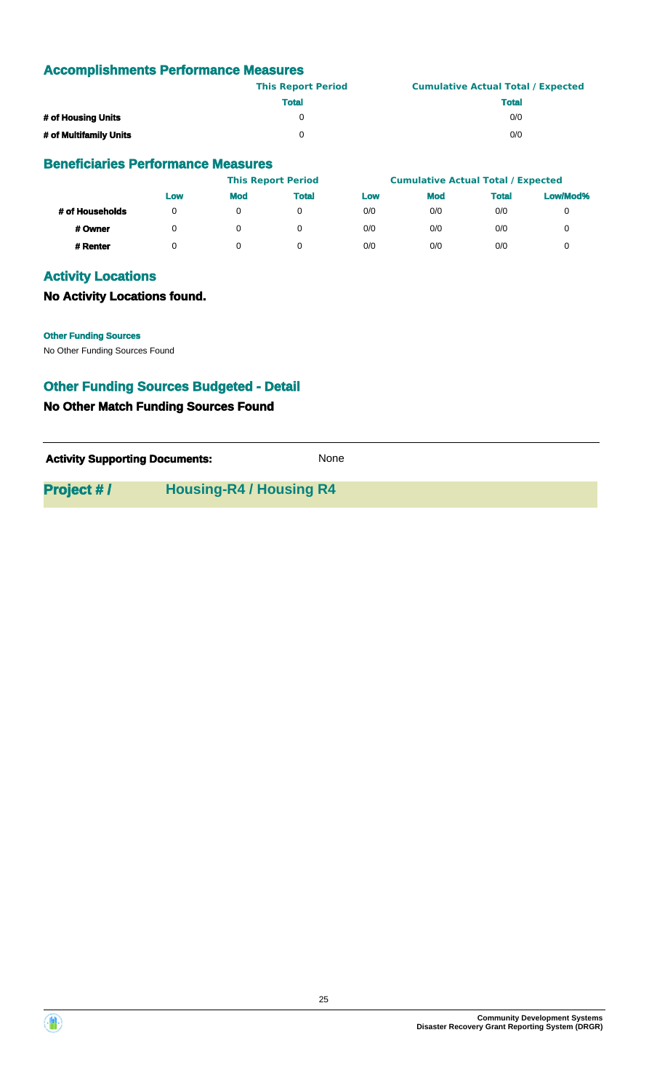# **Accomplishments Performance Measures**

|                        | <b>This Report Period</b> | <b>Cumulative Actual Total / Expected</b> |
|------------------------|---------------------------|-------------------------------------------|
|                        | <b>Total</b>              | <b>Total</b>                              |
| # of Housing Units     |                           | 0/0                                       |
| # of Multifamily Units |                           | 0/0                                       |

#### **Beneficiaries Performance Measures**

|                 |     |            | <b>This Report Period</b> |     | <b>Cumulative Actual Total / Expected</b> |              |          |
|-----------------|-----|------------|---------------------------|-----|-------------------------------------------|--------------|----------|
|                 | Low | <b>Mod</b> | <b>Total</b>              | Low | <b>Mod</b>                                | <b>Total</b> | Low/Mod% |
| # of Households | 0   |            |                           | 0/0 | 0/0                                       | 0/0          | 0        |
| # Owner         | 0   |            |                           | 0/0 | 0/0                                       | 0/0          | 0        |
| # Renter        |     |            |                           | 0/0 | 0/0                                       | 0/0          |          |

### **Activity Locations**

#### **No Activity Locations found.**

**Other Funding Sources**

No Other Funding Sources Found

### **Other Funding Sources Budgeted - Detail**

#### **No Other Match Funding Sources Found**

| <b>Activity Supporting Documents:</b> | None |
|---------------------------------------|------|
|---------------------------------------|------|

**Project # / Housing-R4 / Housing R4**



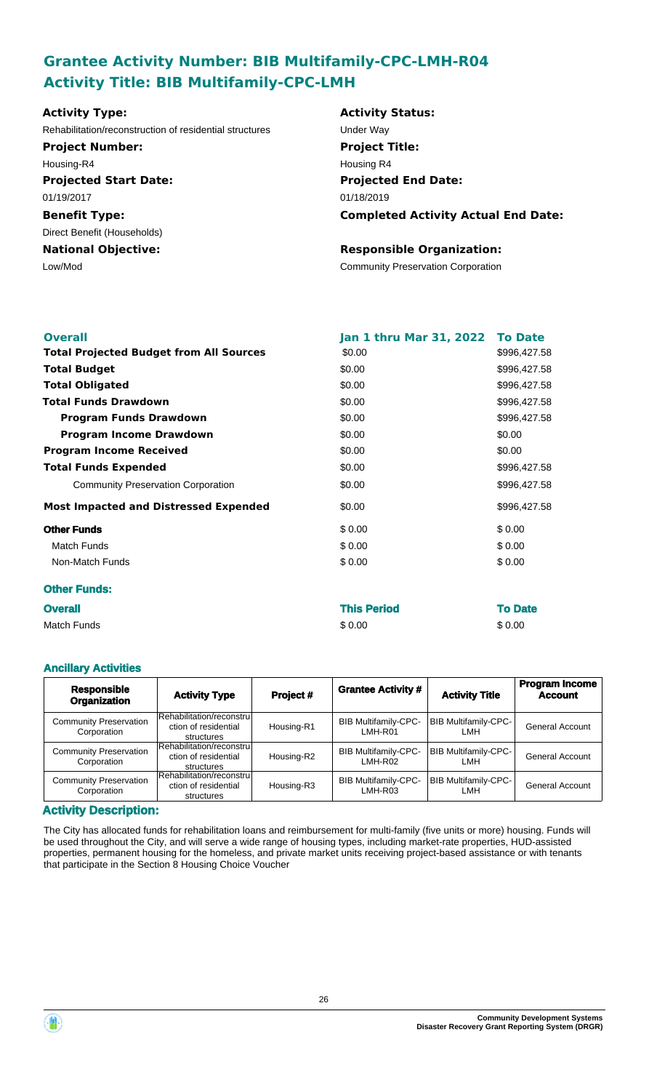# **Grantee Activity Number: BIB Multifamily-CPC-LMH-R04 Activity Title: BIB Multifamily-CPC-LMH**

| <b>Projected End Date:</b>                 |
|--------------------------------------------|
|                                            |
|                                            |
|                                            |
|                                            |
|                                            |
| <b>Completed Activity Actual End Date:</b> |
|                                            |
| <b>Responsible Organization:</b>           |
| <b>Community Preservation Corporation</b>  |
|                                            |

| <b>Overall</b>                                 | Jan 1 thru Mar 31, 2022 To Date |              |
|------------------------------------------------|---------------------------------|--------------|
| <b>Total Projected Budget from All Sources</b> | \$0.00                          | \$996,427.58 |
| <b>Total Budget</b>                            | \$0.00                          | \$996,427.58 |
| <b>Total Obligated</b>                         | \$0.00                          | \$996,427.58 |
| <b>Total Funds Drawdown</b>                    | \$0.00                          | \$996,427.58 |
| <b>Program Funds Drawdown</b>                  | \$0.00                          | \$996,427.58 |
| <b>Program Income Drawdown</b>                 | \$0.00                          | \$0.00       |
| <b>Program Income Received</b>                 | \$0.00                          | \$0.00       |
| <b>Total Funds Expended</b>                    | \$0.00                          | \$996,427.58 |
| <b>Community Preservation Corporation</b>      | \$0.00                          | \$996,427.58 |
| <b>Most Impacted and Distressed Expended</b>   | \$0.00                          | \$996,427.58 |
| <b>Other Funds</b>                             | \$0.00                          | \$0.00       |
| <b>Match Funds</b>                             | \$0.00                          | \$0.00       |
| Non-Match Funds                                | \$0.00                          | \$0.00       |
| <b>Other Funds:</b>                            |                                 |              |
| <b>A. 11</b>                                   | アレショ あんよんは                      | T. R.L.      |

| <b>Overall</b> | <b>This Period</b> | <b>To Date</b> |
|----------------|--------------------|----------------|
| Match Funds    | \$0.00             | \$0.00         |

#### **Ancillary Activities**

| <b>Responsible</b><br><b>Organization</b>    | <b>Activity Type</b>                                            | Project #  | <b>Grantee Activity #</b>              | <b>Activity Title</b>               | <b>Program Income</b><br><b>Account</b> |
|----------------------------------------------|-----------------------------------------------------------------|------------|----------------------------------------|-------------------------------------|-----------------------------------------|
| <b>Community Preservation</b><br>Corporation | Rehabilitation/reconstrul<br>ction of residential<br>structures | Housing-R1 | <b>BIB Multifamily-CPC-</b><br>LMH-R01 | <b>BIB Multifamily-CPC-</b><br>I MH | <b>General Account</b>                  |
| <b>Community Preservation</b><br>Corporation | Rehabilitation/reconstrul<br>ction of residential<br>structures | Housing-R2 | <b>BIB Multifamily-CPC-</b><br>LMH-R02 | <b>BIB Multifamily-CPC-</b><br>I MH | <b>General Account</b>                  |
| <b>Community Preservation</b><br>Corporation | Rehabilitation/reconstrul<br>ction of residential<br>structures | Housing-R3 | <b>BIB Multifamily-CPC-</b><br>LMH-R03 | <b>BIB Multifamily-CPC-</b><br>I MH | General Account                         |

#### **Activity Description:**

The City has allocated funds for rehabilitation loans and reimbursement for multi-family (five units or more) housing. Funds will be used throughout the City, and will serve a wide range of housing types, including market-rate properties, HUD-assisted properties, permanent housing for the homeless, and private market units receiving project-based assistance or with tenants that participate in the Section 8 Housing Choice Voucher

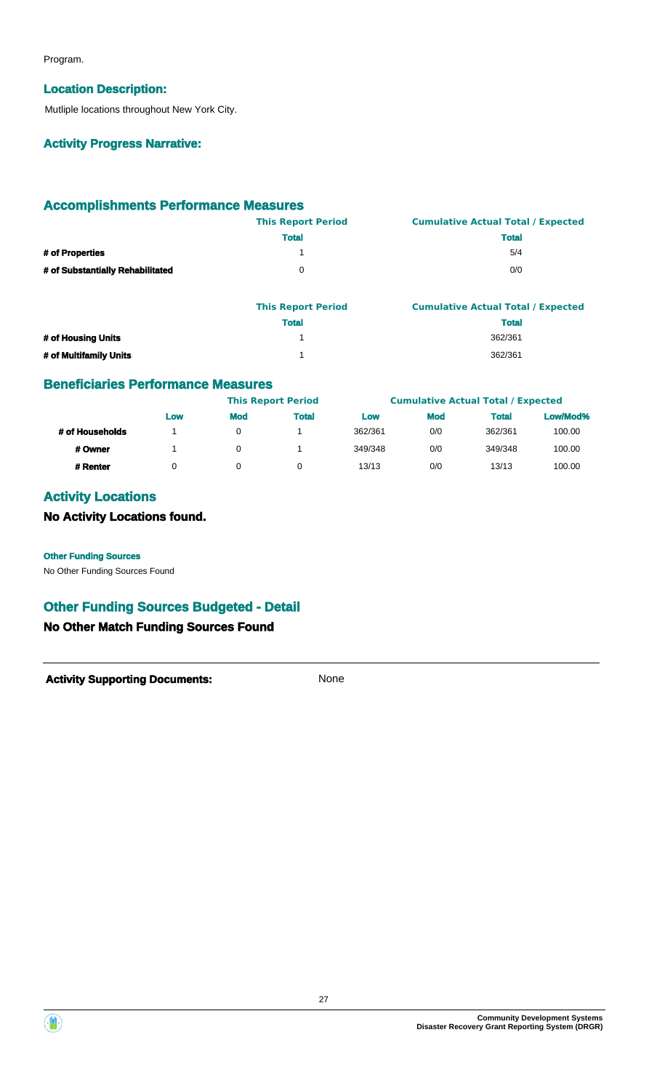Program.

#### **Location Description:**

Mutliple locations throughout New York City.

#### **Activity Progress Narrative:**

### **Accomplishments Performance Measures**

|                                  | <b>This Report Period</b> | <b>Cumulative Actual Total / Expected</b> |
|----------------------------------|---------------------------|-------------------------------------------|
|                                  | <b>Total</b>              | <b>Total</b>                              |
| # of Properties                  |                           | 5/4                                       |
| # of Substantially Rehabilitated | 0                         | 0/0                                       |
|                                  |                           |                                           |

|                        | <b>This Report Period</b> | <b>Cumulative Actual Total / Expected</b> |
|------------------------|---------------------------|-------------------------------------------|
|                        | <b>Total</b>              | <b>Total</b>                              |
| # of Housing Units     |                           | 362/361                                   |
| # of Multifamily Units |                           | 362/361                                   |

### **Beneficiaries Performance Measures**

|                 |     | <b>This Report Period</b> |              |         |            | <b>Cumulative Actual Total / Expected</b> |          |
|-----------------|-----|---------------------------|--------------|---------|------------|-------------------------------------------|----------|
|                 | Low | <b>Mod</b>                | <b>Total</b> | Low     | <b>Mod</b> | <b>Total</b>                              | Low/Mod% |
| # of Households |     | 0                         |              | 362/361 | 0/0        | 362/361                                   | 100.00   |
| # Owner         |     | 0                         |              | 349/348 | 0/0        | 349/348                                   | 100.00   |
| # Renter        | 0   |                           |              | 13/13   | 0/0        | 13/13                                     | 100.00   |

# **Activity Locations**

**No Activity Locations found.**

**Other Funding Sources**

No Other Funding Sources Found

# **Other Funding Sources Budgeted - Detail**

### **No Other Match Funding Sources Found**



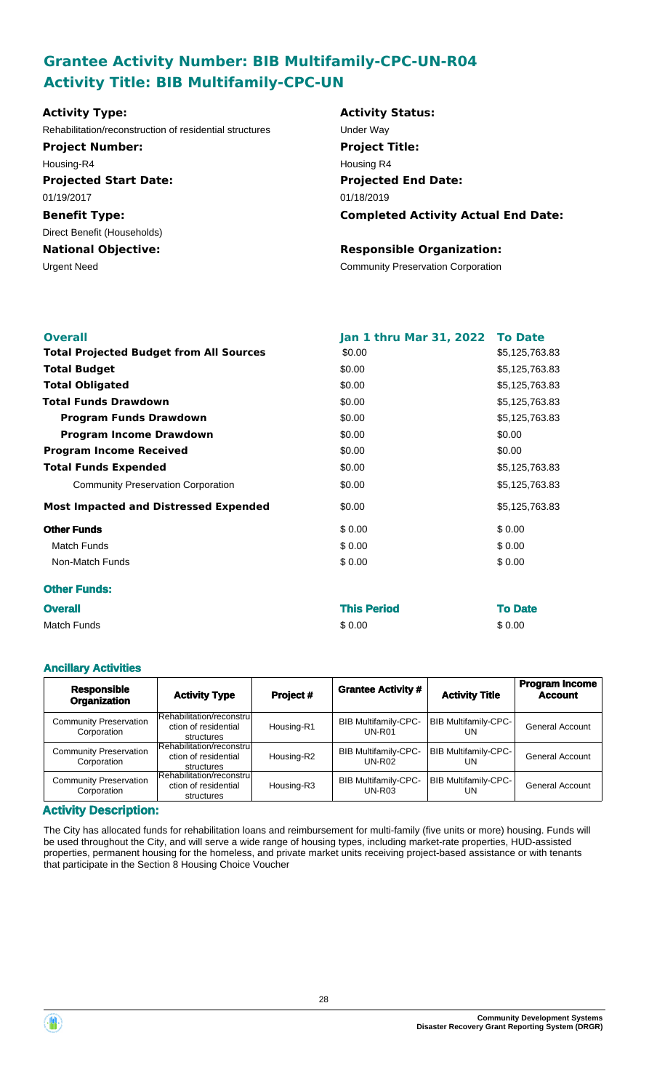# **Grantee Activity Number: BIB Multifamily-CPC-UN-R04 Activity Title: BIB Multifamily-CPC-UN**

| <b>Activity Type:</b>                                   | <b>Activity Status:</b>                    |
|---------------------------------------------------------|--------------------------------------------|
| Rehabilitation/reconstruction of residential structures | Under Way                                  |
| <b>Project Number:</b>                                  | <b>Project Title:</b>                      |
| Housing-R4                                              | Housing R4                                 |
| <b>Projected Start Date:</b>                            | <b>Projected End Date:</b>                 |
| 01/19/2017                                              | 01/18/2019                                 |
| <b>Benefit Type:</b>                                    | <b>Completed Activity Actual End Date:</b> |
| Direct Benefit (Households)                             |                                            |
| <b>National Objective:</b>                              | <b>Responsible Organization:</b>           |
| Urgent Need                                             | <b>Community Preservation Corporation</b>  |
|                                                         |                                            |
|                                                         |                                            |

| <b>Overall</b>                                 | Jan 1 thru Mar 31, 2022 To Date |                |
|------------------------------------------------|---------------------------------|----------------|
| <b>Total Projected Budget from All Sources</b> | \$0.00                          | \$5,125,763.83 |
| <b>Total Budget</b>                            | \$0.00                          | \$5,125,763.83 |
| <b>Total Obligated</b>                         | \$0.00                          | \$5,125,763.83 |
| <b>Total Funds Drawdown</b>                    | \$0.00                          | \$5,125,763.83 |
| <b>Program Funds Drawdown</b>                  | \$0.00                          | \$5,125,763.83 |
| <b>Program Income Drawdown</b>                 | \$0.00                          | \$0.00         |
| <b>Program Income Received</b>                 | \$0.00                          | \$0.00         |
| <b>Total Funds Expended</b>                    | \$0.00                          | \$5,125,763.83 |
| <b>Community Preservation Corporation</b>      | \$0.00                          | \$5,125,763.83 |
| <b>Most Impacted and Distressed Expended</b>   | \$0.00                          | \$5,125,763.83 |
| <b>Other Funds</b>                             | \$0.00                          | \$0.00         |
| <b>Match Funds</b>                             | \$0.00                          | \$0.00         |
| Non-Match Funds                                | \$0.00                          | \$0.00         |
| <b>Other Funds:</b>                            |                                 |                |
| <b>Overall</b>                                 | <b>This Period</b>              | <b>To Date</b> |

| <b>Overall</b> | This Period | <b>10 Date</b> |
|----------------|-------------|----------------|
| Match Funds    | \$0.00      | \$0.00         |

#### **Ancillary Activities**

| <b>Responsible</b><br><b>Organization</b>    | <b>Activity Type</b>                                            | Project #  | <b>Grantee Activity #</b>                    | <b>Activity Title</b>             | <b>Program Income</b><br><b>Account</b> |
|----------------------------------------------|-----------------------------------------------------------------|------------|----------------------------------------------|-----------------------------------|-----------------------------------------|
| <b>Community Preservation</b><br>Corporation | Rehabilitation/reconstru<br>ction of residential<br>structures  | Housing-R1 | <b>BIB Multifamily-CPC-</b><br>$UN-R01$      | <b>BIB Multifamily-CPC-</b><br>UN | <b>General Account</b>                  |
| <b>Community Preservation</b><br>Corporation | Rehabilitation/reconstrul<br>ction of residential<br>structures | Housing-R2 | <b>BIB Multifamily-CPC-</b><br><b>UN-R02</b> | <b>BIB Multifamily-CPC-</b><br>UN | <b>General Account</b>                  |
| <b>Community Preservation</b><br>Corporation | Rehabilitation/reconstrul<br>ction of residential<br>structures | Housing-R3 | <b>BIB Multifamily-CPC-</b><br>$UN-R03$      | <b>BIB Multifamily-CPC-</b><br>UN | <b>General Account</b>                  |

#### **Activity Description:**

The City has allocated funds for rehabilitation loans and reimbursement for multi-family (five units or more) housing. Funds will be used throughout the City, and will serve a wide range of housing types, including market-rate properties, HUD-assisted properties, permanent housing for the homeless, and private market units receiving project-based assistance or with tenants that participate in the Section 8 Housing Choice Voucher

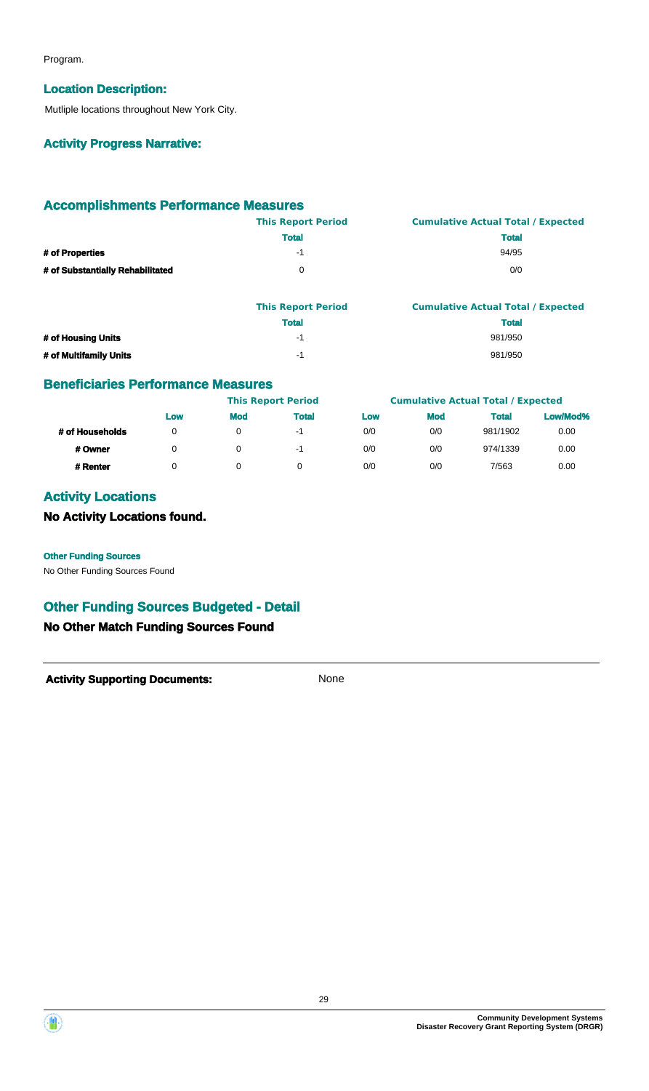Program.

#### **Location Description:**

Mutliple locations throughout New York City.

#### **Activity Progress Narrative:**

### **Accomplishments Performance Measures**

|                                  | <b>This Report Period</b> | <b>Cumulative Actual Total / Expected</b> |
|----------------------------------|---------------------------|-------------------------------------------|
|                                  | <b>Total</b>              | <b>Total</b>                              |
| # of Properties                  | -1                        | 94/95                                     |
| # of Substantially Rehabilitated |                           | 0/0                                       |

|                        | <b>This Report Period</b> | <b>Cumulative Actual Total / Expected</b> |
|------------------------|---------------------------|-------------------------------------------|
|                        | <b>Total</b>              | <b>Total</b>                              |
| # of Housing Units     | -1                        | 981/950                                   |
| # of Multifamily Units | - 1                       | 981/950                                   |

### **Beneficiaries Performance Measures**

|                 |     | <b>This Report Period</b> |              |     | <b>Cumulative Actual Total / Expected</b> |              |          |
|-----------------|-----|---------------------------|--------------|-----|-------------------------------------------|--------------|----------|
|                 | Low | <b>Mod</b>                | <b>Total</b> | Low | <b>Mod</b>                                | <b>Total</b> | Low/Mod% |
| # of Households |     |                           | -1           | 0/0 | 0/0                                       | 981/1902     | 0.00     |
| # Owner         |     |                           | -1           | 0/0 | 0/0                                       | 974/1339     | 0.00     |
| # Renter        |     |                           |              | 0/0 | 0/0                                       | 7/563        | 0.00     |

# **Activity Locations**

**No Activity Locations found.**

#### **Other Funding Sources**

No Other Funding Sources Found

# **Other Funding Sources Budgeted - Detail**

### **No Other Match Funding Sources Found**



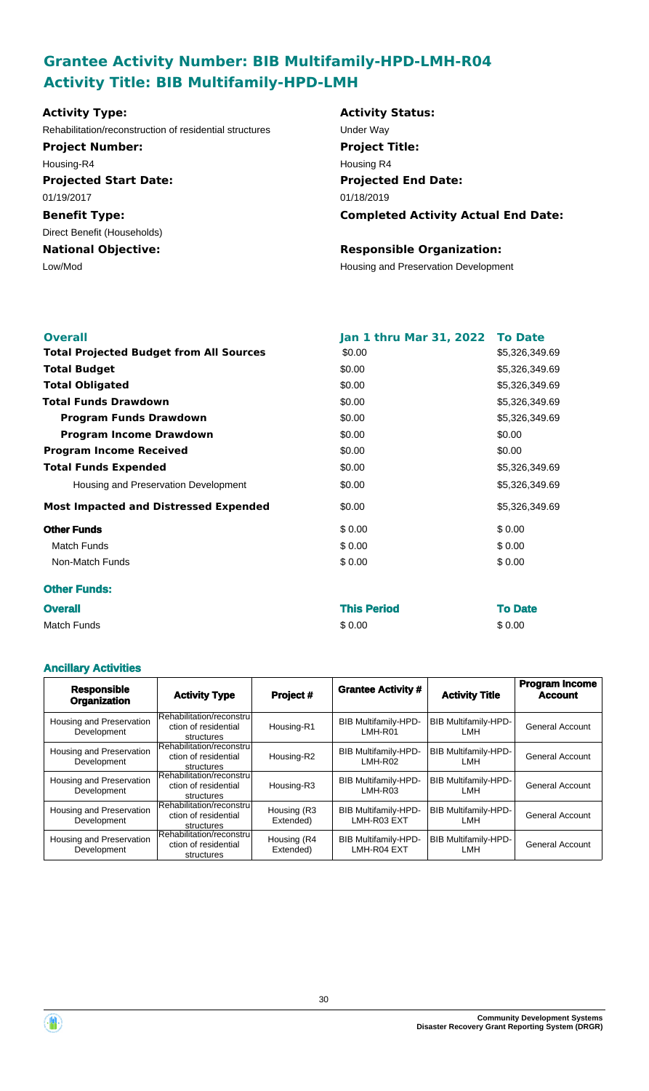# **Grantee Activity Number: BIB Multifamily-HPD-LMH-R04 Activity Title: BIB Multifamily-HPD-LMH**

| Rehabilitation/reconstruction of residential structures<br><b>Project Number:</b><br>Housing-R4 | Under Way<br><b>Project Title:</b>         |
|-------------------------------------------------------------------------------------------------|--------------------------------------------|
|                                                                                                 |                                            |
|                                                                                                 |                                            |
|                                                                                                 | Housing R4                                 |
| <b>Projected Start Date:</b>                                                                    | <b>Projected End Date:</b>                 |
| 01/19/2017                                                                                      | 01/18/2019                                 |
| <b>Benefit Type:</b>                                                                            | <b>Completed Activity Actual End Date:</b> |
| Direct Benefit (Households)                                                                     |                                            |
| <b>National Objective:</b>                                                                      | <b>Responsible Organization:</b>           |
| Low/Mod                                                                                         | Housing and Preservation Development       |

| <b>Overall</b>                                 | Jan 1 thru Mar 31, 2022 To Date |                |
|------------------------------------------------|---------------------------------|----------------|
| <b>Total Projected Budget from All Sources</b> | \$0.00                          | \$5,326,349.69 |
| <b>Total Budget</b>                            | \$0.00                          | \$5,326,349.69 |
| <b>Total Obligated</b>                         | \$0.00                          | \$5,326,349.69 |
| <b>Total Funds Drawdown</b>                    | \$0.00                          | \$5,326,349.69 |
| <b>Program Funds Drawdown</b>                  | \$0.00                          | \$5,326,349.69 |
| <b>Program Income Drawdown</b>                 | \$0.00                          | \$0.00         |
| <b>Program Income Received</b>                 | \$0.00                          | \$0.00         |
| <b>Total Funds Expended</b>                    | \$0.00                          | \$5,326,349.69 |
| Housing and Preservation Development           | \$0.00                          | \$5,326,349.69 |
| <b>Most Impacted and Distressed Expended</b>   | \$0.00                          | \$5,326,349.69 |
| <b>Other Funds</b>                             | \$0.00                          | \$0.00         |
| <b>Match Funds</b>                             | \$0.00                          | \$0.00         |
| Non-Match Funds                                | \$0.00                          | \$0.00         |
| <b>Other Funds:</b>                            |                                 |                |
| <b>Overall</b>                                 | <b>This Period</b>              | <b>To Date</b> |

| Match Funds | \$0.00 | \$0.00 |
|-------------|--------|--------|

#### **Ancillary Activities**

| <b>Responsible</b><br><b>Organization</b> | <b>Activity Type</b>                                            | Project #                | <b>Grantee Activity #</b>                  | <b>Activity Title</b>              | <b>Program Income</b><br><b>Account</b> |
|-------------------------------------------|-----------------------------------------------------------------|--------------------------|--------------------------------------------|------------------------------------|-----------------------------------------|
| Housing and Preservation<br>Development   | Rehabilitation/reconstru<br>ction of residential<br>structures  | Housing-R1               | <b>BIB Multifamily-HPD-</b><br>LMH-R01     | BIB Multifamily-HPD-<br>LMH        | <b>General Account</b>                  |
| Housing and Preservation<br>Development   | Rehabilitation/reconstru<br>ction of residential<br>structures  | Housing-R2               | <b>BIB Multifamily-HPD-</b><br>LMH-R02     | <b>BIB Multifamily-HPD-</b><br>LMH | <b>General Account</b>                  |
| Housing and Preservation<br>Development   | Rehabilitation/reconstrul<br>ction of residential<br>structures | Housing-R3               | <b>BIB Multifamily-HPD-</b><br>LMH-R03     | <b>BIB Multifamily-HPD-</b><br>LMH | General Account                         |
| Housing and Preservation<br>Development   | Rehabilitation/reconstru<br>ction of residential<br>structures  | Housing (R3<br>Extended) | <b>BIB Multifamily-HPD-</b><br>LMH-R03 EXT | <b>BIB Multifamily-HPD-</b><br>LMH | <b>General Account</b>                  |
| Housing and Preservation<br>Development   | Rehabilitation/reconstrul<br>ction of residential<br>structures | Housing (R4<br>Extended) | <b>BIB Multifamily-HPD-</b><br>LMH-R04 EXT | <b>BIB Multifamily-HPD-</b><br>LMH | <b>General Account</b>                  |

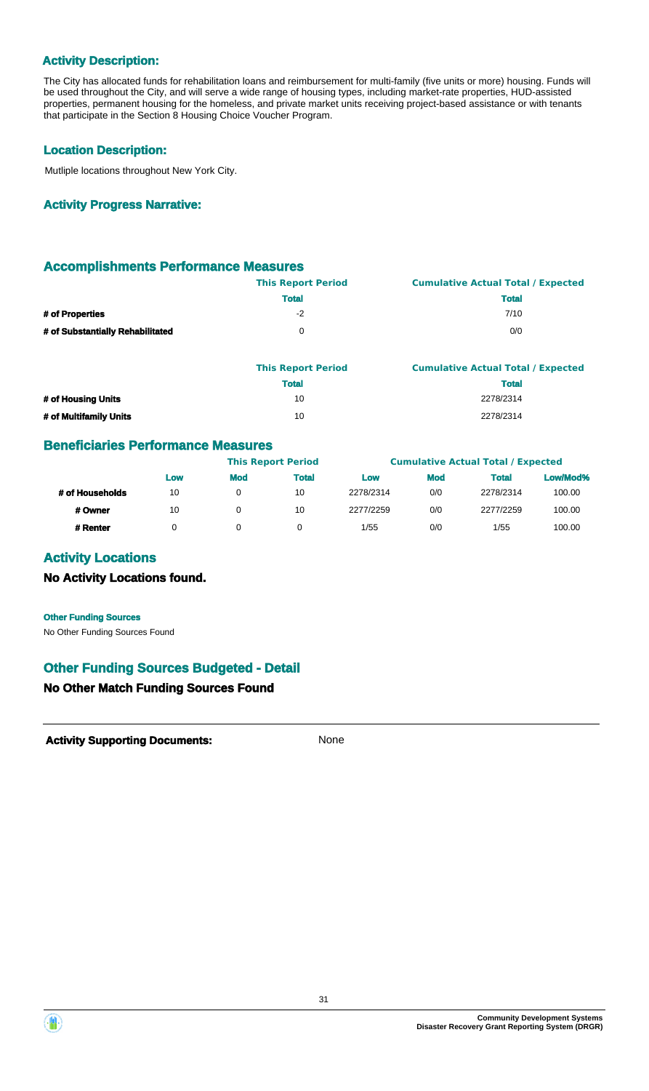### **Activity Description:**

The City has allocated funds for rehabilitation loans and reimbursement for multi-family (five units or more) housing. Funds will be used throughout the City, and will serve a wide range of housing types, including market-rate properties, HUD-assisted properties, permanent housing for the homeless, and private market units receiving project-based assistance or with tenants that participate in the Section 8 Housing Choice Voucher Program.

#### **Location Description:**

Mutliple locations throughout New York City.

#### **Activity Progress Narrative:**

#### **Accomplishments Performance Measures**

|                                  | <b>This Report Period</b> | <b>Cumulative Actual Total / Expected</b> |
|----------------------------------|---------------------------|-------------------------------------------|
|                                  | <b>Total</b>              | <b>Total</b>                              |
| # of Properties                  | -2                        | 7/10                                      |
| # of Substantially Rehabilitated | $^{\circ}$                | 0/0                                       |

|                        | <b>This Report Period</b> | <b>Cumulative Actual Total / Expected</b> |
|------------------------|---------------------------|-------------------------------------------|
|                        | <b>Total</b>              | <b>Total</b>                              |
| # of Housing Units     | 10                        | 2278/2314                                 |
| # of Multifamily Units | 10                        | 2278/2314                                 |

### **Beneficiaries Performance Measures**

|                 |     |            | <b>This Report Period</b> |           |            | <b>Cumulative Actual Total / Expected</b> |          |
|-----------------|-----|------------|---------------------------|-----------|------------|-------------------------------------------|----------|
|                 | Low | <b>Mod</b> | <b>Total</b>              | Low       | <b>Mod</b> | <b>Total</b>                              | Low/Mod% |
| # of Households | 10  | 0          | 10                        | 2278/2314 | 0/0        | 2278/2314                                 | 100.00   |
| # Owner         | 10  | 0          | 10                        | 2277/2259 | 0/0        | 2277/2259                                 | 100.00   |
| # Renter        |     | 0          |                           | 1/55      | 0/0        | 1/55                                      | 100.00   |

### **Activity Locations**

#### **No Activity Locations found.**

#### **Other Funding Sources**

No Other Funding Sources Found

### **Other Funding Sources Budgeted - Detail**

#### **No Other Match Funding Sources Found**



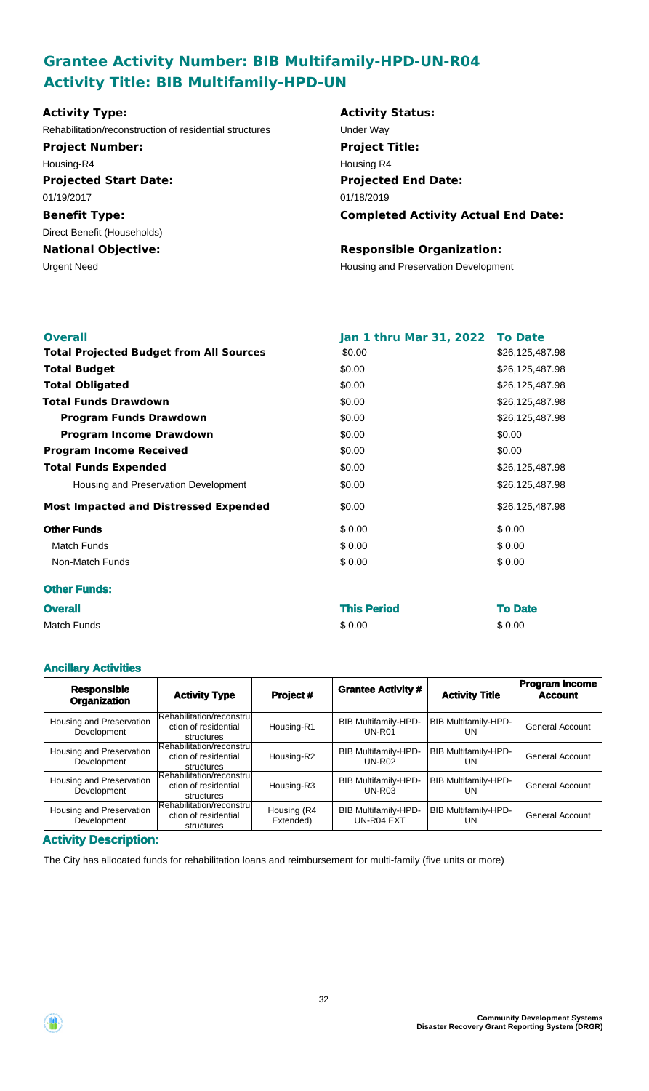# **Grantee Activity Number: BIB Multifamily-HPD-UN-R04 Activity Title: BIB Multifamily-HPD-UN**

| <b>Activity Type:</b>                                   | <b>Activity Status:</b>                    |
|---------------------------------------------------------|--------------------------------------------|
| Rehabilitation/reconstruction of residential structures | Under Way                                  |
| <b>Project Number:</b>                                  | <b>Project Title:</b>                      |
| Housing-R4                                              | Housing R4                                 |
| <b>Projected Start Date:</b>                            | <b>Projected End Date:</b>                 |
| 01/19/2017                                              | 01/18/2019                                 |
| <b>Benefit Type:</b>                                    | <b>Completed Activity Actual End Date:</b> |
| Direct Benefit (Households)                             |                                            |
| <b>National Objective:</b>                              | <b>Responsible Organization:</b>           |
| Urgent Need                                             | Housing and Preservation Development       |
|                                                         |                                            |
|                                                         |                                            |

| <b>Overall</b>                                 | Jan 1 thru Mar 31, 2022 | <b>To Date</b>  |
|------------------------------------------------|-------------------------|-----------------|
| <b>Total Projected Budget from All Sources</b> | \$0.00                  | \$26,125,487.98 |
| <b>Total Budget</b>                            | \$0.00                  | \$26,125,487.98 |
| <b>Total Obligated</b>                         | \$0.00                  | \$26,125,487.98 |
| <b>Total Funds Drawdown</b>                    | \$0.00                  | \$26,125,487.98 |
| <b>Program Funds Drawdown</b>                  | \$0.00                  | \$26,125,487.98 |
| <b>Program Income Drawdown</b>                 | \$0.00                  | \$0.00          |
| <b>Program Income Received</b>                 | \$0.00                  | \$0.00          |
| <b>Total Funds Expended</b>                    | \$0.00                  | \$26,125,487.98 |
| Housing and Preservation Development           | \$0.00                  | \$26,125,487.98 |
| <b>Most Impacted and Distressed Expended</b>   | \$0.00                  | \$26,125,487.98 |
| <b>Other Funds</b>                             | \$0.00                  | \$0.00          |
| <b>Match Funds</b>                             | \$0.00                  | \$0.00          |
| Non-Match Funds                                | \$0.00                  | \$0.00          |
| <b>Other Funds:</b>                            |                         |                 |
| <b>Overall</b>                                 | <b>This Period</b>      | <b>To Date</b>  |

Match Funds \$ 0.00 \$ 0.00

#### **Ancillary Activities**

| <b>Responsible</b><br><b>Organization</b> | <b>Activity Type</b>                                           | Project #                | <b>Grantee Activity #</b>                    | <b>Activity Title</b>             | <b>Program Income</b><br><b>Account</b> |
|-------------------------------------------|----------------------------------------------------------------|--------------------------|----------------------------------------------|-----------------------------------|-----------------------------------------|
| Housing and Preservation<br>Development   | Rehabilitation/reconstru<br>ction of residential<br>structures | Housing-R1               | <b>BIB Multifamily-HPD-</b><br><b>UN-R01</b> | BIB Multifamily-HPD-<br><b>UN</b> | <b>General Account</b>                  |
| Housing and Preservation<br>Development   | Rehabilitation/reconstru<br>ction of residential<br>structures | Housing-R2               | <b>BIB Multifamily-HPD-</b><br><b>UN-R02</b> | <b>BIB Multifamily-HPD-</b><br>UN | General Account                         |
| Housing and Preservation<br>Development   | Rehabilitation/reconstru<br>ction of residential<br>structures | Housing-R3               | <b>BIB Multifamily-HPD-</b><br>$UN-R03$      | BIB Multifamily-HPD-<br>UN        | General Account                         |
| Housing and Preservation<br>Development   | Rehabilitation/reconstru<br>ction of residential<br>structures | Housing (R4<br>Extended) | <b>BIB Multifamily-HPD-</b><br>UN-R04 EXT    | BIB Multifamily-HPD-<br>UN        | <b>General Account</b>                  |

**Activity Description:**

The City has allocated funds for rehabilitation loans and reimbursement for multi-family (five units or more)



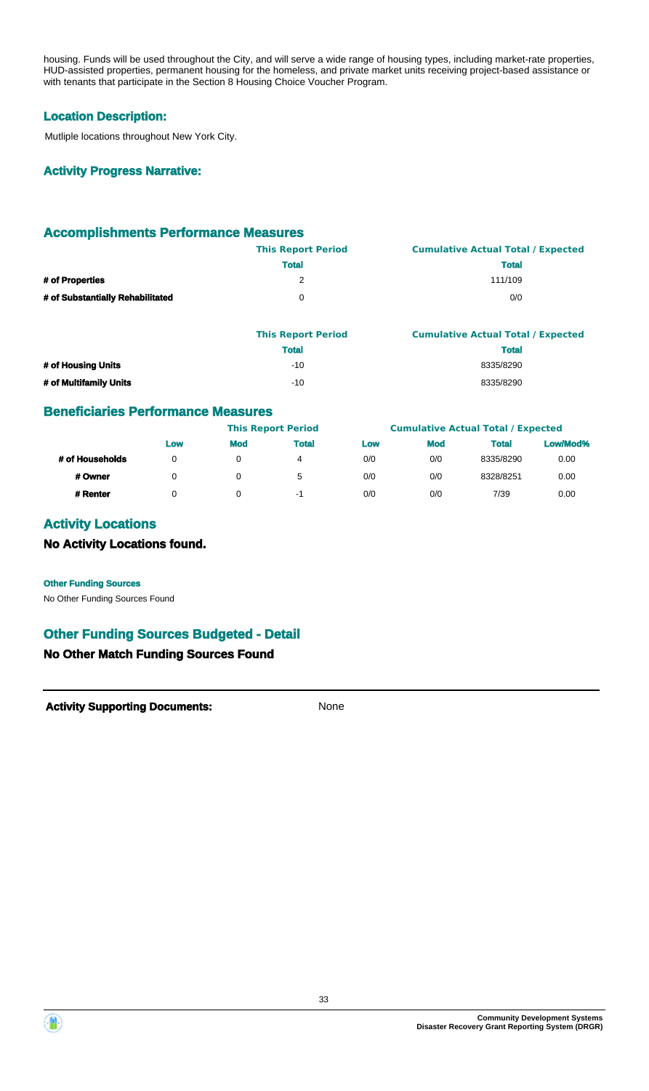housing. Funds will be used throughout the City, and will serve a wide range of housing types, including market-rate properties, HUD-assisted properties, permanent housing for the homeless, and private market units receiving project-based assistance or with tenants that participate in the Section 8 Housing Choice Voucher Program.

#### **Location Description:**

Mutliple locations throughout New York City.

#### **Activity Progress Narrative:**

#### **Accomplishments Performance Measures**

|                                  | <b>This Report Period</b> | <b>Cumulative Actual Total / Expected</b> |
|----------------------------------|---------------------------|-------------------------------------------|
|                                  | <b>Total</b>              | <b>Total</b>                              |
| # of Properties                  |                           | 111/109                                   |
| # of Substantially Rehabilitated |                           | 0/0                                       |

|                        | <b>This Report Period</b> | <b>Cumulative Actual Total / Expected</b> |
|------------------------|---------------------------|-------------------------------------------|
|                        | <b>Total</b>              | <b>Total</b>                              |
| # of Housing Units     | $-10$                     | 8335/8290                                 |
| # of Multifamily Units | $-10$                     | 8335/8290                                 |

#### **Beneficiaries Performance Measures**

|                 |     |            | <b>This Report Period</b> |     |            | <b>Cumulative Actual Total / Expected</b> |          |
|-----------------|-----|------------|---------------------------|-----|------------|-------------------------------------------|----------|
|                 | Low | <b>Mod</b> | <b>Total</b>              | Low | <b>Mod</b> | <b>Total</b>                              | Low/Mod% |
| # of Households | 0   |            | 4                         | 0/0 | 0/0        | 8335/8290                                 | 0.00     |
| # Owner         | n   |            | 5                         | 0/0 | 0/0        | 8328/8251                                 | 0.00     |
| # Renter        |     |            | -1                        | 0/0 | 0/0        | 7/39                                      | 0.00     |

#### **Activity Locations**

#### **No Activity Locations found.**

#### **Other Funding Sources**

No Other Funding Sources Found

# **Other Funding Sources Budgeted - Detail**

#### **No Other Match Funding Sources Found**



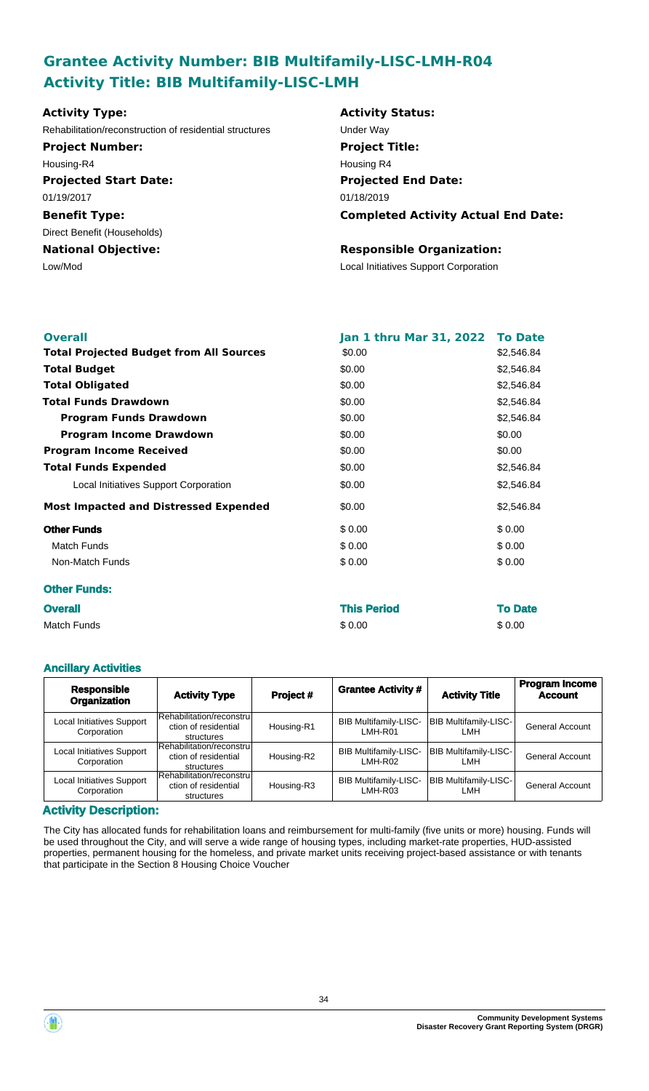# **Grantee Activity Number: BIB Multifamily-LISC-LMH-R04 Activity Title: BIB Multifamily-LISC-LMH**

| <b>Activity Type:</b>                                   | <b>Activity Status:</b>                    |
|---------------------------------------------------------|--------------------------------------------|
| Rehabilitation/reconstruction of residential structures | Under Way                                  |
| <b>Project Number:</b>                                  | <b>Project Title:</b>                      |
| Housing-R4                                              | Housing R4                                 |
| <b>Projected Start Date:</b>                            | <b>Projected End Date:</b>                 |
| 01/19/2017                                              | 01/18/2019                                 |
| <b>Benefit Type:</b>                                    | <b>Completed Activity Actual End Date:</b> |
| Direct Benefit (Households)                             |                                            |
| <b>National Objective:</b>                              | <b>Responsible Organization:</b>           |
| Low/Mod                                                 | Local Initiatives Support Corporation      |
|                                                         |                                            |
|                                                         |                                            |

| <b>Overall</b>                                 | <b>Jan 1 thru Mar 31, 2022</b> | <b>To Date</b> |
|------------------------------------------------|--------------------------------|----------------|
| <b>Total Projected Budget from All Sources</b> | \$0.00                         | \$2,546.84     |
| <b>Total Budget</b>                            | \$0.00                         | \$2,546.84     |
| <b>Total Obligated</b>                         | \$0.00                         | \$2,546.84     |
| <b>Total Funds Drawdown</b>                    | \$0.00                         | \$2,546.84     |
| <b>Program Funds Drawdown</b>                  | \$0.00                         | \$2,546.84     |
| <b>Program Income Drawdown</b>                 | \$0.00                         | \$0.00         |
| <b>Program Income Received</b>                 | \$0.00                         | \$0.00         |
| <b>Total Funds Expended</b>                    | \$0.00                         | \$2,546.84     |
| Local Initiatives Support Corporation          | \$0.00                         | \$2,546.84     |
| <b>Most Impacted and Distressed Expended</b>   | \$0.00                         | \$2,546.84     |
| <b>Other Funds</b>                             | \$0.00                         | \$0.00         |
| <b>Match Funds</b>                             | \$0.00                         | \$0.00         |
| Non-Match Funds                                | \$0.00                         | \$0.00         |
| <b>Other Funds:</b>                            |                                |                |
| <b>Overall</b>                                 | Thie Dariod                    | To Date        |

| <b>Overall</b> | <b>This Period</b> | <b>To Date</b> |
|----------------|--------------------|----------------|
| Match Funds    | \$0.00             | \$0.00         |

#### **Ancillary Activities**

| <b>Responsible</b><br><b>Organization</b> | <b>Activity Type</b>                                            | Project #  | <b>Grantee Activity #</b>               | <b>Activity Title</b>                | <b>Program Income</b><br><b>Account</b> |
|-------------------------------------------|-----------------------------------------------------------------|------------|-----------------------------------------|--------------------------------------|-----------------------------------------|
| Local Initiatives Support<br>Corporation  | Rehabilitation/reconstrul<br>ction of residential<br>structures | Housing-R1 | <b>BIB Multifamily-LISC-</b><br>LMH-R01 | <b>BIB Multifamily-LISC-</b><br>I MH | <b>General Account</b>                  |
| Local Initiatives Support<br>Corporation  | Rehabilitation/reconstru<br>ction of residential<br>structures  | Housing-R2 | <b>BIB Multifamily-LISC-</b><br>LMH-R02 | <b>BIB Multifamily-LISC-</b><br>I MH | General Account                         |
| Local Initiatives Support<br>Corporation  | Rehabilitation/reconstrul<br>ction of residential<br>structures | Housing-R3 | <b>BIB Multifamily-LISC-</b><br>LMH-R03 | <b>BIB Multifamily-LISC-</b><br>I MH | <b>General Account</b>                  |

#### **Activity Description:**

The City has allocated funds for rehabilitation loans and reimbursement for multi-family (five units or more) housing. Funds will be used throughout the City, and will serve a wide range of housing types, including market-rate properties, HUD-assisted properties, permanent housing for the homeless, and private market units receiving project-based assistance or with tenants that participate in the Section 8 Housing Choice Voucher



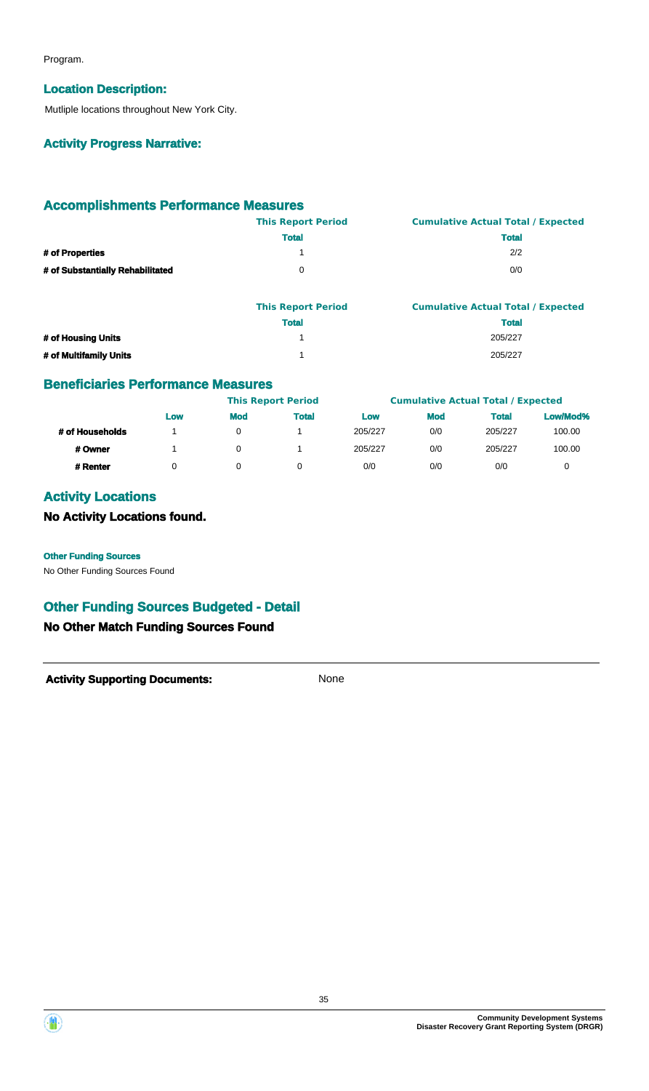Program.

#### **Location Description:**

Mutliple locations throughout New York City.

#### **Activity Progress Narrative:**

### **Accomplishments Performance Measures**

|                                  | <b>This Report Period</b> | <b>Cumulative Actual Total / Expected</b> |
|----------------------------------|---------------------------|-------------------------------------------|
|                                  | <b>Total</b>              | <b>Total</b>                              |
| # of Properties                  |                           | 2/2                                       |
| # of Substantially Rehabilitated |                           | 0/0                                       |
|                                  |                           |                                           |

|                        | <b>This Report Period</b> | <b>Cumulative Actual Total / Expected</b> |
|------------------------|---------------------------|-------------------------------------------|
|                        | <b>Total</b>              | <b>Total</b>                              |
| # of Housing Units     |                           | 205/227                                   |
| # of Multifamily Units |                           | 205/227                                   |

### **Beneficiaries Performance Measures**

|                 |     |            | <b>This Report Period</b> |         |            | <b>Cumulative Actual Total / Expected</b> |          |
|-----------------|-----|------------|---------------------------|---------|------------|-------------------------------------------|----------|
|                 | Low | <b>Mod</b> | <b>Total</b>              | Low     | <b>Mod</b> | <b>Total</b>                              | Low/Mod% |
| # of Households |     | 0          |                           | 205/227 | 0/0        | 205/227                                   | 100.00   |
| # Owner         |     | 0          |                           | 205/227 | 0/0        | 205/227                                   | 100.00   |
| # Renter        | 0   |            |                           | 0/0     | 0/0        | 0/0                                       | 0        |

# **Activity Locations**

**No Activity Locations found.**

**Other Funding Sources**

No Other Funding Sources Found

# **Other Funding Sources Budgeted - Detail**

### **No Other Match Funding Sources Found**



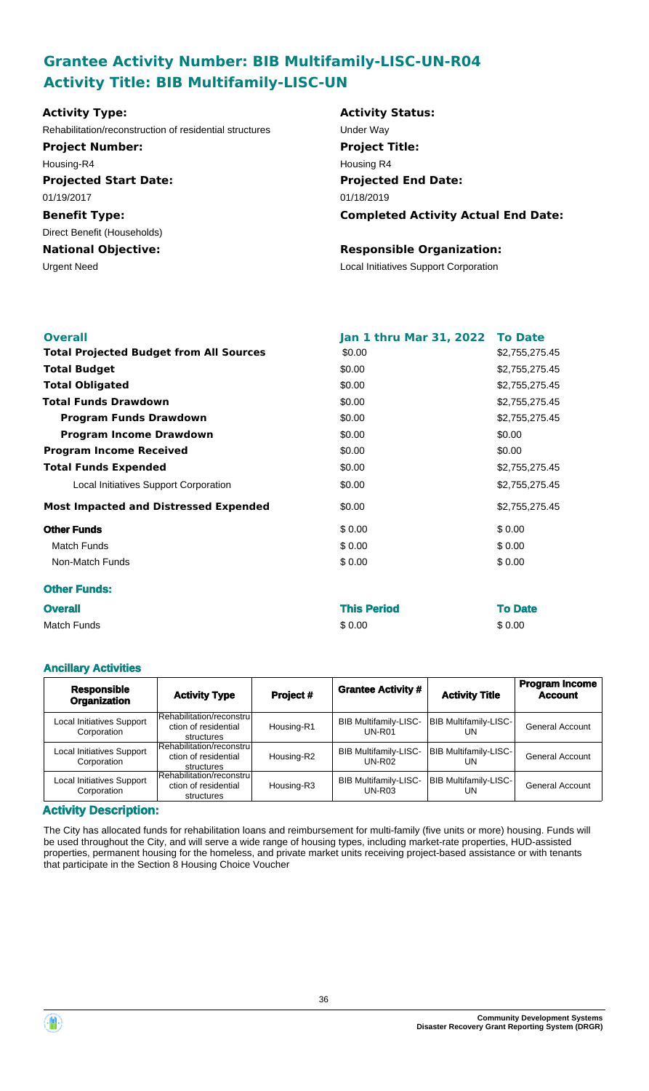# **Grantee Activity Number: BIB Multifamily-LISC-UN-R04 Activity Title: BIB Multifamily-LISC-UN**

| Rehabilitation/reconstruction of residential structures<br>Under Way<br><b>Project Title:</b><br><b>Project Number:</b><br>Housing R4<br>Housing-R4<br><b>Projected End Date:</b><br><b>Projected Start Date:</b><br>01/19/2017<br>01/18/2019<br><b>Benefit Type:</b> |                                            |
|-----------------------------------------------------------------------------------------------------------------------------------------------------------------------------------------------------------------------------------------------------------------------|--------------------------------------------|
|                                                                                                                                                                                                                                                                       |                                            |
|                                                                                                                                                                                                                                                                       |                                            |
|                                                                                                                                                                                                                                                                       |                                            |
|                                                                                                                                                                                                                                                                       |                                            |
|                                                                                                                                                                                                                                                                       |                                            |
|                                                                                                                                                                                                                                                                       | <b>Completed Activity Actual End Date:</b> |
| Direct Benefit (Households)                                                                                                                                                                                                                                           |                                            |
| <b>Responsible Organization:</b><br><b>National Objective:</b>                                                                                                                                                                                                        |                                            |
| <b>Local Initiatives Support Corporation</b><br>Urgent Need                                                                                                                                                                                                           |                                            |

| <b>Overall</b>                                 | Jan 1 thru Mar 31, 2022 To Date |                |
|------------------------------------------------|---------------------------------|----------------|
| <b>Total Projected Budget from All Sources</b> | \$0.00                          | \$2,755,275.45 |
| <b>Total Budget</b>                            | \$0.00                          | \$2,755,275.45 |
| <b>Total Obligated</b>                         | \$0.00                          | \$2,755,275.45 |
| <b>Total Funds Drawdown</b>                    | \$0.00                          | \$2,755,275.45 |
| <b>Program Funds Drawdown</b>                  | \$0.00                          | \$2,755,275.45 |
| <b>Program Income Drawdown</b>                 | \$0.00                          | \$0.00         |
| <b>Program Income Received</b>                 | \$0.00                          | \$0.00         |
| <b>Total Funds Expended</b>                    | \$0.00                          | \$2,755,275.45 |
| Local Initiatives Support Corporation          | \$0.00                          | \$2,755,275.45 |
| <b>Most Impacted and Distressed Expended</b>   | \$0.00                          | \$2,755,275.45 |
| <b>Other Funds</b>                             | \$0.00                          | \$0.00         |
| <b>Match Funds</b>                             | \$0.00                          | \$0.00         |
| Non-Match Funds                                | \$0.00                          | \$0.00         |
| <b>Other Funds:</b>                            |                                 |                |
| <b>Overall</b>                                 | <b>This Period</b>              | <b>To Date</b> |

| <b>UVU dil</b> | <b>THIS FULLY</b> | IV DO  |
|----------------|-------------------|--------|
| Match Funds    | \$0.00            | \$0.00 |
|                |                   |        |

#### **Ancillary Activities**

| <b>Responsible</b><br><b>Organization</b> | <b>Activity Type</b>                                            | Project #  | <b>Grantee Activity #</b>                     | <b>Activity Title</b>              | <b>Program Income</b><br><b>Account</b> |
|-------------------------------------------|-----------------------------------------------------------------|------------|-----------------------------------------------|------------------------------------|-----------------------------------------|
| Local Initiatives Support<br>Corporation  | Rehabilitation/reconstrul<br>ction of residential<br>structures | Housing-R1 | <b>BIB Multifamily-LISC-</b><br>$UN-R01$      | BIB Multifamily-LISC-<br>UN        | <b>General Account</b>                  |
| Local Initiatives Support<br>Corporation  | Rehabilitation/reconstrul<br>ction of residential<br>structures | Housing-R2 | <b>BIB Multifamily-LISC-</b><br><b>UN-R02</b> | <b>BIB Multifamily-LISC-</b><br>UN | <b>General Account</b>                  |
| Local Initiatives Support<br>Corporation  | Rehabilitation/reconstrul<br>ction of residential<br>structures | Housing-R3 | <b>BIB Multifamily-LISC-</b><br>$UN-R03$      | <b>BIB Multifamily-LISC-</b><br>UN | <b>General Account</b>                  |

#### **Activity Description:**

The City has allocated funds for rehabilitation loans and reimbursement for multi-family (five units or more) housing. Funds will be used throughout the City, and will serve a wide range of housing types, including market-rate properties, HUD-assisted properties, permanent housing for the homeless, and private market units receiving project-based assistance or with tenants that participate in the Section 8 Housing Choice Voucher

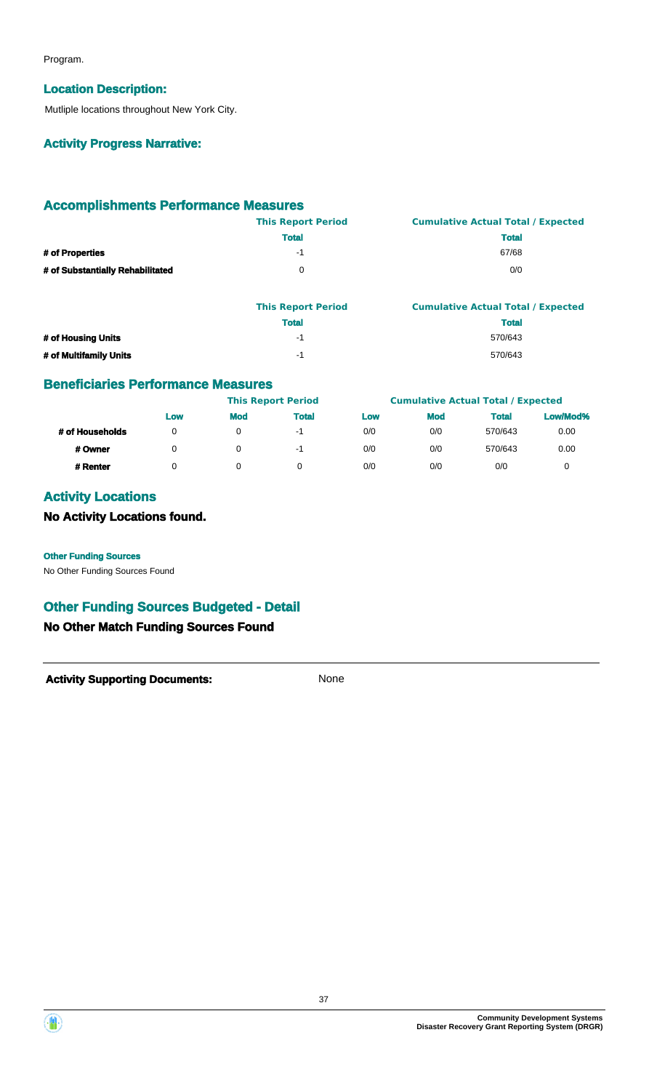Program.

#### **Location Description:**

Mutliple locations throughout New York City.

### **Activity Progress Narrative:**

### **Accomplishments Performance Measures**

|                                  | <b>This Report Period</b> | <b>Cumulative Actual Total / Expected</b> |
|----------------------------------|---------------------------|-------------------------------------------|
|                                  | <b>Total</b>              | <b>Total</b>                              |
| # of Properties                  | -1                        | 67/68                                     |
| # of Substantially Rehabilitated |                           | 0/0                                       |

|                        | <b>This Report Period</b> | <b>Cumulative Actual Total / Expected</b> |
|------------------------|---------------------------|-------------------------------------------|
|                        | <b>Total</b>              | <b>Total</b>                              |
| # of Housing Units     | -1                        | 570/643                                   |
| # of Multifamily Units | -1                        | 570/643                                   |

### **Beneficiaries Performance Measures**

|                 |     |            | <b>This Report Period</b> |     |            | <b>Cumulative Actual Total / Expected</b> |          |
|-----------------|-----|------------|---------------------------|-----|------------|-------------------------------------------|----------|
|                 | Low | <b>Mod</b> | <b>Total</b>              | Low | <b>Mod</b> | <b>Total</b>                              | Low/Mod% |
| # of Households |     | 0          | -1                        | 0/0 | 0/0        | 570/643                                   | 0.00     |
| # Owner         |     | 0          | -1                        | 0/0 | 0/0        | 570/643                                   | 0.00     |
| # Renter        |     |            |                           | 0/0 | 0/0        | 0/0                                       |          |

# **Activity Locations**

**No Activity Locations found.**

#### **Other Funding Sources**

No Other Funding Sources Found

# **Other Funding Sources Budgeted - Detail**

### **No Other Match Funding Sources Found**



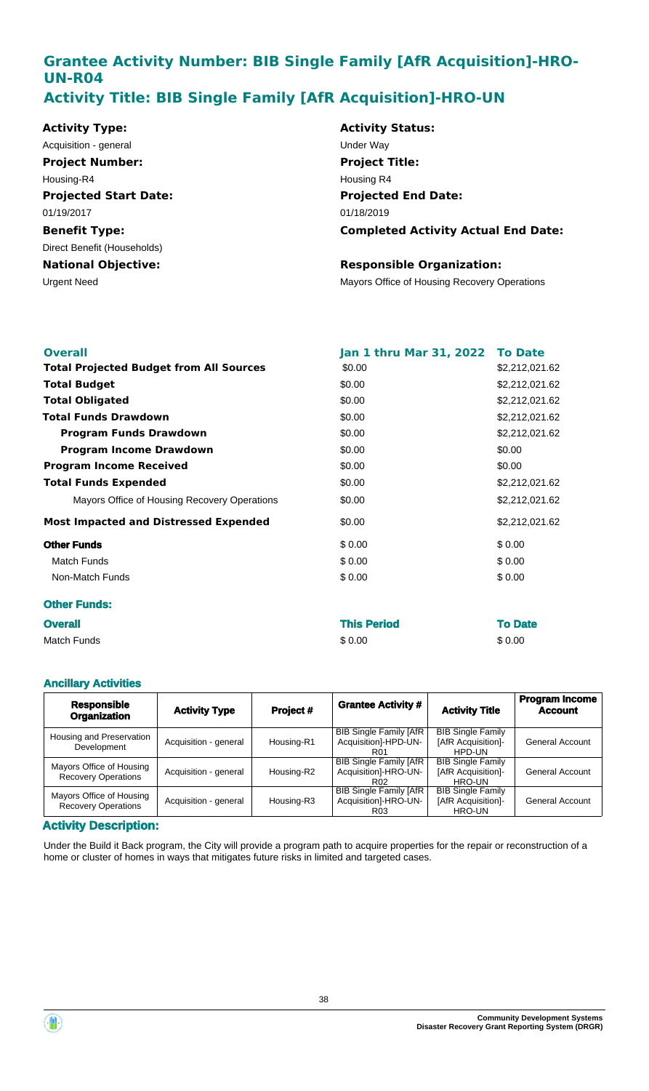# **Grantee Activity Number: BIB Single Family [AfR Acquisition]-HRO-UN-R04 Activity Title: BIB Single Family [AfR Acquisition]-HRO-UN**

| <b>Activity Type:</b>        | <b>Activity Status:</b>                      |
|------------------------------|----------------------------------------------|
| Acquisition - general        | Under Way                                    |
| <b>Project Number:</b>       | <b>Project Title:</b>                        |
| Housing-R4                   | Housing R4                                   |
| <b>Projected Start Date:</b> | <b>Projected End Date:</b>                   |
| 01/19/2017                   | 01/18/2019                                   |
| <b>Benefit Type:</b>         | <b>Completed Activity Actual End Date:</b>   |
| Direct Benefit (Households)  |                                              |
| <b>National Objective:</b>   | <b>Responsible Organization:</b>             |
| <b>Urgent Need</b>           | Mayors Office of Housing Recovery Operations |

| <b>Overall</b>                                 | Jan 1 thru Mar 31, 2022 To Date |                |
|------------------------------------------------|---------------------------------|----------------|
| <b>Total Projected Budget from All Sources</b> | \$0.00                          | \$2,212,021.62 |
| <b>Total Budget</b>                            | \$0.00                          | \$2,212,021.62 |
| <b>Total Obligated</b>                         | \$0.00                          | \$2,212,021.62 |
| <b>Total Funds Drawdown</b>                    | \$0.00                          | \$2,212,021.62 |
| <b>Program Funds Drawdown</b>                  | \$0.00                          | \$2,212,021.62 |
| <b>Program Income Drawdown</b>                 | \$0.00                          | \$0.00         |
| <b>Program Income Received</b>                 | \$0.00                          | \$0.00         |
| <b>Total Funds Expended</b>                    | \$0.00                          | \$2,212,021.62 |
| Mayors Office of Housing Recovery Operations   | \$0.00                          | \$2,212,021.62 |
| <b>Most Impacted and Distressed Expended</b>   | \$0.00                          | \$2,212,021.62 |
| <b>Other Funds</b>                             | \$0.00                          | \$0.00         |
| Match Funds                                    | \$0.00                          | \$0.00         |
| Non-Match Funds                                | \$0.00                          | \$0.00         |
| <b>Other Funds:</b>                            |                                 |                |
| <b>Overall</b>                                 | <b>This Period</b>              | <b>To Date</b> |

Match Funds \$ 0.00 \$ 0.00

| <b>Ancillary Activities</b>                            |                       |            |                                                                          |                                                          |                                         |  |
|--------------------------------------------------------|-----------------------|------------|--------------------------------------------------------------------------|----------------------------------------------------------|-----------------------------------------|--|
| <b>Responsible</b><br><b>Organization</b>              | <b>Activity Type</b>  | Project#   | <b>Grantee Activity #</b>                                                | <b>Activity Title</b>                                    | <b>Program Income</b><br><b>Account</b> |  |
| Housing and Preservation<br>Development                | Acquisition - general | Housing-R1 | <b>BIB Single Family [AfR</b><br>Acquisition]-HPD-UN-<br>R <sub>01</sub> | <b>BIB Single Family</b><br>[AfR Acquisition]-<br>HPD-UN | <b>General Account</b>                  |  |
| Mayors Office of Housing<br><b>Recovery Operations</b> | Acquisition - general | Housing-R2 | <b>BIB Single Family [AfR</b><br>Acquisition]-HRO-UN-<br>R <sub>02</sub> | <b>BIB Single Family</b><br>[AfR Acquisition]-<br>HRO-UN | General Account                         |  |
| Mayors Office of Housing<br><b>Recovery Operations</b> | Acquisition - general | Housing-R3 | <b>BIB Single Family [AfR</b><br>Acquisition]-HRO-UN-<br>R <sub>03</sub> | <b>BIB Single Family</b><br>[AfR Acquisition]-<br>HRO-UN | <b>General Account</b>                  |  |

#### **Activity Description:**

Under the Build it Back program, the City will provide a program path to acquire properties for the repair or reconstruction of a home or cluster of homes in ways that mitigates future risks in limited and targeted cases.

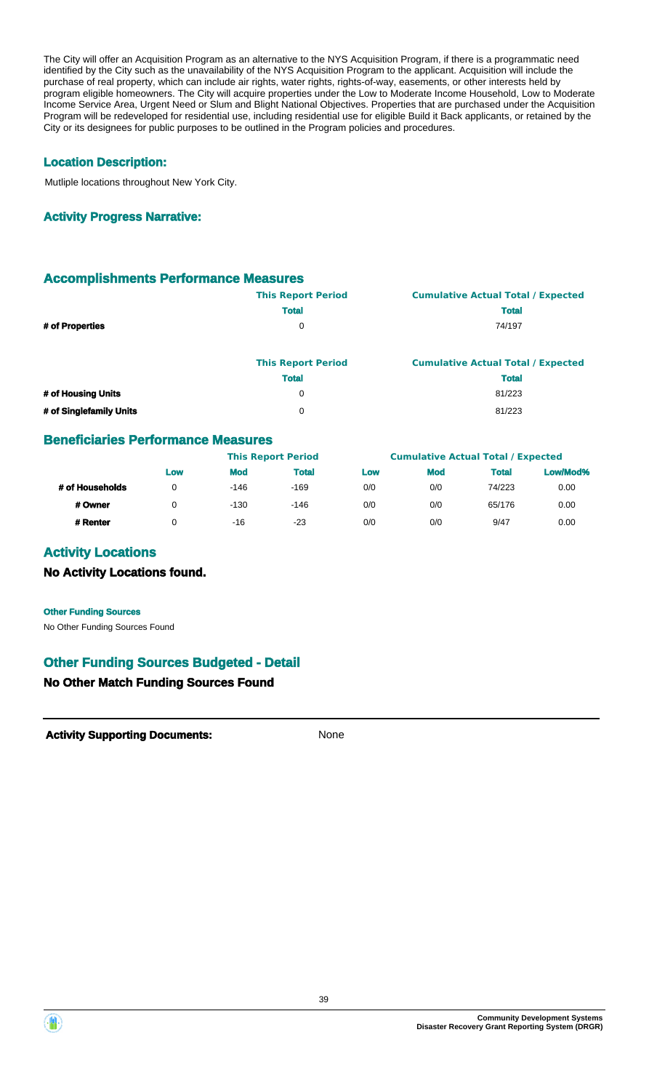The City will offer an Acquisition Program as an alternative to the NYS Acquisition Program, if there is a programmatic need identified by the City such as the unavailability of the NYS Acquisition Program to the applicant. Acquisition will include the purchase of real property, which can include air rights, water rights, rights-of-way, easements, or other interests held by program eligible homeowners. The City will acquire properties under the Low to Moderate Income Household, Low to Moderate Income Service Area, Urgent Need or Slum and Blight National Objectives. Properties that are purchased under the Acquisition Program will be redeveloped for residential use, including residential use for eligible Build it Back applicants, or retained by the City or its designees for public purposes to be outlined in the Program policies and procedures.

#### **Location Description:**

Mutliple locations throughout New York City.

#### **Activity Progress Narrative:**

#### **Accomplishments Performance Measures**

|                         | <b>This Report Period</b> | <b>Cumulative Actual Total / Expected</b> |
|-------------------------|---------------------------|-------------------------------------------|
|                         | <b>Total</b>              | <b>Total</b>                              |
| # of Properties         | 0                         | 74/197                                    |
|                         | <b>This Report Period</b> | <b>Cumulative Actual Total / Expected</b> |
|                         | <b>Total</b>              | <b>Total</b>                              |
| # of Housing Units      | 0                         | 81/223                                    |
| # of Singlefamily Units | 0                         | 81/223                                    |

#### **Beneficiaries Performance Measures**

|                 | <b>This Report Period</b> |            |              | <b>Cumulative Actual Total / Expected</b> |            |              |          |
|-----------------|---------------------------|------------|--------------|-------------------------------------------|------------|--------------|----------|
|                 | Low                       | <b>Mod</b> | <b>Total</b> | Low                                       | <b>Mod</b> | <b>Total</b> | Low/Mod% |
| # of Households | ∩                         | $-146$     | $-169$       | 0/0                                       | 0/0        | 74/223       | 0.00     |
| # Owner         |                           | $-130$     | $-146$       | 0/0                                       | 0/0        | 65/176       | 0.00     |
| # Renter        |                           | -16        | $-23$        | 0/0                                       | 0/0        | 9/47         | 0.00     |

#### **Activity Locations**

#### **No Activity Locations found.**

No Other Funding Sources Found **Other Funding Sources**

### **Other Funding Sources Budgeted - Detail**

#### **No Other Match Funding Sources Found**



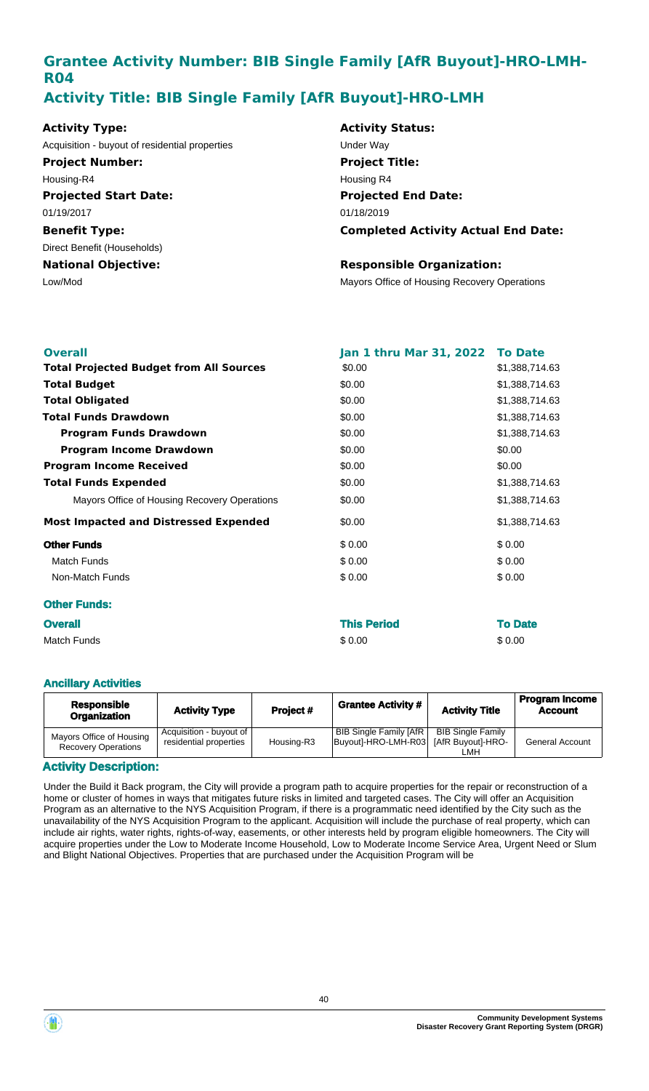# **Grantee Activity Number: BIB Single Family [AfR Buyout]-HRO-LMH-R04 Activity Title: BIB Single Family [AfR Buyout]-HRO-LMH**

| <b>Activity Type:</b>                          | <b>Activity Status:</b>                      |
|------------------------------------------------|----------------------------------------------|
| Acquisition - buyout of residential properties | <b>Under Wav</b>                             |
| <b>Project Number:</b>                         | <b>Project Title:</b>                        |
| Housing-R4                                     | Housing R4                                   |
| <b>Projected Start Date:</b>                   | <b>Projected End Date:</b>                   |
| 01/19/2017                                     | 01/18/2019                                   |
| <b>Benefit Type:</b>                           | <b>Completed Activity Actual End Date:</b>   |
| Direct Benefit (Households)                    |                                              |
| <b>National Objective:</b>                     | <b>Responsible Organization:</b>             |
| Low/Mod                                        | Mayors Office of Housing Recovery Operations |

| <b>Overall</b>                                 | Jan 1 thru Mar 31, 2022 To Date |                |
|------------------------------------------------|---------------------------------|----------------|
| <b>Total Projected Budget from All Sources</b> | \$0.00                          | \$1,388,714.63 |
| <b>Total Budget</b>                            | \$0.00                          | \$1,388,714.63 |
| <b>Total Obligated</b>                         | \$0.00                          | \$1,388,714.63 |
| <b>Total Funds Drawdown</b>                    | \$0.00                          | \$1,388,714.63 |
| <b>Program Funds Drawdown</b>                  | \$0.00                          | \$1,388,714.63 |
| <b>Program Income Drawdown</b>                 | \$0.00                          | \$0.00         |
| <b>Program Income Received</b>                 | \$0.00                          | \$0.00         |
| <b>Total Funds Expended</b>                    | \$0.00                          | \$1,388,714.63 |
| Mayors Office of Housing Recovery Operations   | \$0.00                          | \$1,388,714.63 |
| <b>Most Impacted and Distressed Expended</b>   | \$0.00                          | \$1,388,714.63 |
| <b>Other Funds</b>                             | \$0.00                          | \$0.00         |
| <b>Match Funds</b>                             | \$0.00                          | \$0.00         |
| Non-Match Funds                                | \$0.00                          | \$0.00         |
| <b>Other Funds:</b>                            |                                 |                |
| <b>Overall</b>                                 | <b>This Period</b>              | <b>To Date</b> |
| Match Funds                                    | \$0.00                          | \$0.00         |

#### **Ancillary Activities**

| <b>Responsible</b><br><b>Organization</b>              | <b>Activity Type</b>                                | Project #  | <b>Grantee Activity #</b>                             | <b>Activity Title</b>                                | <b>Program Income</b><br><b>Account</b> |
|--------------------------------------------------------|-----------------------------------------------------|------------|-------------------------------------------------------|------------------------------------------------------|-----------------------------------------|
| Mayors Office of Housing<br><b>Recovery Operations</b> | Acquisition - buyout of  <br>residential properties | Housing-R3 | <b>BIB Single Family [AfR]</b><br>Buyoutl-HRO-LMH-R03 | <b>BIB Single Family</b><br>[AfR Buyout]-HRO-<br>LMH | <b>General Account</b>                  |

#### **Activity Description:**

Under the Build it Back program, the City will provide a program path to acquire properties for the repair or reconstruction of a home or cluster of homes in ways that mitigates future risks in limited and targeted cases. The City will offer an Acquisition Program as an alternative to the NYS Acquisition Program, if there is a programmatic need identified by the City such as the unavailability of the NYS Acquisition Program to the applicant. Acquisition will include the purchase of real property, which can include air rights, water rights, rights-of-way, easements, or other interests held by program eligible homeowners. The City will acquire properties under the Low to Moderate Income Household, Low to Moderate Income Service Area, Urgent Need or Slum and Blight National Objectives. Properties that are purchased under the Acquisition Program will be



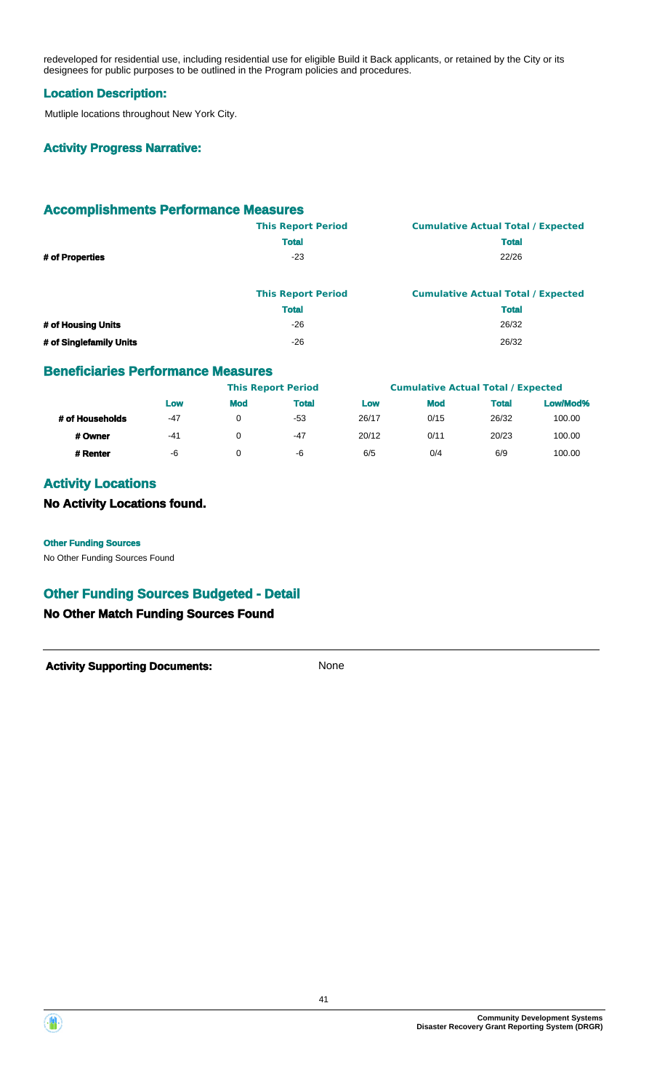redeveloped for residential use, including residential use for eligible Build it Back applicants, or retained by the City or its designees for public purposes to be outlined in the Program policies and procedures.

#### **Location Description:**

Mutliple locations throughout New York City.

#### **Activity Progress Narrative:**

# **Accomplishments Performance Measures**

|                 | <b>This Report Period</b> | <b>Cumulative Actual Total / Expected</b> |
|-----------------|---------------------------|-------------------------------------------|
|                 | <b>Total</b>              | <b>Total</b>                              |
| # of Properties | -23                       | 22/26                                     |
|                 |                           |                                           |

|                         | <b>This Report Period</b> | <b>Cumulative Actual Total / Expected</b> |
|-------------------------|---------------------------|-------------------------------------------|
|                         | <b>Total</b>              | <b>Total</b>                              |
| # of Housing Units      | $-26$                     | 26/32                                     |
| # of Singlefamily Units | -26                       | 26/32                                     |

#### **Beneficiaries Performance Measures**

|                 |     |            | <b>This Report Period</b> |       | <b>Cumulative Actual Total / Expected</b> |              |          |
|-----------------|-----|------------|---------------------------|-------|-------------------------------------------|--------------|----------|
|                 | Low | <b>Mod</b> | <b>Total</b>              | Low   | <b>Mod</b>                                | <b>Total</b> | Low/Mod% |
| # of Households | -47 |            | -53                       | 26/17 | 0/15                                      | 26/32        | 100.00   |
| # Owner         | -41 |            | -47                       | 20/12 | 0/11                                      | 20/23        | 100.00   |
| # Renter        | -6  |            | -6                        | 6/5   | 0/4                                       | 6/9          | 100.00   |

### **Activity Locations**

# **No Activity Locations found.**

No Other Funding Sources Found **Other Funding Sources**

### **Other Funding Sources Budgeted - Detail**

#### **No Other Match Funding Sources Found**



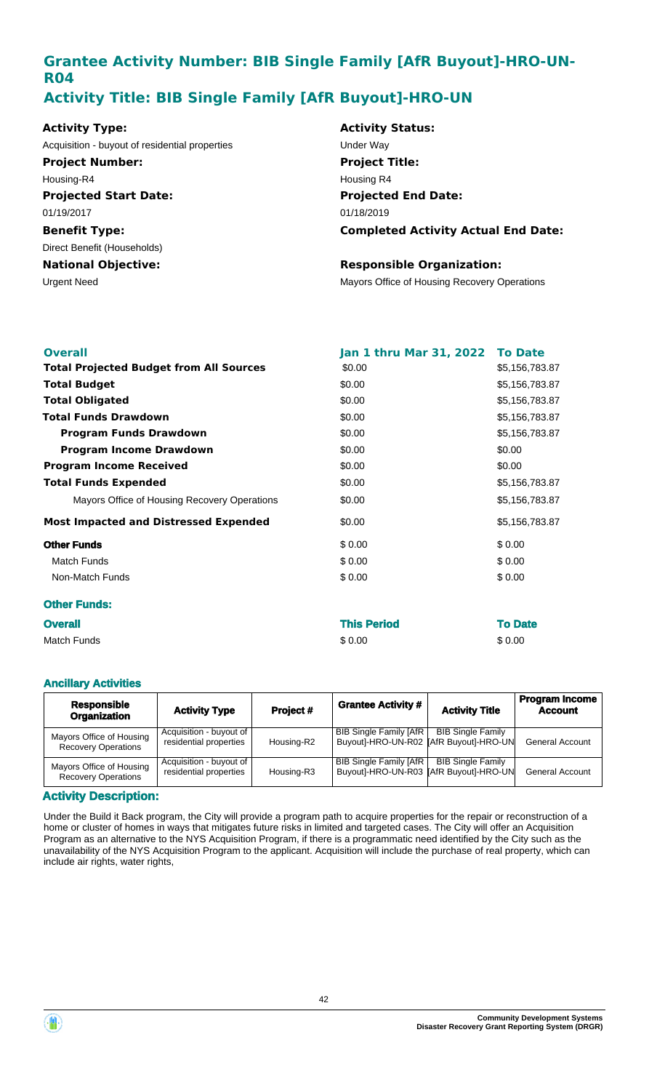# **Grantee Activity Number: BIB Single Family [AfR Buyout]-HRO-UN-R04 Activity Title: BIB Single Family [AfR Buyout]-HRO-UN**

| <b>Activity Type:</b>                          | <b>Activity Status:</b>                      |
|------------------------------------------------|----------------------------------------------|
| Acquisition - buyout of residential properties | Under Wav                                    |
| <b>Project Number:</b>                         | <b>Project Title:</b>                        |
| Housing-R4                                     | Housing R4                                   |
| <b>Projected Start Date:</b>                   | <b>Projected End Date:</b>                   |
| 01/19/2017                                     | 01/18/2019                                   |
| <b>Benefit Type:</b>                           | <b>Completed Activity Actual End Date:</b>   |
| Direct Benefit (Households)                    |                                              |
| <b>National Objective:</b>                     | <b>Responsible Organization:</b>             |
| Urgent Need                                    | Mayors Office of Housing Recovery Operations |

| <b>Overall</b>                                 | Jan 1 thru Mar 31, 2022 To Date |                |
|------------------------------------------------|---------------------------------|----------------|
| <b>Total Projected Budget from All Sources</b> | \$0.00                          | \$5,156,783.87 |
| <b>Total Budget</b>                            | \$0.00                          | \$5,156,783.87 |
| <b>Total Obligated</b>                         | \$0.00                          | \$5,156,783.87 |
| <b>Total Funds Drawdown</b>                    | \$0.00                          | \$5,156,783.87 |
| <b>Program Funds Drawdown</b>                  | \$0.00                          | \$5,156,783.87 |
| <b>Program Income Drawdown</b>                 | \$0.00                          | \$0.00         |
| <b>Program Income Received</b>                 | \$0.00                          | \$0.00         |
| <b>Total Funds Expended</b>                    | \$0.00                          | \$5,156,783.87 |
| Mayors Office of Housing Recovery Operations   | \$0.00                          | \$5,156,783.87 |
| <b>Most Impacted and Distressed Expended</b>   | \$0.00                          | \$5,156,783.87 |
| <b>Other Funds</b>                             | \$0.00                          | \$0.00         |
| Match Funds                                    | \$0.00                          | \$0.00         |
| Non-Match Funds                                | \$0.00                          | \$0.00         |
| <b>Other Funds:</b>                            |                                 |                |
| <b>Overall</b>                                 | <b>This Period</b>              | <b>To Date</b> |

Match Funds \$ 0.00 \$ 0.00

#### **Ancillary Activities**

| <b>Responsible</b><br><b>Organization</b>              | <b>Activity Type</b>                              | Project#   | <b>Grantee Activity #</b>                                                | <b>Activity Title</b>    | <b>Program Income</b><br><b>Account</b> |
|--------------------------------------------------------|---------------------------------------------------|------------|--------------------------------------------------------------------------|--------------------------|-----------------------------------------|
| Mayors Office of Housing<br><b>Recovery Operations</b> | Acquisition - buyout of<br>residential properties | Housing-R2 | <b>BIB Single Family [AfR</b><br>Buyout]-HRO-UN-R02   AfR Buyout]-HRO-UN | <b>BIB Single Family</b> | <b>General Account</b>                  |
| Mayors Office of Housing<br><b>Recovery Operations</b> | Acquisition - buyout of<br>residential properties | Housing-R3 | <b>BIB Single Family [AfR</b><br>Buyout]-HRO-UN-R03   AfR Buyout]-HRO-UN | <b>BIB Single Family</b> | <b>General Account</b>                  |

#### **Activity Description:**

Under the Build it Back program, the City will provide a program path to acquire properties for the repair or reconstruction of a home or cluster of homes in ways that mitigates future risks in limited and targeted cases. The City will offer an Acquisition Program as an alternative to the NYS Acquisition Program, if there is a programmatic need identified by the City such as the unavailability of the NYS Acquisition Program to the applicant. Acquisition will include the purchase of real property, which can include air rights, water rights,

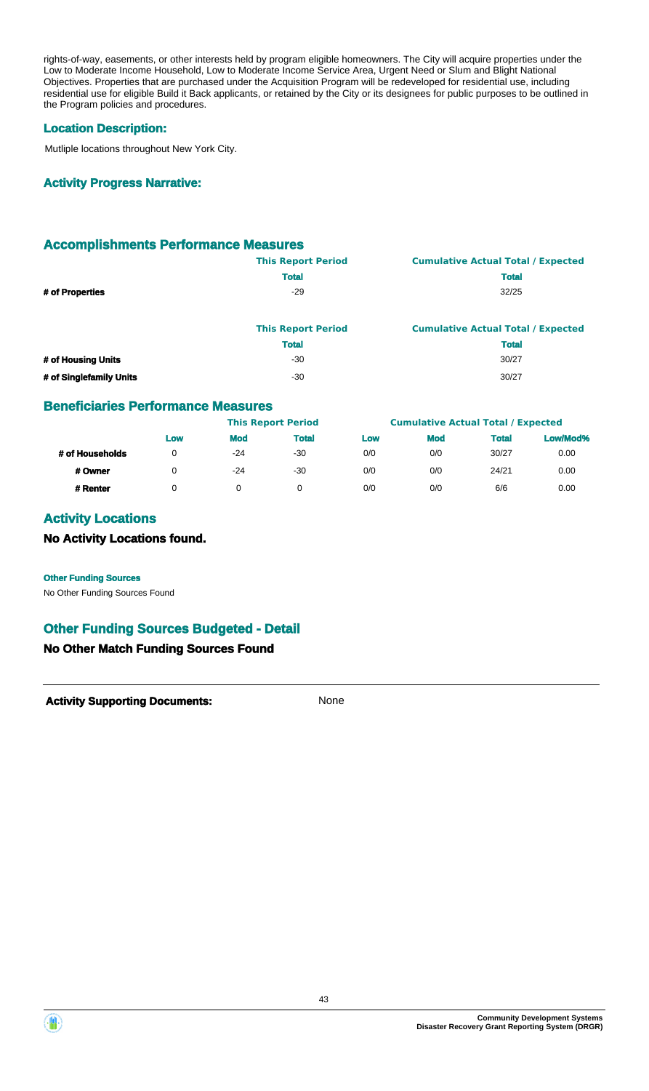rights-of-way, easements, or other interests held by program eligible homeowners. The City will acquire properties under the Low to Moderate Income Household, Low to Moderate Income Service Area, Urgent Need or Slum and Blight National Objectives. Properties that are purchased under the Acquisition Program will be redeveloped for residential use, including residential use for eligible Build it Back applicants, or retained by the City or its designees for public purposes to be outlined in the Program policies and procedures.

#### **Location Description:**

Mutliple locations throughout New York City.

#### **Activity Progress Narrative:**

### **Accomplishments Performance Measures**

|                    | <b>This Report Period</b> | <b>Cumulative Actual Total / Expected</b> |
|--------------------|---------------------------|-------------------------------------------|
|                    | <b>Total</b>              | <b>Total</b>                              |
| # of Properties    | -29                       | 32/25                                     |
|                    |                           |                                           |
|                    | <b>This Report Period</b> | <b>Cumulative Actual Total / Expected</b> |
|                    | <b>Total</b>              | <b>Total</b>                              |
| # of Housing Units | -30                       | 30/27                                     |

# **# of Singlefamily Units** 30/27

#### **Beneficiaries Performance Measures**

|                 |     |            | <b>This Report Period</b> |     | <b>Cumulative Actual Total / Expected</b> |              |          |
|-----------------|-----|------------|---------------------------|-----|-------------------------------------------|--------------|----------|
|                 | Low | <b>Mod</b> | <b>Total</b>              | Low | <b>Mod</b>                                | <b>Total</b> | Low/Mod% |
| # of Households |     | $-24$      | -30                       | 0/0 | 0/0                                       | 30/27        | 0.00     |
| # Owner         |     | $-24$      | $-30$                     | 0/0 | 0/0                                       | 24/21        | 0.00     |
| # Renter        |     |            |                           | 0/0 | 0/0                                       | 6/6          | 0.00     |

# **Activity Locations**

#### **No Activity Locations found.**

No Other Funding Sources Found **Other Funding Sources**

### **Other Funding Sources Budgeted - Detail**

### **No Other Match Funding Sources Found**



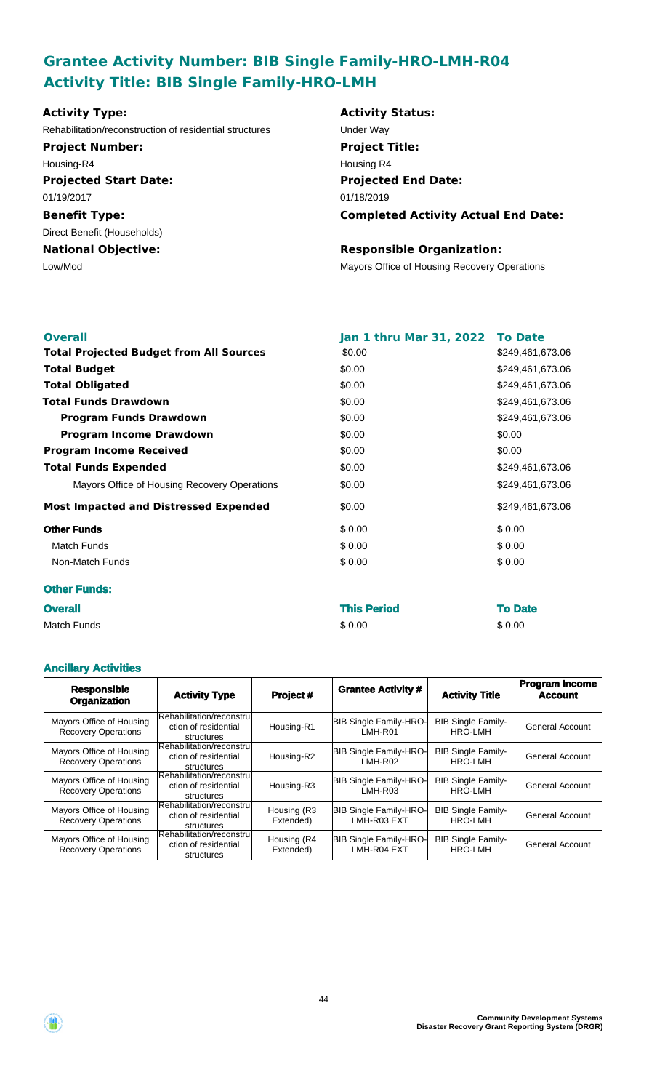# **Grantee Activity Number: BIB Single Family-HRO-LMH-R04 Activity Title: BIB Single Family-HRO-LMH**

| <b>Activity Type:</b>                                   | <b>Activity Status:</b>                      |
|---------------------------------------------------------|----------------------------------------------|
| Rehabilitation/reconstruction of residential structures | Under Way                                    |
| <b>Project Number:</b>                                  | <b>Project Title:</b>                        |
| Housing-R4                                              | Housing R4                                   |
| <b>Projected Start Date:</b>                            | <b>Projected End Date:</b>                   |
| 01/19/2017                                              | 01/18/2019                                   |
| <b>Benefit Type:</b>                                    | <b>Completed Activity Actual End Date:</b>   |
| Direct Benefit (Households)                             |                                              |
| <b>National Objective:</b>                              | <b>Responsible Organization:</b>             |
| Low/Mod                                                 | Mayors Office of Housing Recovery Operations |
|                                                         |                                              |
|                                                         |                                              |

| <b>Overall</b>                                 | Jan 1 thru Mar 31, 2022 | <b>To Date</b>   |
|------------------------------------------------|-------------------------|------------------|
| <b>Total Projected Budget from All Sources</b> | \$0.00                  | \$249,461,673.06 |
| <b>Total Budget</b>                            | \$0.00                  | \$249,461,673.06 |
| <b>Total Obligated</b>                         | \$0.00                  | \$249,461,673.06 |
| <b>Total Funds Drawdown</b>                    | \$0.00                  | \$249,461,673.06 |
| <b>Program Funds Drawdown</b>                  | \$0.00                  | \$249,461,673.06 |
| <b>Program Income Drawdown</b>                 | \$0.00                  | \$0.00           |
| <b>Program Income Received</b>                 | \$0.00                  | \$0.00           |
| <b>Total Funds Expended</b>                    | \$0.00                  | \$249,461,673.06 |
| Mayors Office of Housing Recovery Operations   | \$0.00                  | \$249,461,673.06 |
| <b>Most Impacted and Distressed Expended</b>   | \$0.00                  | \$249,461,673.06 |
| <b>Other Funds</b>                             | \$0.00                  | \$0.00           |
| <b>Match Funds</b>                             | \$0.00                  | \$0.00           |
| Non-Match Funds                                | \$0.00                  | \$0.00           |
| <b>Other Funds:</b>                            |                         |                  |
| <b>Overall</b>                                 | <b>This Period</b>      | <b>To Date</b>   |
| <b>Match Funds</b>                             | \$0.00                  | \$0.00           |

#### **Ancillary Activities**

| <b>Responsible</b><br><b>Organization</b>              | <b>Activity Type</b>                                            | Project #                | <b>Grantee Activity #</b>                    | <b>Activity Title</b>                       | <b>Program Income</b><br><b>Account</b> |
|--------------------------------------------------------|-----------------------------------------------------------------|--------------------------|----------------------------------------------|---------------------------------------------|-----------------------------------------|
| Mayors Office of Housing<br><b>Recovery Operations</b> | Rehabilitation/reconstru<br>ction of residential<br>structures  | Housing-R1               | <b>BIB Single Family-HRO-</b><br>LMH-R01     | <b>BIB Single Family-</b><br>HRO-LMH        | <b>General Account</b>                  |
| Mayors Office of Housing<br><b>Recovery Operations</b> | Rehabilitation/reconstru<br>ction of residential<br>structures  | Housing-R2               | <b>BIB Single Family-HRO-</b><br>LMH-R02     | <b>BIB Single Family-</b><br>HRO-LMH        | <b>General Account</b>                  |
| Mayors Office of Housing<br><b>Recovery Operations</b> | Rehabilitation/reconstru<br>ction of residential<br>structures  | Housing-R3               | <b>BIB Single Family-HRO-</b><br>LMH-R03     | <b>BIB Single Family-</b><br>HRO-LMH        | <b>General Account</b>                  |
| Mayors Office of Housing<br><b>Recovery Operations</b> | Rehabilitation/reconstru<br>ction of residential<br>structures  | Housing (R3<br>Extended) | <b>BIB Single Family-HRO-</b><br>LMH-R03 EXT | <b>BIB Single Family-</b><br>HRO-LMH        | <b>General Account</b>                  |
| Mayors Office of Housing<br><b>Recovery Operations</b> | Rehabilitation/reconstrul<br>ction of residential<br>structures | Housing (R4<br>Extended) | <b>BIB Single Family-HRO-</b><br>LMH-R04 EXT | <b>BIB Single Family-</b><br><b>HRO-LMH</b> | <b>General Account</b>                  |

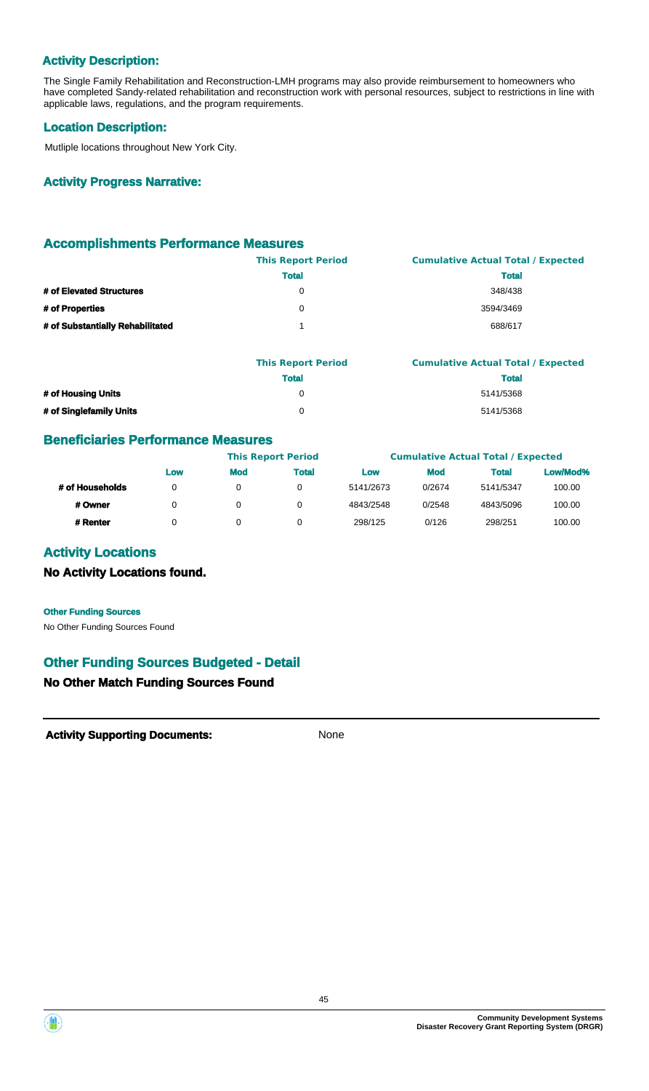### **Activity Description:**

The Single Family Rehabilitation and Reconstruction-LMH programs may also provide reimbursement to homeowners who have completed Sandy-related rehabilitation and reconstruction work with personal resources, subject to restrictions in line with applicable laws, regulations, and the program requirements.

#### **Location Description:**

Mutliple locations throughout New York City.

#### **Activity Progress Narrative:**

#### **Accomplishments Performance Measures**

|                                  | <b>This Report Period</b> | <b>Cumulative Actual Total / Expected</b> |
|----------------------------------|---------------------------|-------------------------------------------|
|                                  | <b>Total</b>              | <b>Total</b>                              |
| # of Elevated Structures         | 0                         | 348/438                                   |
| # of Properties                  | 0                         | 3594/3469                                 |
| # of Substantially Rehabilitated |                           | 688/617                                   |

|                         | <b>This Report Period</b> | <b>Cumulative Actual Total / Expected</b> |
|-------------------------|---------------------------|-------------------------------------------|
|                         | Total                     | Total                                     |
| # of Housing Units      |                           | 5141/5368                                 |
| # of Singlefamily Units |                           | 5141/5368                                 |

#### **Beneficiaries Performance Measures**

|                 |     |            | <b>This Report Period</b> |           |            | <b>Cumulative Actual Total / Expected</b> |          |
|-----------------|-----|------------|---------------------------|-----------|------------|-------------------------------------------|----------|
|                 | Low | <b>Mod</b> | Total                     | Low       | <b>Mod</b> | <b>Total</b>                              | Low/Mod% |
| # of Households | 0   | 0          | 0                         | 5141/2673 | 0/2674     | 5141/5347                                 | 100.00   |
| # Owner         | 0   | 0          | 0                         | 4843/2548 | 0/2548     | 4843/5096                                 | 100.00   |
| # Renter        | 0   |            |                           | 298/125   | 0/126      | 298/251                                   | 100.00   |

### **Activity Locations**

#### **No Activity Locations found.**

No Other Funding Sources Found **Other Funding Sources**

# **Other Funding Sources Budgeted - Detail**

# **No Other Match Funding Sources Found**



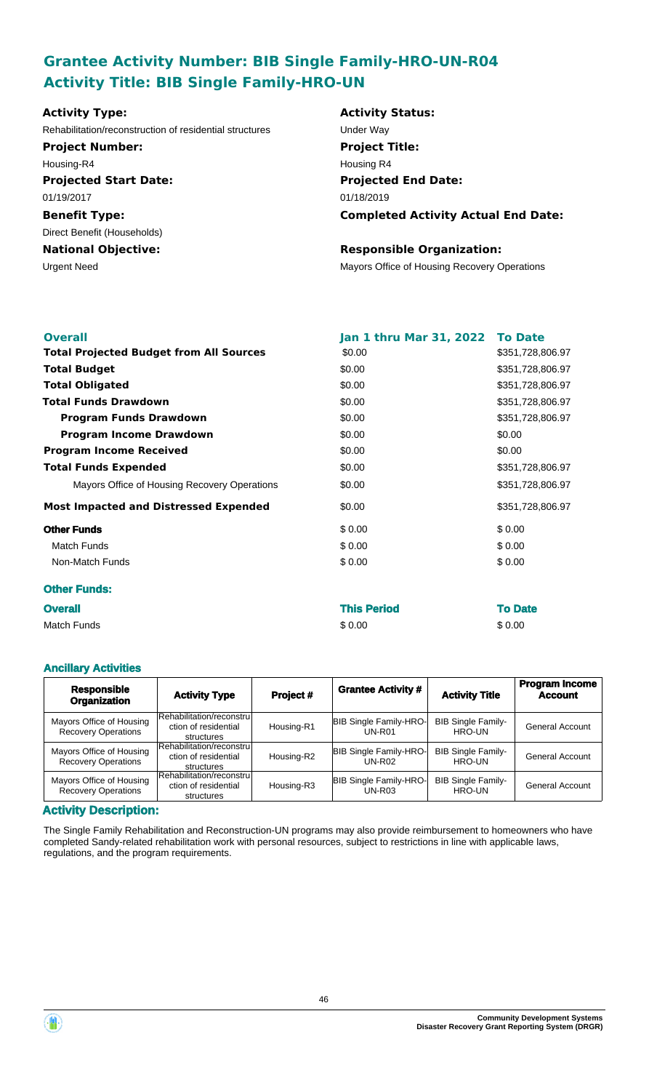# **Grantee Activity Number: BIB Single Family-HRO-UN-R04 Activity Title: BIB Single Family-HRO-UN**

| <b>Activity Type:</b>                                   | <b>Activity Status:</b>                      |
|---------------------------------------------------------|----------------------------------------------|
| Rehabilitation/reconstruction of residential structures | Under Way                                    |
| <b>Project Number:</b>                                  | <b>Project Title:</b>                        |
| Housing-R4                                              | Housing R4                                   |
| <b>Projected Start Date:</b>                            | <b>Projected End Date:</b>                   |
| 01/19/2017                                              | 01/18/2019                                   |
| <b>Benefit Type:</b>                                    | <b>Completed Activity Actual End Date:</b>   |
| Direct Benefit (Households)                             |                                              |
| <b>National Objective:</b>                              | <b>Responsible Organization:</b>             |
| Urgent Need                                             | Mayors Office of Housing Recovery Operations |
|                                                         |                                              |
|                                                         |                                              |

| <b>Overall</b>                                 | Jan 1 thru Mar 31, 2022 To Date |                  |
|------------------------------------------------|---------------------------------|------------------|
| <b>Total Projected Budget from All Sources</b> | \$0.00                          | \$351,728,806.97 |
| <b>Total Budget</b>                            | \$0.00                          | \$351,728,806.97 |
| <b>Total Obligated</b>                         | \$0.00                          | \$351,728,806.97 |
| <b>Total Funds Drawdown</b>                    | \$0.00                          | \$351,728,806.97 |
| <b>Program Funds Drawdown</b>                  | \$0.00                          | \$351,728,806.97 |
| <b>Program Income Drawdown</b>                 | \$0.00                          | \$0.00           |
| <b>Program Income Received</b>                 | \$0.00                          | \$0.00           |
| <b>Total Funds Expended</b>                    | \$0.00                          | \$351,728,806.97 |
| Mayors Office of Housing Recovery Operations   | \$0.00                          | \$351,728,806.97 |
| <b>Most Impacted and Distressed Expended</b>   | \$0.00                          | \$351,728,806.97 |
| <b>Other Funds</b>                             | \$0.00                          | \$0.00           |
| <b>Match Funds</b>                             | \$0.00                          | \$0.00           |
| Non-Match Funds                                | \$0.00                          | \$0.00           |
| <b>Other Funds:</b>                            |                                 |                  |
| Overall                                        | This Period                     | <b>To Date</b>   |

| <b>Overall</b> | <b>This Period</b> | <b>To Date</b> |
|----------------|--------------------|----------------|
| Match Funds    | \$0.00             | \$0.00         |

#### **Ancillary Activities**

| <b>Responsible</b><br><b>Organization</b>              | <b>Activity Type</b>                                            | Project #  | <b>Grantee Activity #</b>                      | <b>Activity Title</b>               | <b>Program Income</b><br><b>Account</b> |
|--------------------------------------------------------|-----------------------------------------------------------------|------------|------------------------------------------------|-------------------------------------|-----------------------------------------|
| Mayors Office of Housing<br><b>Recovery Operations</b> | Rehabilitation/reconstrul<br>ction of residential<br>structures | Housing-R1 | <b>BIB Single Family-HRO-</b><br>$UN-R01$      | <b>BIB Single Family-</b><br>HRO-UN | <b>General Account</b>                  |
| Mayors Office of Housing<br><b>Recovery Operations</b> | Rehabilitation/reconstrul<br>ction of residential<br>structures | Housing-R2 | <b>BIB Single Family-HRO-</b><br><b>UN-R02</b> | <b>BIB Single Family-</b><br>HRO-UN | <b>General Account</b>                  |
| Mayors Office of Housing<br><b>Recovery Operations</b> | Rehabilitation/reconstrul<br>ction of residential<br>structures | Housing-R3 | <b>BIB Single Family-HRO-</b><br>$UN-R03$      | <b>BIB Single Family-</b><br>HRO-UN | <b>General Account</b>                  |

#### **Activity Description:**

The Single Family Rehabilitation and Reconstruction-UN programs may also provide reimbursement to homeowners who have completed Sandy-related rehabilitation work with personal resources, subject to restrictions in line with applicable laws, regulations, and the program requirements.